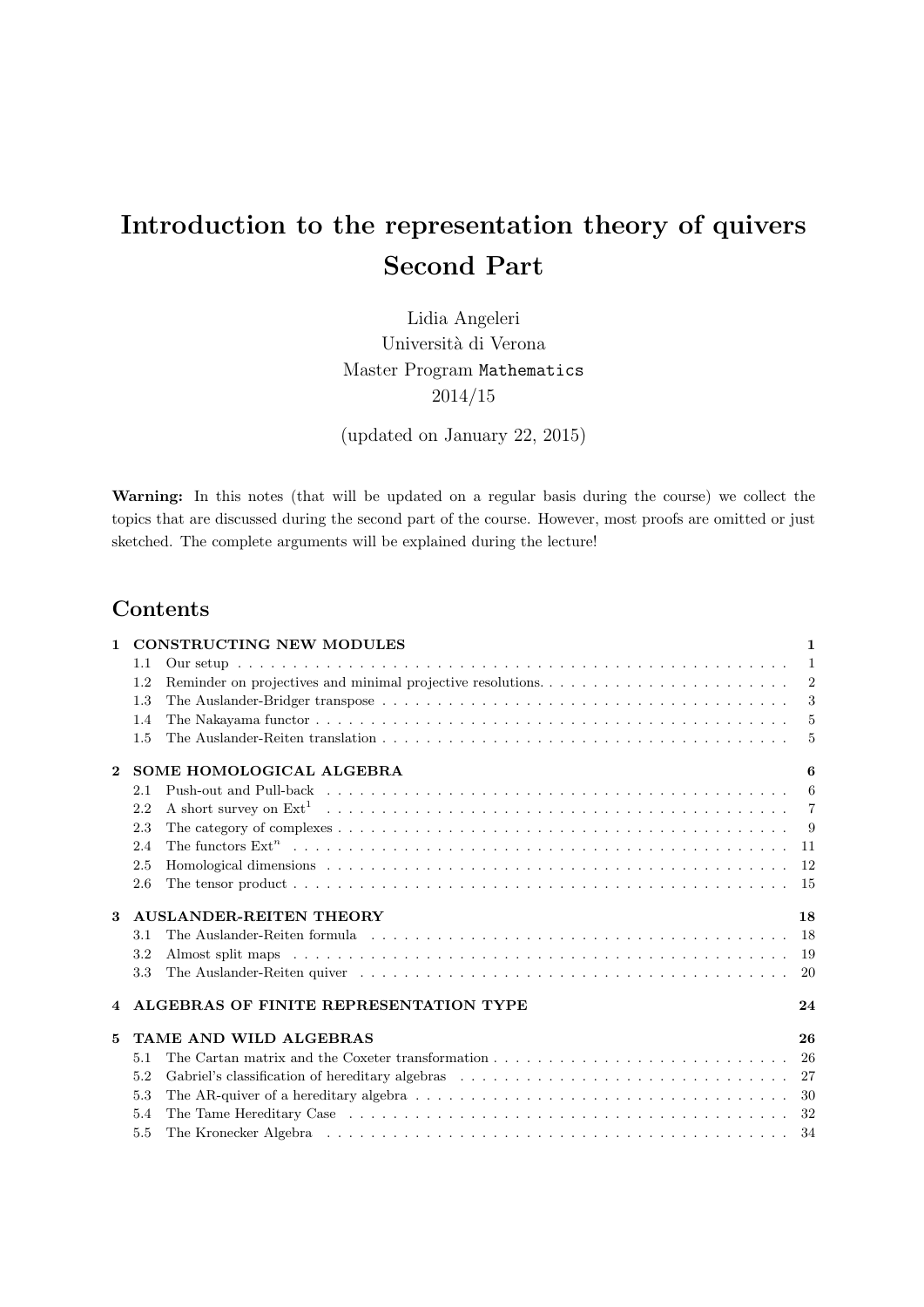# Introduction to the representation theory of quivers Second Part

Lidia Angeleri Università di Verona Master Program Mathematics 2014/15

(updated on January 22, 2015)

Warning: In this notes (that will be updated on a regular basis during the course) we collect the topics that are discussed during the second part of the course. However, most proofs are omitted or just sketched. The complete arguments will be explained during the lecture!

# Contents

| $\mathbf{1}$ |                                     | <b>CONSTRUCTING NEW MODULES</b><br>$\mathbf{1}$                                                                                                                                                                                   |     |  |  |  |  |  |  |
|--------------|-------------------------------------|-----------------------------------------------------------------------------------------------------------------------------------------------------------------------------------------------------------------------------------|-----|--|--|--|--|--|--|
|              | 1.1                                 |                                                                                                                                                                                                                                   |     |  |  |  |  |  |  |
|              | 1.2                                 | Reminder on projectives and minimal projective resolutions                                                                                                                                                                        | 2   |  |  |  |  |  |  |
|              | 1.3                                 |                                                                                                                                                                                                                                   |     |  |  |  |  |  |  |
|              | 1.4                                 |                                                                                                                                                                                                                                   |     |  |  |  |  |  |  |
|              | 1.5                                 |                                                                                                                                                                                                                                   |     |  |  |  |  |  |  |
| $\mathbf{2}$ | SOME HOMOLOGICAL ALGEBRA            | 6                                                                                                                                                                                                                                 |     |  |  |  |  |  |  |
|              | 2.1                                 |                                                                                                                                                                                                                                   |     |  |  |  |  |  |  |
|              | 2.2                                 |                                                                                                                                                                                                                                   |     |  |  |  |  |  |  |
|              | 2.3                                 |                                                                                                                                                                                                                                   | - 9 |  |  |  |  |  |  |
|              | 2.4                                 | The functors $\text{Ext}^n$ becomes such as a set of the set of the set of the set of the set of the set of the set of the set of the set of the set of the set of the set of the set of the set of the set of the set of the set |     |  |  |  |  |  |  |
|              | 2.5                                 |                                                                                                                                                                                                                                   | -12 |  |  |  |  |  |  |
|              | 2.6                                 |                                                                                                                                                                                                                                   | -15 |  |  |  |  |  |  |
| 3            | <b>AUSLANDER-REITEN THEORY</b>      |                                                                                                                                                                                                                                   |     |  |  |  |  |  |  |
|              | 3.1                                 |                                                                                                                                                                                                                                   | -18 |  |  |  |  |  |  |
|              | 3.2                                 |                                                                                                                                                                                                                                   |     |  |  |  |  |  |  |
|              | 3.3                                 |                                                                                                                                                                                                                                   | 20  |  |  |  |  |  |  |
| 4            |                                     | ALGEBRAS OF FINITE REPRESENTATION TYPE<br>24                                                                                                                                                                                      |     |  |  |  |  |  |  |
| 5            | <b>TAME AND WILD ALGEBRAS</b><br>26 |                                                                                                                                                                                                                                   |     |  |  |  |  |  |  |
|              | 5.1                                 |                                                                                                                                                                                                                                   |     |  |  |  |  |  |  |
|              | 5.2                                 |                                                                                                                                                                                                                                   |     |  |  |  |  |  |  |
|              | 5.3                                 |                                                                                                                                                                                                                                   |     |  |  |  |  |  |  |
|              | 5.4                                 |                                                                                                                                                                                                                                   |     |  |  |  |  |  |  |
|              | 5.5                                 |                                                                                                                                                                                                                                   |     |  |  |  |  |  |  |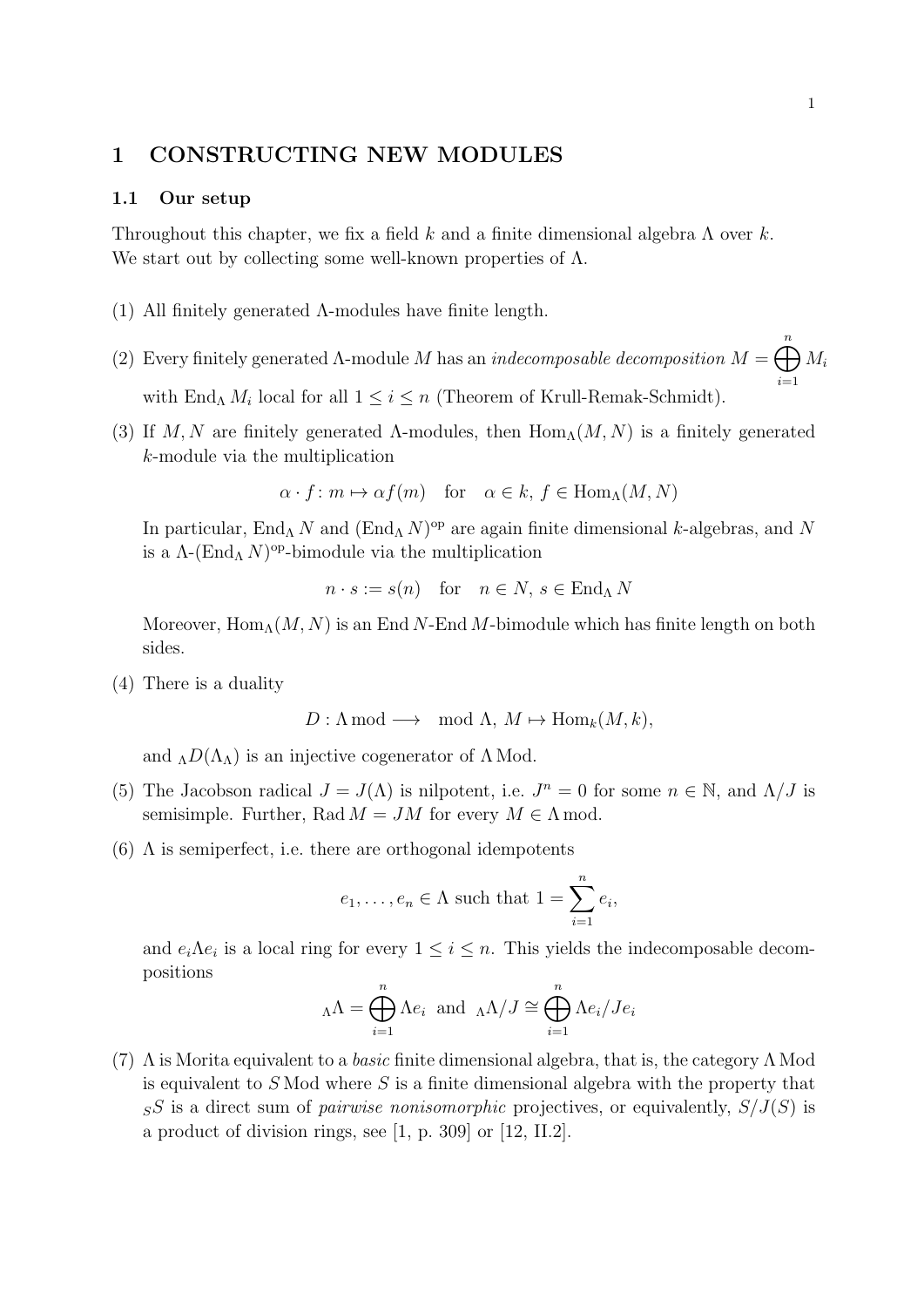# 1 CONSTRUCTING NEW MODULES

## 1.1 Our setup

Throughout this chapter, we fix a field k and a finite dimensional algebra  $\Lambda$  over k. We start out by collecting some well-known properties of  $\Lambda$ .

- (1) All finitely generated Λ-modules have finite length.
- (2) Every finitely generated Λ-module M has an *indecomposable decomposition*  $M = \bigoplus^{n}$  $i=1$  $M_i$ with End<sub>A</sub>  $M_i$  local for all  $1 \leq i \leq n$  (Theorem of Krull-Remak-Schmidt).
- (3) If M, N are finitely generated  $\Lambda$ -modules, then  $\text{Hom}_{\Lambda}(M, N)$  is a finitely generated k-module via the multiplication

$$
\alpha \cdot f : m \mapsto \alpha f(m)
$$
 for  $\alpha \in k, f \in \text{Hom}_{\Lambda}(M, N)$ 

In particular, End<sub>Λ</sub> N and  $(End<sub>Λ</sub>N)<sup>op</sup>$  are again finite dimensional k-algebras, and N is a  $\Lambda$ -(End<sub> $\Lambda$ </sub> N)<sup>op</sup>-bimodule via the multiplication

$$
n \cdot s := s(n) \quad \text{for} \quad n \in N, \, s \in \text{End}_{\Lambda} \, N
$$

Moreover,  $\text{Hom}_{\Lambda}(M, N)$  is an End N-End M-bimodule which has finite length on both sides.

(4) There is a duality

 $D: \Lambda \text{ mod } \longrightarrow \mod \Lambda, M \mapsto \text{Hom}_k(M, k),$ 

and  $_{\Lambda}D(\Lambda_{\Lambda})$  is an injective cogenerator of  $\Lambda$  Mod.

- (5) The Jacobson radical  $J = J(\Lambda)$  is nilpotent, i.e.  $J^n = 0$  for some  $n \in \mathbb{N}$ , and  $\Lambda/J$  is semisimple. Further, Rad  $M = JM$  for every  $M \in \Lambda$  mod.
- (6)  $\Lambda$  is semiperfect, i.e. there are orthogonal idempotents

$$
e_1, \ldots, e_n \in \Lambda
$$
 such that  $1 = \sum_{i=1}^n e_i$ ,

and  $e_i \Lambda e_i$  is a local ring for every  $1 \leq i \leq n$ . This yields the indecomposable decompositions

$$
{}_{\Lambda}\Lambda = \bigoplus_{i=1}^{n} \Lambda e_i \text{ and } {}_{\Lambda}\Lambda/J \cong \bigoplus_{i=1}^{n} \Lambda e_i/J e_i
$$

(7)  $\Lambda$  is Morita equivalent to a *basic* finite dimensional algebra, that is, the category  $\Lambda$  Mod is equivalent to  $S$  Mod where  $S$  is a finite dimensional algebra with the property that  $S<sub>S</sub>S$  is a direct sum of *pairwise nonisomorphic* projectives, or equivalently,  $S/J(S)$  is a product of division rings, see [1, p. 309] or [12, II.2].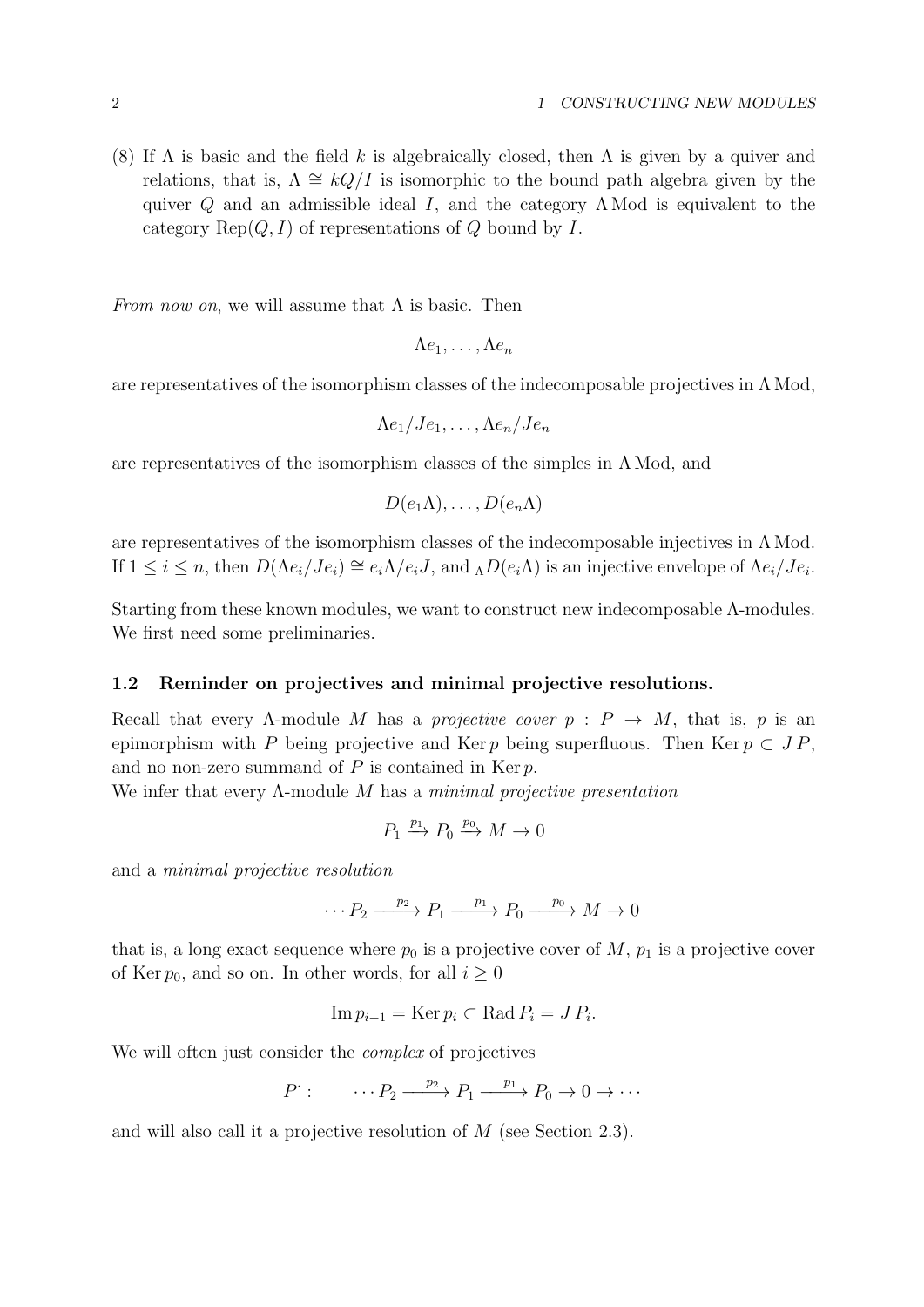(8) If  $\Lambda$  is basic and the field k is algebraically closed, then  $\Lambda$  is given by a quiver and relations, that is,  $\Lambda \cong kQ/I$  is isomorphic to the bound path algebra given by the quiver Q and an admissible ideal I, and the category  $\Lambda$  Mod is equivalent to the category  $\text{Rep}(Q, I)$  of representations of Q bound by I.

From now on, we will assume that  $\Lambda$  is basic. Then

$$
\Lambda e_1,\ldots,\Lambda e_n
$$

are representatives of the isomorphism classes of the indecomposable projectives in  $\Lambda$  Mod,

$$
\Lambda e_1/Je_1,\ldots,\Lambda e_n/Je_n
$$

are representatives of the isomorphism classes of the simples in  $\Lambda$  Mod, and

$$
D(e_1\Lambda),\ldots,D(e_n\Lambda)
$$

are representatives of the isomorphism classes of the indecomposable injectives in  $\Lambda$  Mod. If  $1 \leq i \leq n$ , then  $D(\Lambda e_i / Je_i) \cong e_i \Lambda / e_i J$ , and  $\Lambda D(e_i \Lambda)$  is an injective envelope of  $\Lambda e_i / Je_i$ .

Starting from these known modules, we want to construct new indecomposable Λ-modules. We first need some preliminaries.

#### 1.2 Reminder on projectives and minimal projective resolutions.

Recall that every  $\Lambda$ -module M has a *projective cover*  $p : P \to M$ , that is, p is an epimorphism with P being projective and Ker p being superfluous. Then Ker  $p \subset JP$ , and no non-zero summand of  $P$  is contained in Ker  $p$ .

We infer that every  $\Lambda$ -module M has a *minimal projective presentation* 

$$
P_1 \xrightarrow{p_1} P_0 \xrightarrow{p_0} M \to 0
$$

and a minimal projective resolution

$$
\cdots P_2 \xrightarrow{p_2} P_1 \xrightarrow{p_1} P_0 \xrightarrow{p_0} M \to 0
$$

that is, a long exact sequence where  $p_0$  is a projective cover of M,  $p_1$  is a projective cover of Ker  $p_0$ , and so on. In other words, for all  $i \geq 0$ 

$$
\operatorname{Im} p_{i+1} = \operatorname{Ker} p_i \subset \operatorname{Rad} P_i = J P_i.
$$

We will often just consider the *complex* of projectives

$$
P: \qquad \cdots P_2 \xrightarrow{p_2} P_1 \xrightarrow{p_1} P_0 \to 0 \to \cdots
$$

and will also call it a projective resolution of M (see Section 2.3).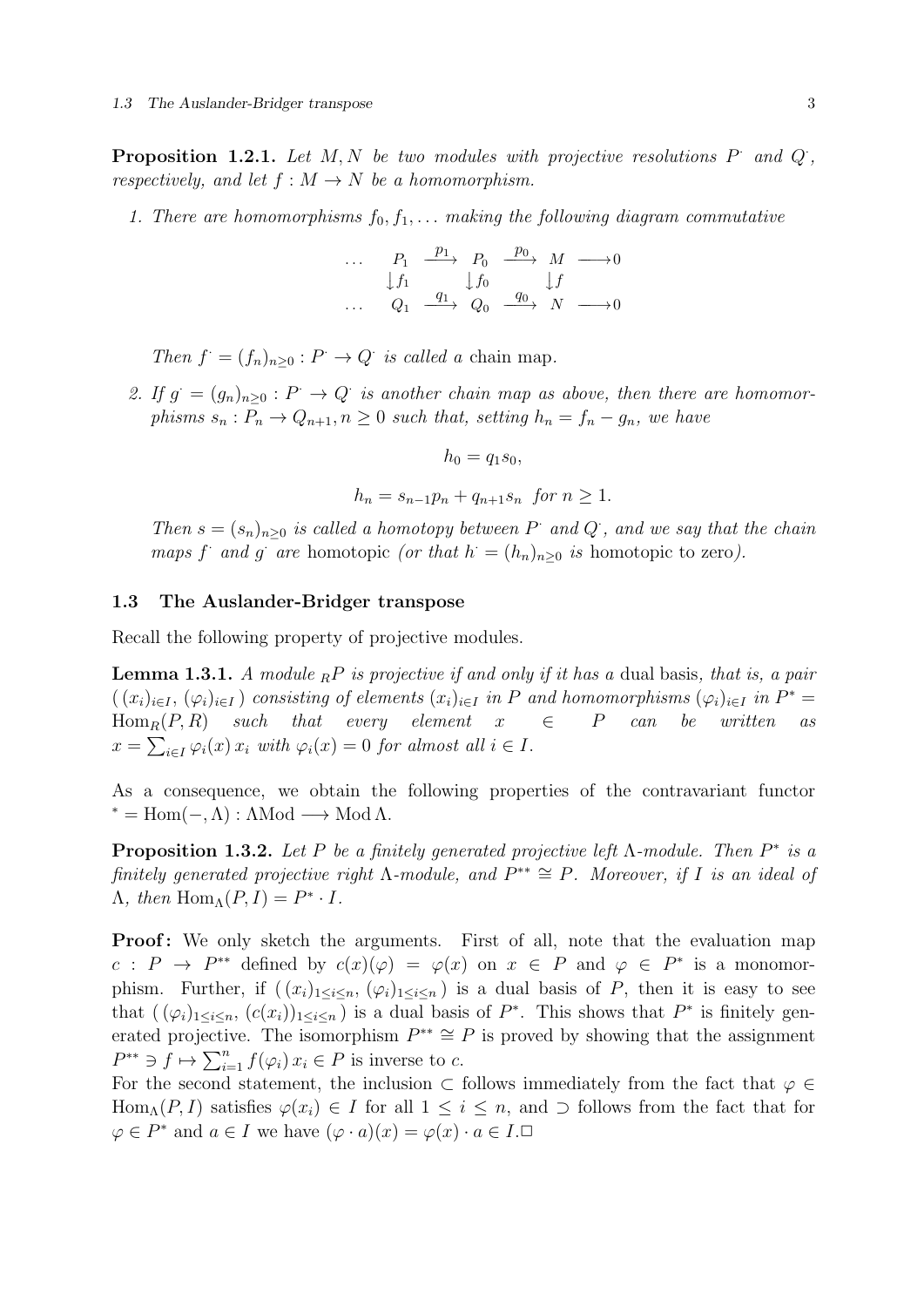**Proposition 1.2.1.** Let  $M, N$  be two modules with projective resolutions  $P$  and  $Q$ , respectively, and let  $f : M \to N$  be a homomorphism.

1. There are homomorphisms  $f_0, f_1, \ldots$  making the following diagram commutative

| $P_1$ |  | $\frac{p_1}{\longrightarrow}$ $P_0$ $\frac{p_0}{\longrightarrow}$ M |           |  |
|-------|--|---------------------------------------------------------------------|-----------|--|
|       |  | $\int f_1$ $\int f_0$ $\int f$                                      |           |  |
| Ο1    |  | $\frac{q_1}{q_2}$ $Q_0$ $\frac{q_0}{q_1}$                           | $N_{\rm}$ |  |

Then  $f = (f_n)_{n \geq 0} : P \to Q$  is called a chain map.

2. If  $g = (g_n)_{n \geq 0} : P \to Q$  is another chain map as above, then there are homomorphisms  $s_n : P_n \to Q_{n+1}, n \geq 0$  such that, setting  $h_n = f_n - g_n$ , we have

$$
h_0 = q_1 s_0,
$$

 $h_n = s_{n-1}p_n + q_{n+1} s_n$  for  $n \ge 1$ .

Then  $s = (s_n)_{n \geq 0}$  is called a homotopy between P and Q, and we say that the chain maps f and g are homotopic (or that  $h = (h_n)_{n \geq 0}$  is homotopic to zero).

#### 1.3 The Auslander-Bridger transpose

Recall the following property of projective modules.

**Lemma 1.3.1.** A module  ${}_{R}P$  is projective if and only if it has a dual basis, that is, a pair  $((x_i)_{i\in I}, (\varphi_i)_{i\in I})$  consisting of elements  $(x_i)_{i\in I}$  in P and homomorphisms  $(\varphi_i)_{i\in I}$  in  $P^*$ Hom<sub>R</sub> $(P, R)$  such that every element  $x \in P$  can be written  $x = \sum_{i \in I} \varphi_i(x) x_i$  with  $\varphi_i(x) = 0$  for almost all  $i \in I$ .

As a consequence, we obtain the following properties of the contravariant functor  $* = Hom(-, Λ) : ΔMod \longrightarrow Mod Λ.$ 

**Proposition 1.3.2.** Let P be a finitely generated projective left  $\Lambda$ -module. Then  $P^*$  is a finitely generated projective right  $\Lambda$ -module, and  $P^{**} \cong P$ . Moreover, if I is an ideal of  $\Lambda$ , then  $\text{Hom}_{\Lambda}(P, I) = P^* \cdot I$ .

**Proof:** We only sketch the arguments. First of all, note that the evaluation map  $c: P \to P^{**}$  defined by  $c(x)(\varphi) = \varphi(x)$  on  $x \in P$  and  $\varphi \in P^*$  is a monomorphism. Further, if  $((x_i)_{1\leq i\leq n}, (\varphi_i)_{1\leq i\leq n})$  is a dual basis of P, then it is easy to see that  $((\varphi_i)_{1\leq i\leq n}, (c(x_i))_{1\leq i\leq n})$  is a dual basis of  $P^*$ . This shows that  $P^*$  is finitely generated projective. The isomorphism  $P^{**} \cong P$  is proved by showing that the assignment  $P^{**} \ni f \mapsto \sum_{i=1}^n f(\varphi_i) x_i \in P$  is inverse to c.

For the second statement, the inclusion  $\subset$  follows immediately from the fact that  $\varphi \in$ Hom<sub>Λ</sub> $(P, I)$  satisfies  $\varphi(x_i) \in I$  for all  $1 \leq i \leq n$ , and  $\supset$  follows from the fact that for  $\varphi \in P^*$  and  $a \in I$  we have  $(\varphi \cdot a)(x) = \varphi(x) \cdot a \in I$ .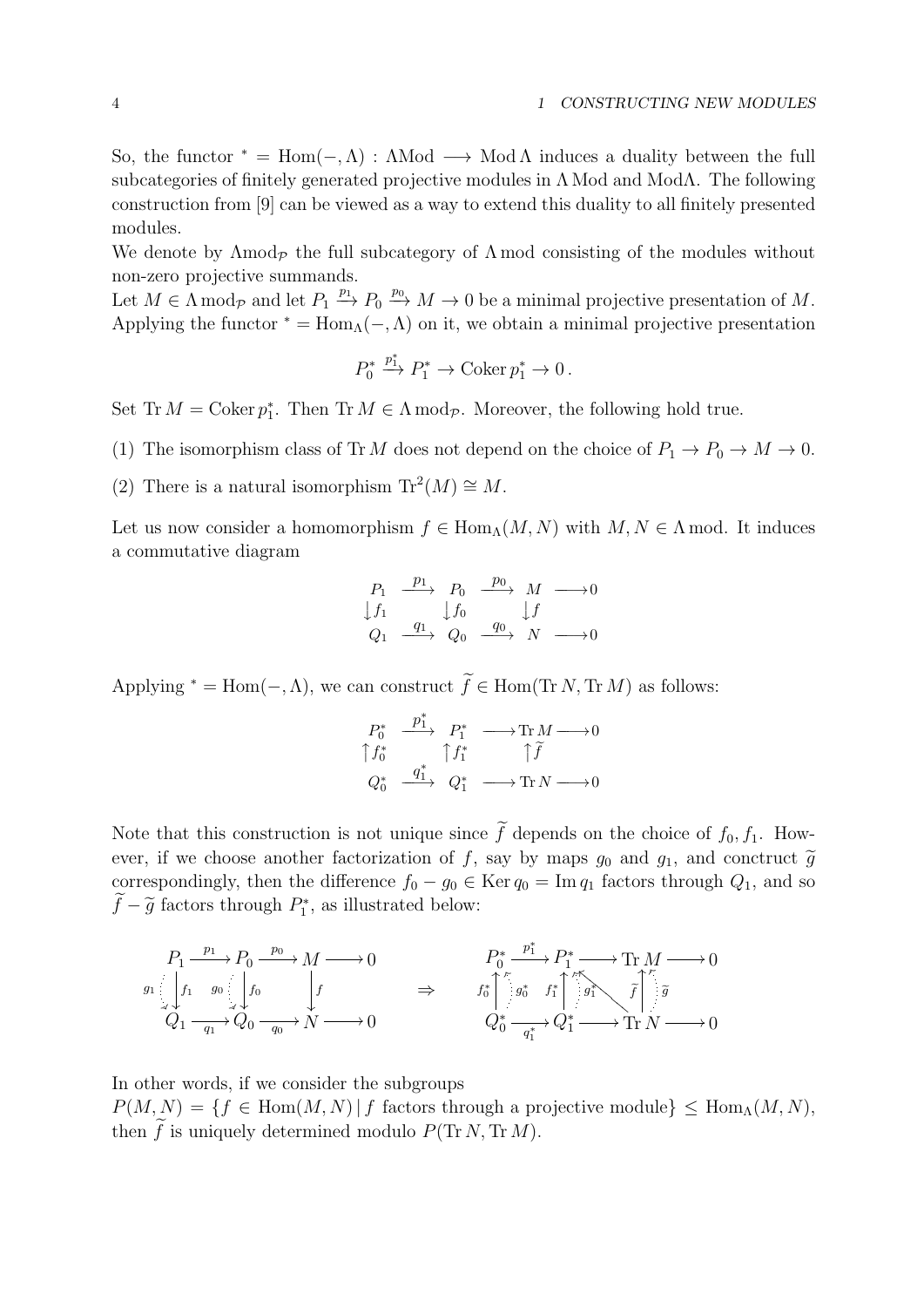So, the functor  $* = \text{Hom}(-, \Lambda) : \Lambda \text{Mod} \longrightarrow \text{Mod} \Lambda$  induces a duality between the full subcategories of finitely generated projective modules in Λ Mod and ModΛ. The following construction from [9] can be viewed as a way to extend this duality to all finitely presented modules.

We denote by  $\Lambda \text{mod}_{\mathcal{P}}$  the full subcategory of  $\Lambda \text{ mod } \text{ consisting of the modules without}$ non-zero projective summands.

Let  $M \in \Lambda \bmod_{\mathcal{P}}$  and let  $P_1 \stackrel{p_1}{\longrightarrow} P_0 \stackrel{p_0}{\longrightarrow} M \to 0$  be a minimal projective presentation of M. Applying the functor  $* = \text{Hom}_{\Lambda}(-, \Lambda)$  on it, we obtain a minimal projective presentation

$$
P_0^* \xrightarrow{p_1^*} P_1^* \to \text{Coker } p_1^* \to 0 \, .
$$

Set Tr  $M = \text{Coker } p_1^*$ . Then Tr  $M \in \Lambda \text{ mod } p$ . Moreover, the following hold true.

- (1) The isomorphism class of Tr M does not depend on the choice of  $P_1 \to P_0 \to M \to 0$ .
- (2) There is a natural isomorphism  $\text{Tr}^2(M) \cong M$ .

Let us now consider a homomorphism  $f \in \text{Hom}_{\Lambda}(M, N)$  with  $M, N \in \Lambda$  mod. It induces a commutative diagram

$$
\begin{array}{ccc}\nP_1 & \xrightarrow{p_1} & P_0 & \xrightarrow{p_0} & M & \longrightarrow 0 \\
\downarrow f_1 & & \downarrow f_0 & & \downarrow f \\
Q_1 & \xrightarrow{q_1} & Q_0 & \xrightarrow{q_0} & N & \longrightarrow 0\n\end{array}
$$

Applying <sup>\*</sup> = Hom(-,  $\Lambda$ ), we can construct  $\widetilde{f} \in$  Hom(Tr N, Tr M) as follows:

$$
\begin{array}{ccc}\nP_0^*&\xrightarrow{p_1^*}&P_1^*&\longrightarrow{\rm Tr}\,M\xrightarrow{\quad}0\\ \uparrow f_0^*&\uparrow f_1^*&\uparrow\widetilde{f}\\ Q_0^*&\xrightarrow{q_1^*}&Q_1^*&\longrightarrow{\rm Tr}\,N\xrightarrow{\quad}0\end{array}
$$

Note that this construction is not unique since  $\tilde{f}$  depends on the choice of  $f_0, f_1$ . However, if we choose another factorization of f, say by maps  $g_0$  and  $g_1$ , and conctruct  $\tilde{g}$ correspondingly, then the difference  $f_0 - g_0 \in \text{Ker } q_0 = \text{Im } q_1$  factors through  $Q_1$ , and so  $\widetilde{f} - \widetilde{g}$  factors through  $P_1^*$ , as illustrated below:

$$
P_1 \xrightarrow{p_1} P_0 \xrightarrow{p_0} M \longrightarrow 0
$$
\n
$$
g_1 \downarrow f_1 \qquad g_0 \downarrow f_0 \qquad f \qquad \Rightarrow \qquad\nf_0^* \uparrow f_1^* \uparrow f_1^* \longrightarrow \text{Tr } M \longrightarrow 0
$$
\n
$$
Q_1 \xrightarrow{q_1} Q_0 \xrightarrow{q_0} N \longrightarrow 0
$$
\n
$$
Q_0^* \xrightarrow{q_1^*} Q_1^* \longrightarrow \text{Tr } N \longrightarrow 0
$$

In other words, if we consider the subgroups

 $P(M, N) = \{f \in Hom(M, N) | f \text{ factors through a projective module}\}\leq Hom_{\Lambda}(M, N),$ then  $\widetilde{f}$  is uniquely determined modulo  $P(\text{Tr }N, \text{Tr }M)$ .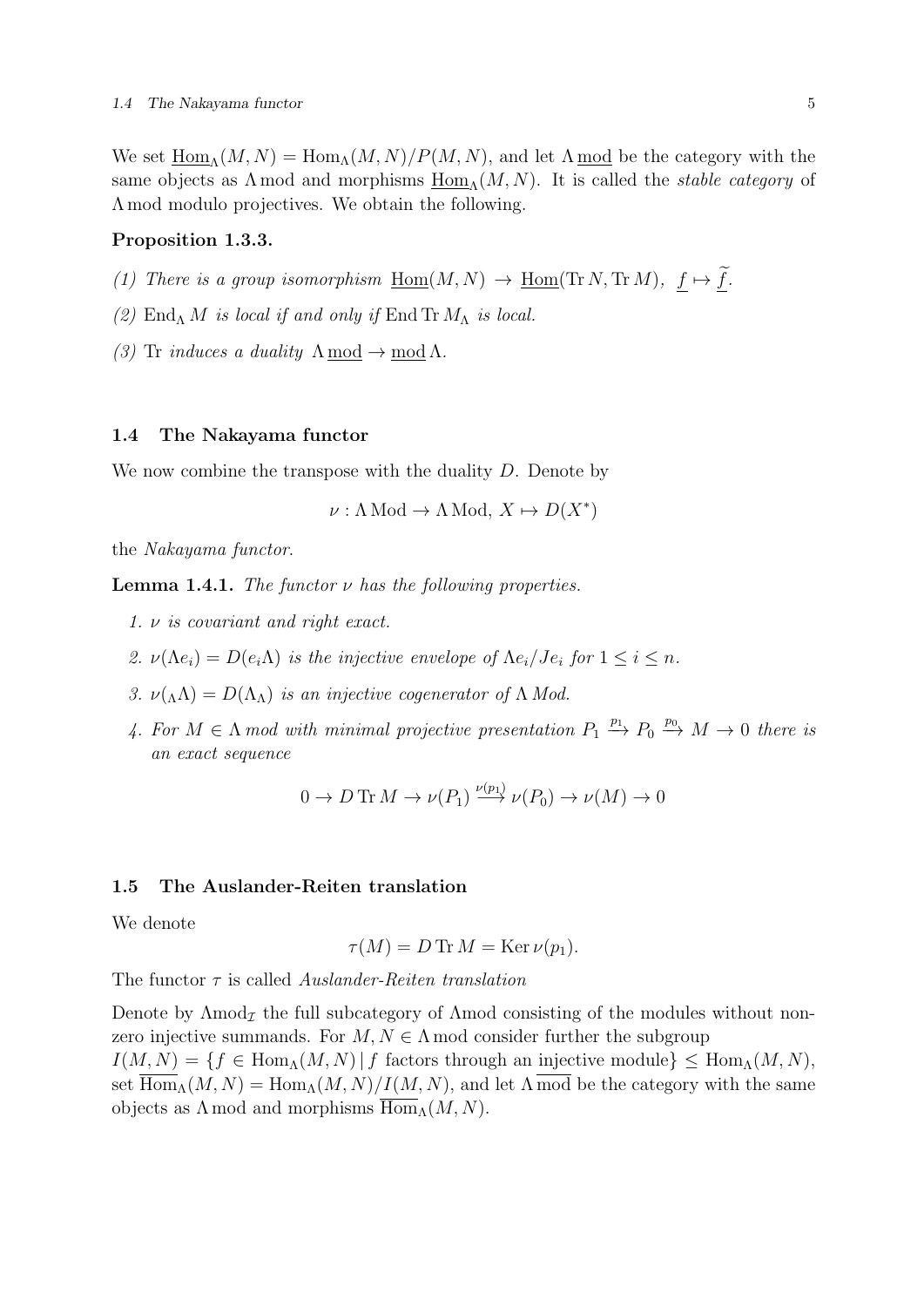We set  $\underline{\text{Hom}}_{\Lambda}(M, N) = \text{Hom}_{\Lambda}(M, N)/P(M, N)$ , and let  $\Lambda \text{ mod }$  be the category with the same objects as  $\Lambda$  mod and morphisms  $\underline{Hom}_{\Lambda}(M, N)$ . It is called the *stable category* of Λ mod modulo projectives. We obtain the following.

## Proposition 1.3.3.

- (1) There is a group isomorphism  $\underline{\mathrm{Hom}}(M,N) \to \underline{\mathrm{Hom}}(\mathrm{Tr}\, N,\mathrm{Tr}\, M),\ \underline{f} \mapsto \underline{\widetilde{f}}.$
- (2)  $\text{End}_{\Lambda} M$  is local if and only if  $\text{End Tr } M_{\Lambda}$  is local.
- (3) Tr *induces a duality*  $\Lambda \text{ mod } \rightarrow \text{ mod } \Lambda$ .

### 1.4 The Nakayama functor

We now combine the transpose with the duality  $D$ . Denote by

$$
\nu: \Lambda \text{Mod} \to \Lambda \text{Mod}, X \mapsto D(X^*)
$$

the Nakayama functor.

**Lemma 1.4.1.** The functor  $\nu$  has the following properties.

- 1. ν is covariant and right exact.
- 2.  $\nu(\Lambda e_i) = D(e_i \Lambda)$  is the injective envelope of  $\Lambda e_i / Je_i$  for  $1 \leq i \leq n$ .
- 3.  $\nu(\Lambda) = D(\Lambda_{\Lambda})$  is an injective cogenerator of  $\Lambda$  Mod.
- 4. For  $M \in \Lambda$  mod with minimal projective presentation  $P_1 \stackrel{p_1}{\longrightarrow} P_0 \stackrel{p_0}{\longrightarrow} M \to 0$  there is an exact sequence

$$
0 \to D \operatorname{Tr} M \to \nu(P_1) \xrightarrow{\nu(p_1)} \nu(P_0) \to \nu(M) \to 0
$$

## 1.5 The Auslander-Reiten translation

We denote

$$
\tau(M) = D \operatorname{Tr} M = \operatorname{Ker} \nu(p_1).
$$

The functor  $\tau$  is called *Auslander-Reiten translation* 

Denote by  $\Lambda \text{mod}_{\mathcal{I}}$  the full subcategory of  $\Lambda \text{mod}$  consisting of the modules without nonzero injective summands. For  $M, N \in \Lambda$  mod consider further the subgroup  $I(M, N) = \{f \in \text{Hom}_{\Lambda}(M, N) | f \text{ factors through an injective module}\}\leq \text{Hom}_{\Lambda}(M, N),$ set  $\overline{\text{Hom}}_{\Lambda}(M, N) = \text{Hom}_{\Lambda}(M, N)/I(M, N)$ , and let  $\Lambda \overline{\text{mod}}$  be the category with the same objects as  $\Lambda$  mod and morphisms  $\text{Hom}_{\Lambda}(M, N)$ .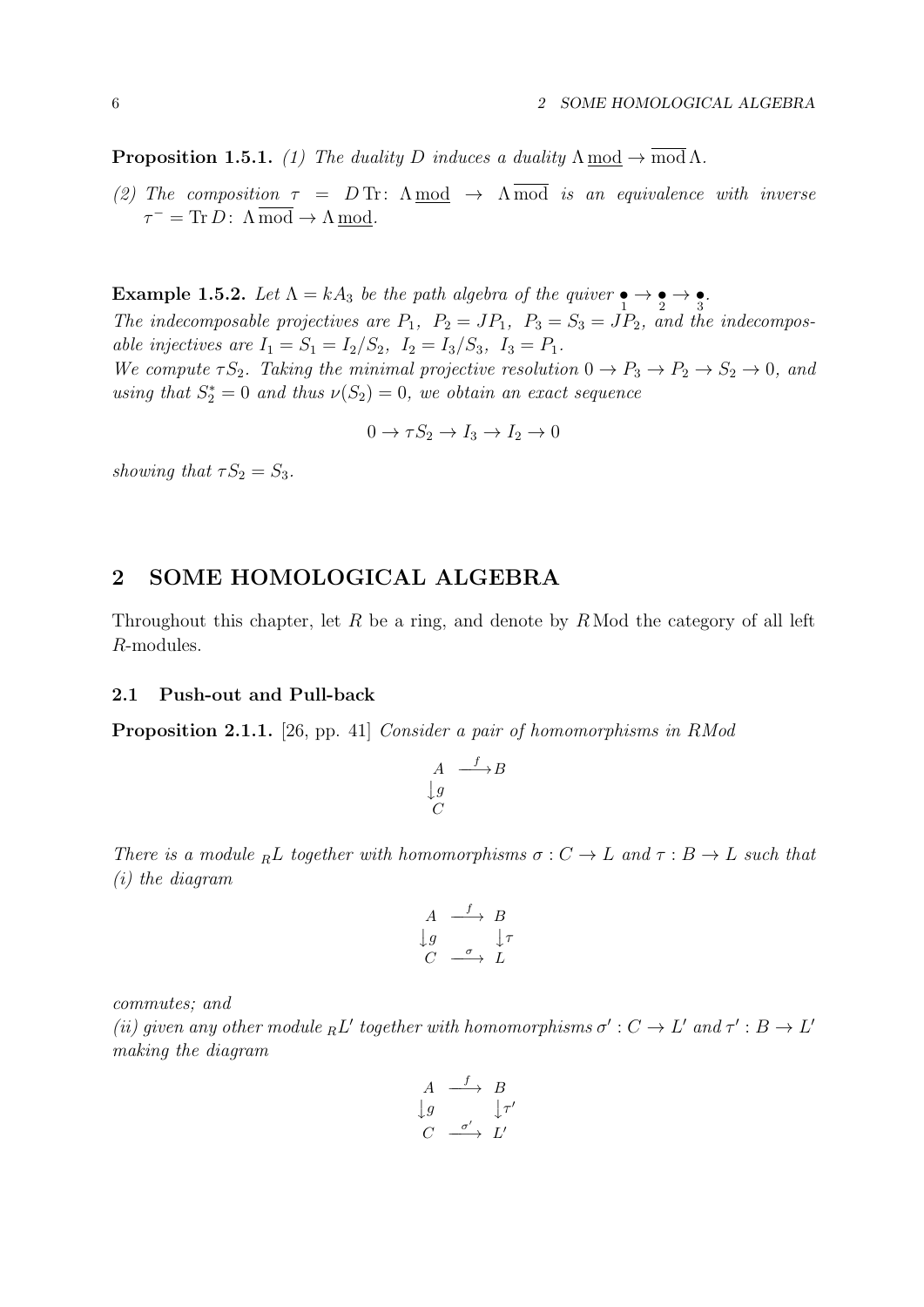**Proposition 1.5.1.** (1) The duality D induces a duality  $\Lambda \text{ mod } \rightarrow \overline{\text{ mod }} \Lambda$ .

(2) The composition  $\tau = DTr$ :  $\Lambda \mod \rightarrow \Lambda \mod$  is an equivalence with inverse  $\tau^{-} = \text{Tr}\, D \colon \Lambda \,\overline{\text{mod}} \to \Lambda \,\underline{\text{mod}}.$ 

Example 1.5.2. Let  $\Lambda = kA_3$  be the path algebra of the quiver  $\bullet \rightarrow \bullet \rightarrow \bullet$ . The indecomposable projectives are  $P_1$ ,  $P_2 = JP_1$ ,  $P_3 = S_3 = JP_2$ , and the indecomposable injectives are  $I_1 = S_1 = I_2/S_2$ ,  $I_2 = I_3/S_3$ ,  $I_3 = P_1$ . We compute  $\tau S_2$ . Taking the minimal projective resolution  $0 \to P_3 \to P_2 \to S_2 \to 0$ , and using that  $S_2^* = 0$  and thus  $\nu(S_2) = 0$ , we obtain an exact sequence

$$
0 \to \tau S_2 \to I_3 \to I_2 \to 0
$$

showing that  $\tau S_2 = S_3$ .

## 2 SOME HOMOLOGICAL ALGEBRA

Throughout this chapter, let R be a ring, and denote by  $R \text{ Mod the category of all left}$ R-modules.

## 2.1 Push-out and Pull-back

Proposition 2.1.1. [26, pp. 41] Consider a pair of homomorphisms in RMod

$$
\begin{array}{ccc}\nA & \xrightarrow{f} & B \\
\downarrow{g} & & \\
C & & \n\end{array}
$$

There is a module <sub>R</sub>L together with homomorphisms  $\sigma : C \to L$  and  $\tau : B \to L$  such that (i) the diagram

$$
\begin{array}{ccc}\nA & \xrightarrow{f} & B \\
\downarrow{g} & & \downarrow{\tau} \\
C & \xrightarrow{\sigma} & L\n\end{array}
$$

commutes; and

(ii) given any other module  ${}_{R}L'$  together with homomorphisms  $\sigma': C \to L'$  and  $\tau': B \to L'$ making the diagram

$$
\begin{array}{ccc}\nA & \xrightarrow{f} & B \\
\downarrow{g} & & \downarrow{\tau'} \\
C & \xrightarrow{\sigma'} & L'\n\end{array}
$$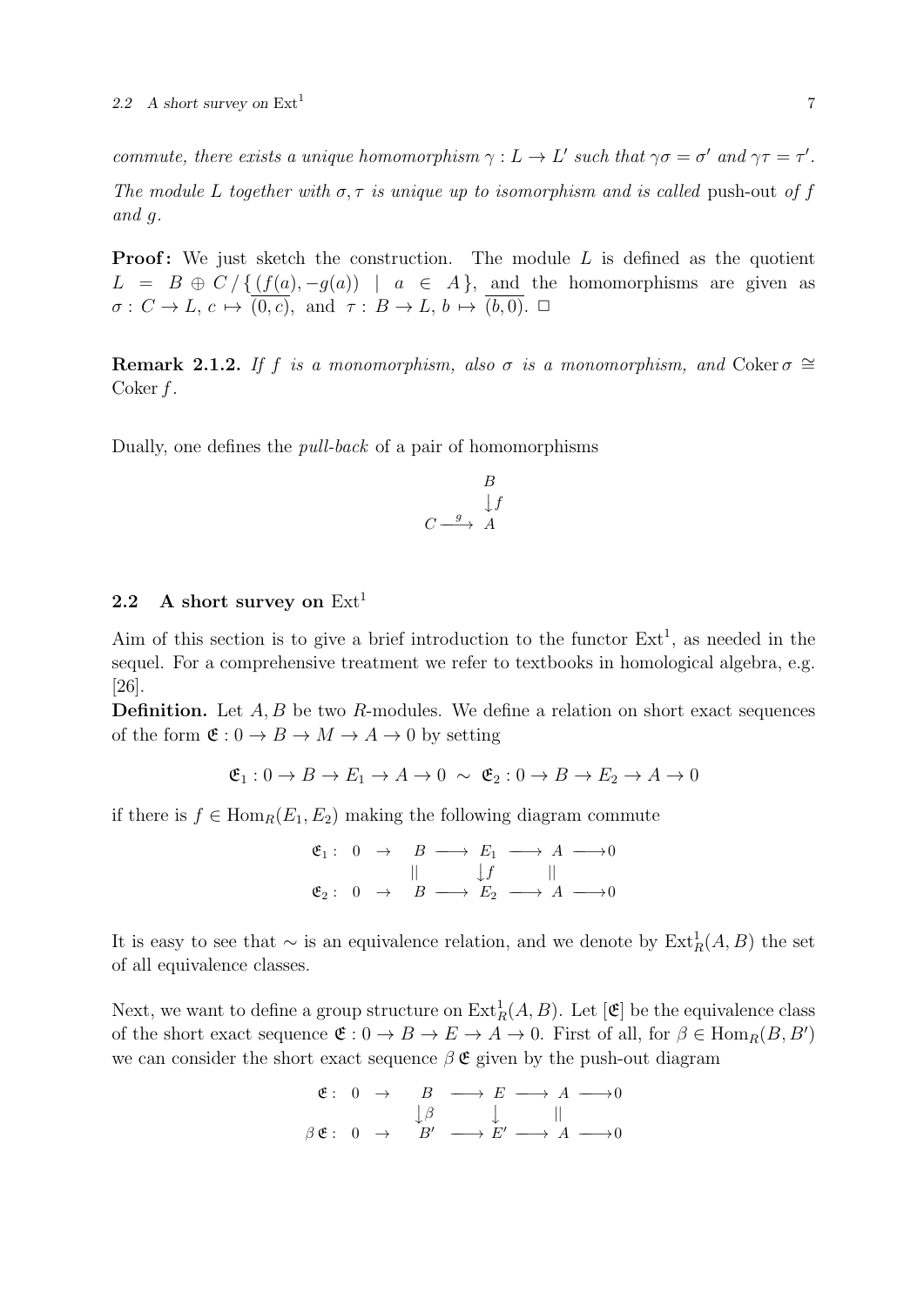commute, there exists a unique homomorphism  $\gamma : L \to L'$  such that  $\gamma \sigma = \sigma'$  and  $\gamma \tau = \tau'$ . The module L together with  $\sigma$ ,  $\tau$  is unique up to isomorphism and is called push-out of f and g.

**Proof:** We just sketch the construction. The module  $L$  is defined as the quotient  $L = B \oplus C / \{ (f(a), -g(a)) \mid a \in A \}$ , and the homomorphisms are given as  $\sigma: C \to L, c \mapsto (0, c), \text{ and } \tau: B \to L, b \mapsto (b, 0). \square$ 

**Remark 2.1.2.** If f is a monomorphism, also  $\sigma$  is a monomorphism, and Coker  $\sigma \cong$ Coker f.

Dually, one defines the pull-back of a pair of homomorphisms

$$
\begin{array}{ccc}\n & B \\
 & \downarrow f \\
C & \xrightarrow{g} & A\n\end{array}
$$

## 2.2 A short survey on  $Ext<sup>1</sup>$

Aim of this section is to give a brief introduction to the functor  $Ext<sup>1</sup>$ , as needed in the sequel. For a comprehensive treatment we refer to textbooks in homological algebra, e.g. [26].

**Definition.** Let  $A, B$  be two  $R$ -modules. We define a relation on short exact sequences of the form  $\mathfrak{E}: 0 \to B \to M \to A \to 0$  by setting

$$
\mathfrak{E}_1: 0 \to B \to E_1 \to A \to 0 \sim \mathfrak{E}_2: 0 \to B \to E_2 \to A \to 0
$$

if there is  $f \in \text{Hom}_{R}(E_1, E_2)$  making the following diagram commute

$$
\begin{array}{ccccccc}\n\mathfrak{E}_1: & 0 & \rightarrow & B & \longrightarrow & E_1 & \longrightarrow & A & \longrightarrow & 0 \\
& & || & & & | & f & || & & \\
\mathfrak{E}_2: & 0 & \rightarrow & B & \longrightarrow & E_2 & \longrightarrow & A & \longrightarrow & 0\n\end{array}
$$

It is easy to see that  $\sim$  is an equivalence relation, and we denote by  $\text{Ext}^1_R(A, B)$  the set of all equivalence classes.

Next, we want to define a group structure on  $\text{Ext}^1_R(A, B)$ . Let  $[\mathfrak{E}]$  be the equivalence class of the short exact sequence  $\mathfrak{E}: 0 \to B \to E \to A \to 0$ . First of all, for  $\beta \in \text{Hom}_R(B, B')$ we can consider the short exact sequence  $\beta \mathfrak{E}$  given by the push-out diagram

$$
\begin{array}{ccccccc}\n\mathfrak{E}: & 0 & \rightarrow & B & \longrightarrow & E & \longrightarrow & A & \longrightarrow & 0 \\
& & \downarrow & & \downarrow & & \parallel & & \parallel \\
\beta \mathfrak{E}: & 0 & \rightarrow & B' & \longrightarrow & E' & \longrightarrow & A & \longrightarrow & 0\n\end{array}
$$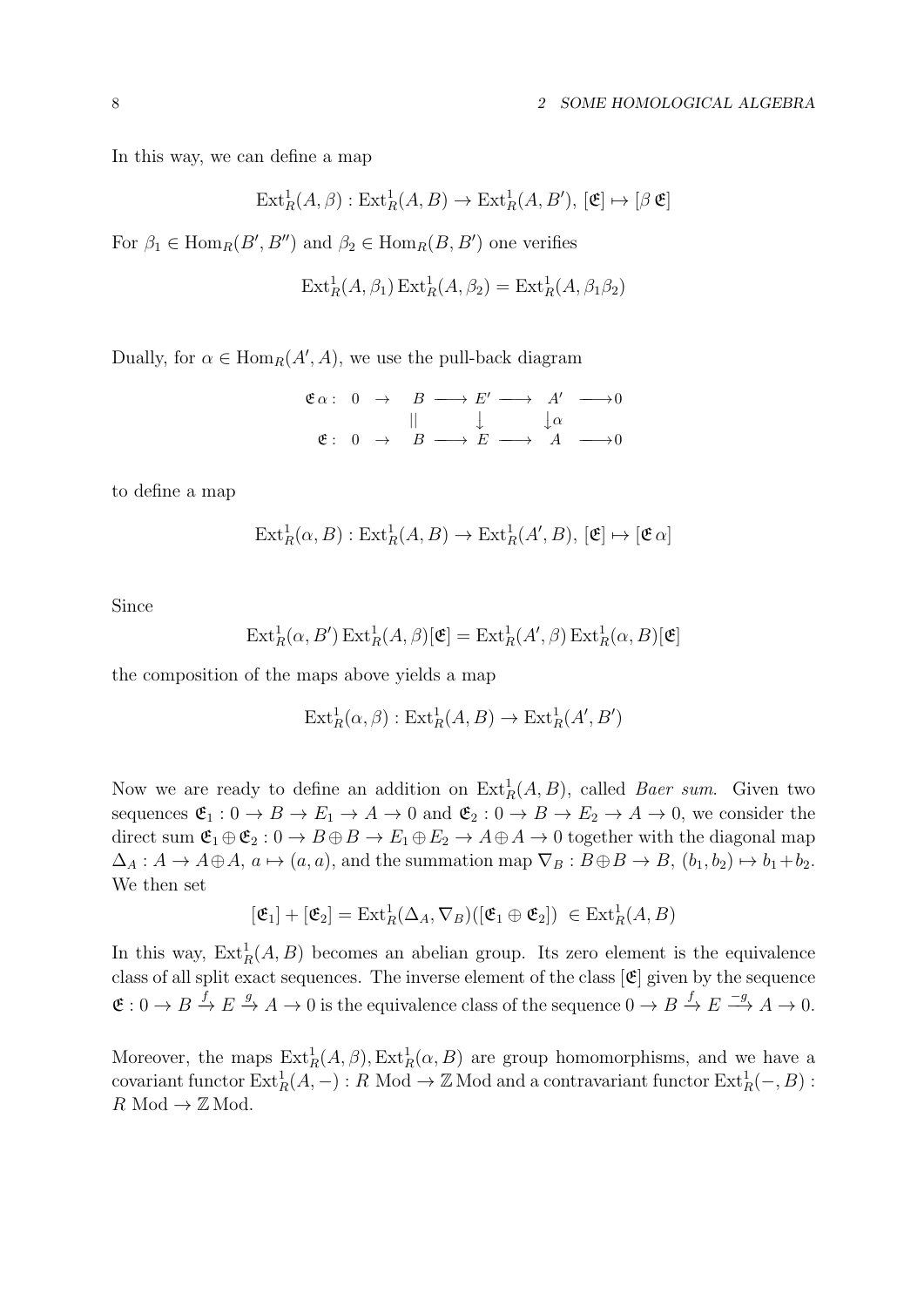In this way, we can define a map

$$
\operatorname{Ext}^1_R(A, \beta) : \operatorname{Ext}^1_R(A, B) \to \operatorname{Ext}^1_R(A, B'), [\mathfrak{E}] \mapsto [\beta \mathfrak{E}]
$$

For  $\beta_1 \in \text{Hom}_R(B', B'')$  and  $\beta_2 \in \text{Hom}_R(B, B')$  one verifies

$$
\operatorname{Ext}^1_R(A, \beta_1) \operatorname{Ext}^1_R(A, \beta_2) = \operatorname{Ext}^1_R(A, \beta_1 \beta_2)
$$

Dually, for  $\alpha \in \text{Hom}_R(A', A)$ , we use the pull-back diagram

$$
\begin{array}{ccccccc}\n\mathfrak{E}\alpha: & 0 & \rightarrow & B & \longrightarrow & E' & \longrightarrow & A' & \longrightarrow & 0 \\
& & || & & & \downarrow & & \downarrow & & \\
& \mathfrak{E}: & 0 & \rightarrow & B & \longrightarrow & E & \longrightarrow & A & \longrightarrow & 0\n\end{array}
$$

to define a map

$$
\text{Ext}^1_R(\alpha, B) : \text{Ext}^1_R(A, B) \to \text{Ext}^1_R(A', B), [\mathfrak{E}] \mapsto [\mathfrak{E} \alpha]
$$

Since

$$
\operatorname{Ext}^1_R(\alpha, B') \operatorname{Ext}^1_R(A, \beta)[\mathfrak{E}] = \operatorname{Ext}^1_R(A', \beta) \operatorname{Ext}^1_R(\alpha, B)[\mathfrak{E}]
$$

the composition of the maps above yields a map

$$
\text{Ext}^1_R(\alpha, \beta) : \text{Ext}^1_R(A, B) \to \text{Ext}^1_R(A', B')
$$

Now we are ready to define an addition on  $\text{Ext}_R^1(A, B)$ , called *Baer sum*. Given two sequences  $\mathfrak{E}_1 : 0 \to B \to E_1 \to A \to 0$  and  $\mathfrak{E}_2 : 0 \to B \to E_2 \to A \to 0$ , we consider the direct sum  $\mathfrak{E}_1 \oplus \mathfrak{E}_2 : 0 \to B \oplus B \to E_1 \oplus E_2 \to A \oplus A \to 0$  together with the diagonal map  $\Delta_A: A \to A \oplus A, a \mapsto (a, a)$ , and the summation map  $\nabla_B: B \oplus B \to B, (b_1, b_2) \mapsto b_1+b_2$ . We then set

$$
[\mathfrak{E}_1] + [\mathfrak{E}_2] = \mathrm{Ext}^1_R(\Delta_A, \nabla_B)([\mathfrak{E}_1 \oplus \mathfrak{E}_2]) \in \mathrm{Ext}^1_R(A, B)
$$

In this way,  $\text{Ext}^1_R(A, B)$  becomes an abelian group. Its zero element is the equivalence class of all split exact sequences. The inverse element of the class  $[\mathfrak{E}]$  given by the sequence  $\mathfrak{E}: 0 \to B \stackrel{f}{\to} E \stackrel{g}{\to} A \to 0$  is the equivalence class of the sequence  $0 \to B \stackrel{f}{\to} E \stackrel{-g}{\to} A \to 0$ .

Moreover, the maps  $\text{Ext}^1_R(A, \beta)$ ,  $\text{Ext}^1_R(\alpha, B)$  are group homomorphisms, and we have a covariant functor  $\text{Ext}^1_R(A, -) : R \text{ Mod } \to \mathbb{Z} \text{ Mod and a contravariant functor } \text{Ext}^1_R(-, B) :$  $R \text{ Mod} \to \mathbb{Z} \text{Mod}.$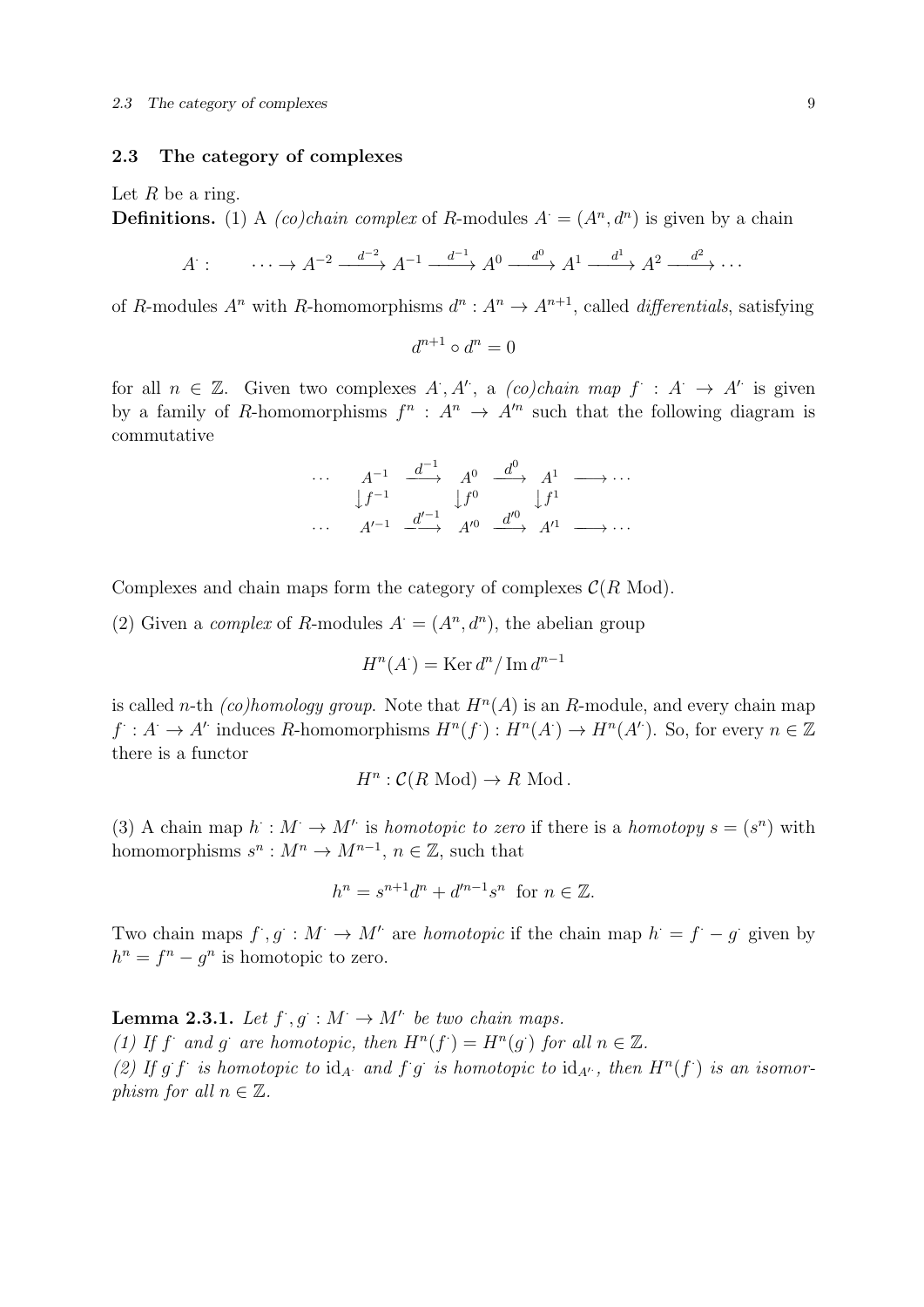#### 2.3 The category of complexes

Let  $R$  be a ring.

**Definitions.** (1) A *(co)chain complex* of R-modules  $A = (A^n, d^n)$  is given by a chain

$$
A: \qquad \cdots \to A^{-2} \xrightarrow{d^{-2}} A^{-1} \xrightarrow{d^{-1}} A^0 \xrightarrow{d^0} A^1 \xrightarrow{d^1} A^2 \xrightarrow{d^2} \cdots
$$

of R-modules  $A^n$  with R-homomorphisms  $d^n: A^n \to A^{n+1}$ , called *differentials*, satisfying

$$
d^{n+1} \circ d^n = 0
$$

for all  $n \in \mathbb{Z}$ . Given two complexes  $A, A'$ , a  $(co)chain$  map  $f : A \rightarrow A'$  is given by a family of R-homomorphisms  $f^n$ :  $A^n \to A'^n$  such that the following diagram is commutative

$$
\begin{array}{ccccccc}\n\cdots & A^{-1} & \xrightarrow{d^{-1}} & A^0 & \xrightarrow{d^0} & A^1 & \longrightarrow \cdots \\
\downarrow f^{-1} & & \downarrow f^0 & & \downarrow f^1 & \\
\cdots & A'^{-1} & \xrightarrow{d'^{-1}} & A'^0 & \xrightarrow{d'^0} & A'^1 & \longrightarrow \cdots\n\end{array}
$$

Complexes and chain maps form the category of complexes  $\mathcal{C}(R \text{ Mod})$ .

(2) Given a *complex* of R-modules  $A = (A^n, d^n)$ , the abelian group

$$
H^n(A^{\cdot}) = \text{Ker} \, d^n / \, \text{Im} \, d^{n-1}
$$

is called n-th (co)homology group. Note that  $H<sup>n</sup>(A)$  is an R-module, and every chain map  $f: A \to A'$  induces R-homomorphisms  $H^n(f): H^n(A') \to H^n(A')$ . So, for every  $n \in \mathbb{Z}$ there is a functor

$$
H^n: \mathcal{C}(R \text{ Mod}) \to R \text{ Mod}.
$$

(3) A chain map  $h : M \to M'$  is homotopic to zero if there is a homotopy  $s = (s^n)$  with homomorphisms  $s^n : M^n \to M^{n-1}$ ,  $n \in \mathbb{Z}$ , such that

$$
h^{n} = s^{n+1}d^{n} + d'^{n-1}s^{n}
$$
 for  $n \in \mathbb{Z}$ .

Two chain maps  $f, g: M \to M'$  are homotopic if the chain map  $h = f - g$  given by  $h^n = f^n - g^n$  is homotopic to zero.

**Lemma 2.3.1.** Let  $f, g : M \to M'$  be two chain maps. (1) If f and g are homotopic, then  $H^n(f^{\cdot}) = H^n(g^{\cdot})$  for all  $n \in \mathbb{Z}$ . (2) If g f is homotopic to  $id_A$  and f g is homotopic to  $id_{A'}$ , then  $H^n(f)$  is an isomorphism for all  $n \in \mathbb{Z}$ .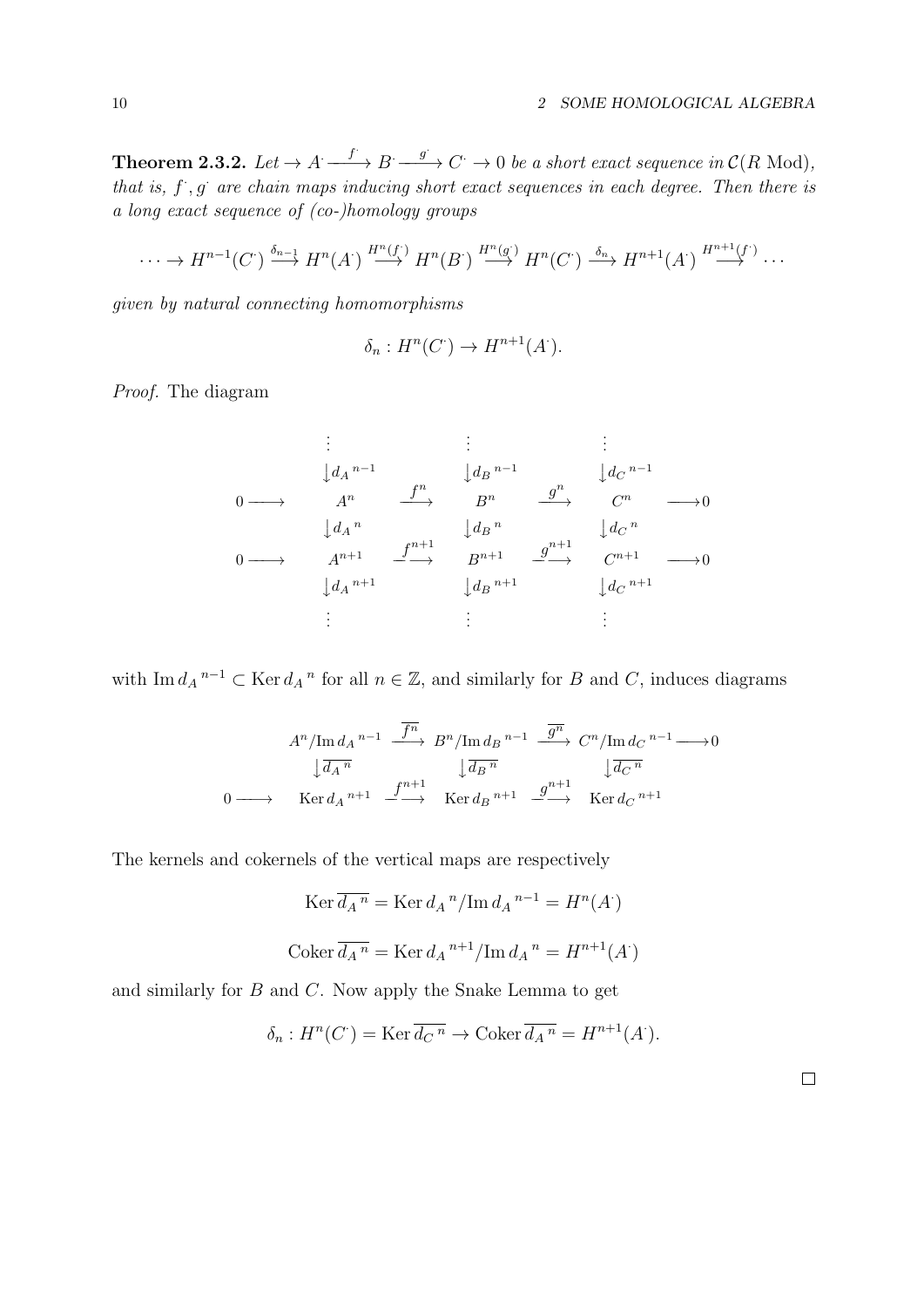**Theorem 2.3.2.** Let  $\rightarrow A \xrightarrow{f} B \xrightarrow{g} C \rightarrow 0$  be a short exact sequence in  $\mathcal{C}(R \text{ Mod})$ , that is,  $f$ ,  $g$  are chain maps inducing short exact sequences in each degree. Then there is a long exact sequence of (co-)homology groups

$$
\cdots \to H^{n-1}(C^{\cdot}) \xrightarrow{\delta_{n-1}} H^n(A^{\cdot}) \xrightarrow{H^n(f)} H^n(B^{\cdot}) \xrightarrow{H^n(g)} H^n(C^{\cdot}) \xrightarrow{\delta_n} H^{n+1}(A^{\cdot}) \xrightarrow{H^{n+1}(f^{\cdot})} \cdots
$$

given by natural connecting homomorphisms

$$
\delta_n: H^n(C^{\cdot}) \to H^{n+1}(A^{\cdot}).
$$

Proof. The diagram

. . . . . . . . . <sup>y</sup>d<sup>A</sup> n−1 <sup>y</sup>d<sup>B</sup> n−1 <sup>y</sup>d<sup>C</sup> n−1 0 −−−→ A<sup>n</sup> −− f n −→ B<sup>n</sup> −− g n −→ C <sup>n</sup> −−−→0 <sup>y</sup>d<sup>A</sup> n <sup>y</sup>d<sup>B</sup> n <sup>y</sup>d<sup>C</sup> n 0 −−−→ An+1 −− f n+1 −→ Bn+1 −− g n+1 −→ C <sup>n</sup>+1 −−−→0 <sup>y</sup>d<sup>A</sup> n+1 <sup>y</sup>d<sup>B</sup> n+1 <sup>y</sup>d<sup>C</sup> n+1 . . . . . . . . .

with Im  $d_A^{n-1} \subset \text{Ker } d_A^n$  for all  $n \in \mathbb{Z}$ , and similarly for B and C, induces diagrams

$$
A^{n}/\text{Im } d_{A} {}^{n-1} \xrightarrow{\overline{f^{n}}} B^{n}/\text{Im } d_{B} {}^{n-1} \xrightarrow{\overline{g^{n}}} C^{n}/\text{Im } d_{C} {}^{n-1} \longrightarrow 0
$$

$$
\downarrow \overline{d_{A} {}^{n}} \qquad \qquad \downarrow \overline{d_{B} {}^{n}} \qquad \qquad \downarrow \overline{d_{C} {}^{n}}
$$

$$
0 \longrightarrow \qquad \text{Ker } d_{A} {}^{n+1} \xrightarrow{f^{n+1}} \text{Ker } d_{B} {}^{n+1} \xrightarrow{g^{n+1}} \text{Ker } d_{C} {}^{n+1}
$$

The kernels and cokernels of the vertical maps are respectively

$$
\operatorname{Ker} \overline{d_A}^n = \operatorname{Ker} d_A{}^n / \operatorname{Im} d_A{}^{n-1} = H^n(A')
$$
  

$$
\operatorname{Coker} \overline{d_A}^n = \operatorname{Ker} d_A{}^{n+1} / \operatorname{Im} d_A{}^n = H^{n+1}(A')
$$

and similarly for B and C. Now apply the Snake Lemma to get

$$
\delta_n: H^n(C^{\cdot}) = \text{Ker}\,\overline{d_{C}^{\,n}} \to \text{Coker}\,\overline{d_A^{\,n}} = H^{n+1}(A^{\cdot}).
$$

 $\Box$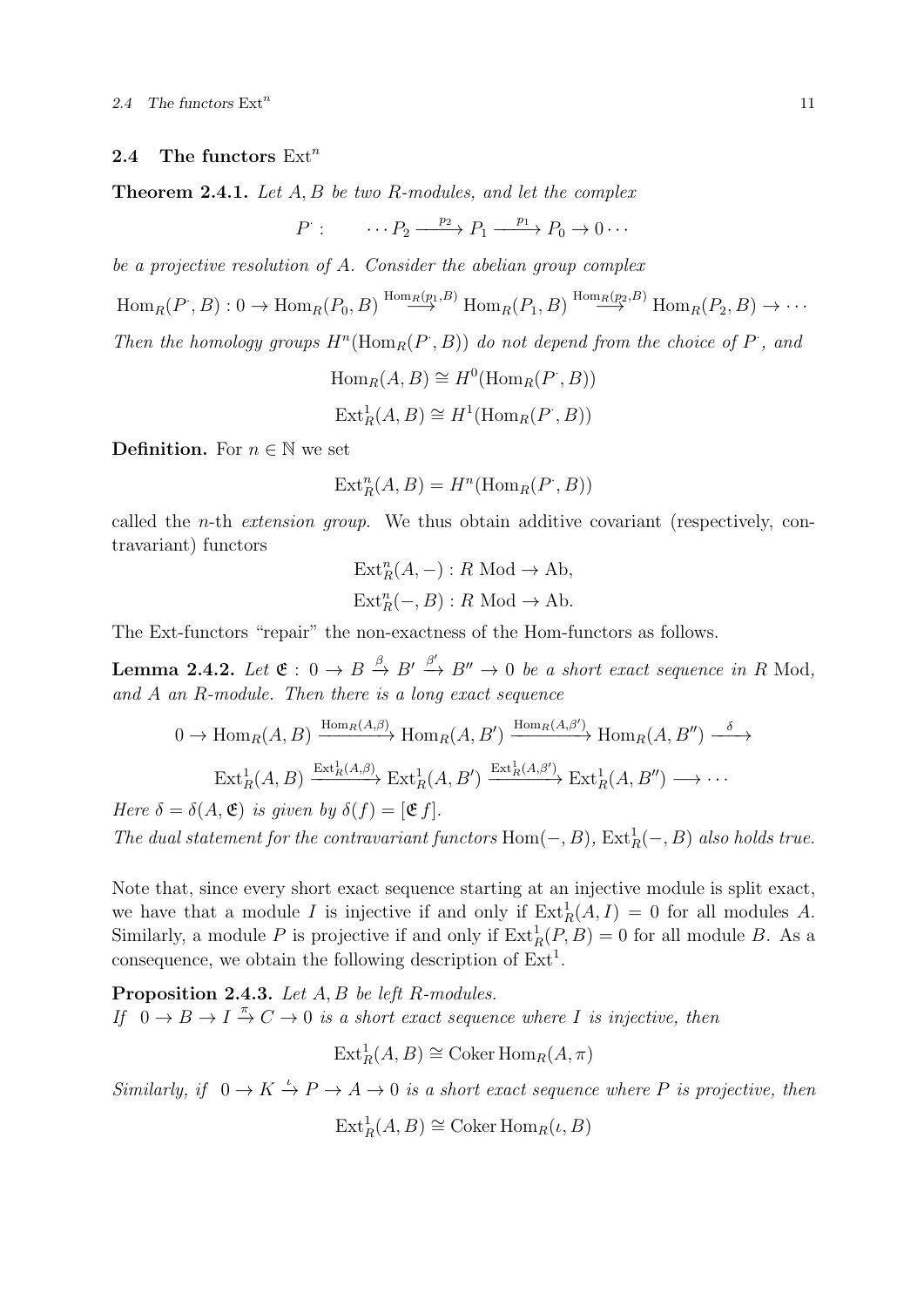#### 2.4 The functors  $\text{Ext}^n$

Theorem 2.4.1. Let A, B be two R-modules, and let the complex

 $P: \cdots P_2 \xrightarrow{p_2} P_1 \xrightarrow{p_1} P_0 \to 0 \cdots$ 

be a projective resolution of A. Consider the abelian group complex

 $\text{Hom}_R(P^., B) : 0 \to \text{Hom}_R(P_0, B) \stackrel{\text{Hom}_R(p_1, B)}{\longrightarrow} \text{Hom}_R(P_1, B) \stackrel{\text{Hom}_R(p_2, B)}{\longrightarrow} \text{Hom}_R(P_2, B) \to \cdots$ Then the homology groups  $H^n(\text{Hom}_R(P, B))$  do not depend from the choice of P, and

```
\text{Hom}_R(A, B) \cong H^0(\text{Hom}_R(P^*, B))\text{Ext}_{R}^{1}(A, B) \cong H^{1}(\text{Hom}_{R}(P, B))
```
**Definition.** For  $n \in \mathbb{N}$  we set

$$
Ext_R^n(A, B) = H^n(\text{Hom}_R(P', B))
$$

called the n-th extension group. We thus obtain additive covariant (respectively, contravariant) functors

$$
Ext_R^n(A, -) : R \text{ Mod} \to \text{Ab},
$$
  

$$
Ext_R^n(-, B) : R \text{ Mod} \to \text{Ab}.
$$

The Ext-functors "repair" the non-exactness of the Hom-functors as follows.

**Lemma 2.4.2.** Let  $\mathfrak{E}: 0 \to B \stackrel{\beta}{\to} B' \stackrel{\beta'}{\to} B'' \to 0$  be a short exact sequence in R Mod, and A an R-module. Then there is a long exact sequence

$$
0 \to \text{Hom}_{R}(A, B) \xrightarrow{\text{Hom}_{R}(A, \beta)} \text{Hom}_{R}(A, B') \xrightarrow{\text{Hom}_{R}(A, \beta')} \text{Hom}_{R}(A, B'') \xrightarrow{\delta} \text{Ext}_{R}^{1}(A, B) \xrightarrow{\text{Ext}_{R}^{1}(A, \beta')} \text{Ext}_{R}^{1}(A, B'') \xrightarrow{\delta}
$$
\n
$$
\text{Ext}_{R}^{1}(A, B) \xrightarrow{\text{Ext}_{R}^{1}(A, \beta)} \text{Ext}_{R}^{1}(A, B'') \xrightarrow{\text{Ext}_{R}^{1}(A, \beta')} \text{Ext}_{R}^{1}(A, B'') \xrightarrow{\delta} \cdots
$$

Here  $\delta = \delta(A, \mathfrak{E})$  is given by  $\delta(f) = [\mathfrak{E} f]$ . The dual statement for the contravariant functors  $Hom(-, B)$ ,  $Ext_R^1(-, B)$  also holds true.

Note that, since every short exact sequence starting at an injective module is split exact, we have that a module I is injective if and only if  $\text{Ext}^1_R(A, I) = 0$  for all modules A. Similarly, a module P is projective if and only if  $\text{Ext}^1_R(P, B) = 0$  for all module B. As a consequence, we obtain the following description of  $Ext<sup>1</sup>$ .

Proposition 2.4.3. Let A, B be left R-modules. If  $0 \to B \to I \stackrel{\pi}{\to} C \to 0$  is a short exact sequence where I is injective, then

 $\operatorname{Ext}^1_R(A,B) \cong \operatorname{Coker} \operatorname{Hom}_R(A,\pi)$ 

Similarly, if  $0 \to K \stackrel{\iota}{\to} P \to A \to 0$  is a short exact sequence where P is projective, then

 $\text{Ext}_{R}^{1}(A, B) \cong \text{Coker Hom}_{R}(\iota, B)$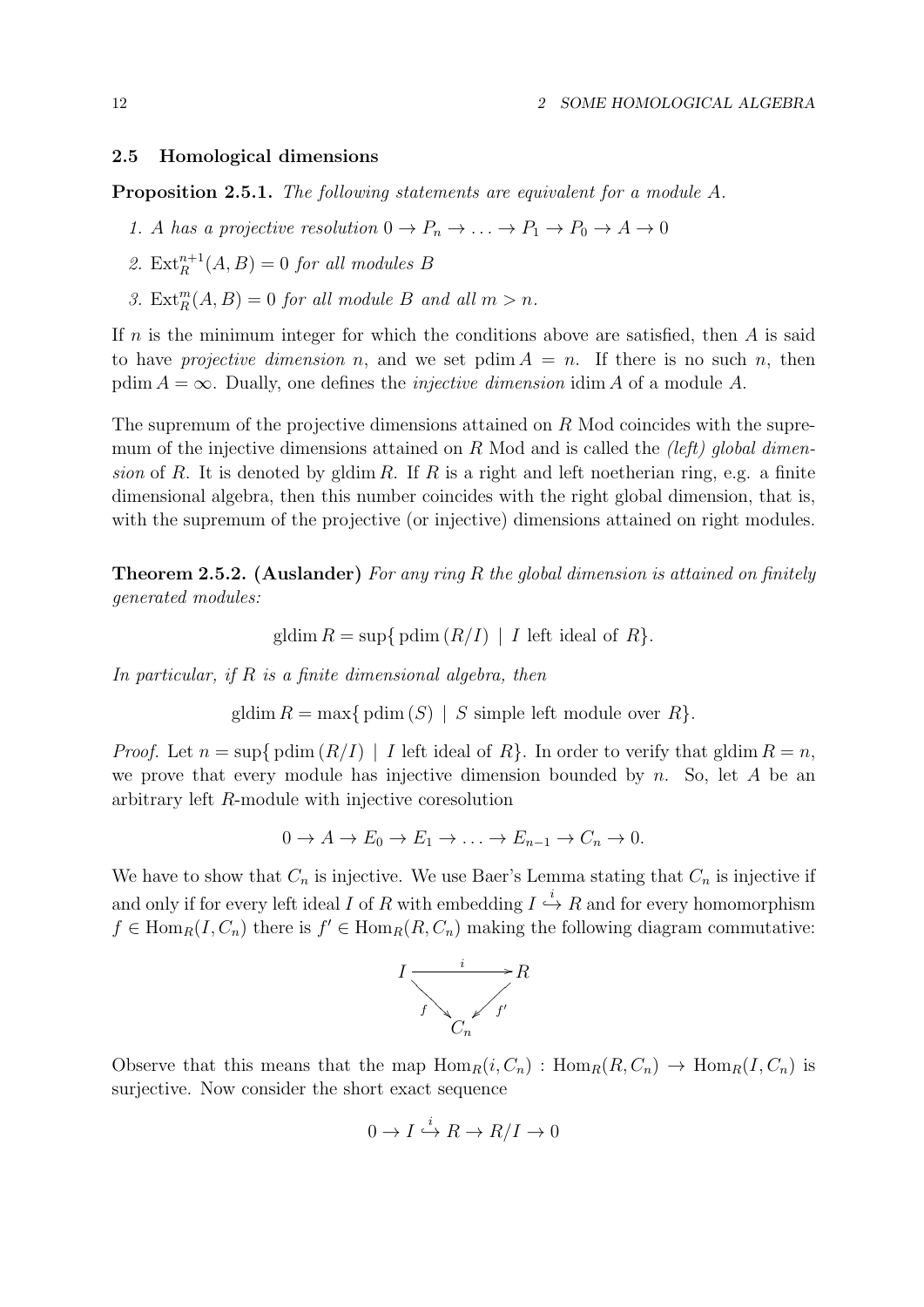## 2.5 Homological dimensions

Proposition 2.5.1. The following statements are equivalent for a module A.

- 1. A has a projective resolution  $0 \to P_n \to \ldots \to P_1 \to P_0 \to A \to 0$
- 2.  $\text{Ext}_{R}^{n+1}(A, B) = 0$  for all modules B
- 3.  $\text{Ext}_{R}^{m}(A, B) = 0$  for all module B and all  $m > n$ .

If  $n$  is the minimum integer for which the conditions above are satisfied, then  $A$  is said to have projective dimension n, and we set pdim  $A = n$ . If there is no such n, then pdim  $A = \infty$ . Dually, one defines the *injective dimension* idim A of a module A.

The supremum of the projective dimensions attained on R Mod coincides with the supremum of the injective dimensions attained on R Mod and is called the *(left)* global dimension of R. It is denoted by gldim R. If R is a right and left noetherian ring, e.g. a finite dimensional algebra, then this number coincides with the right global dimension, that is, with the supremum of the projective (or injective) dimensions attained on right modules.

**Theorem 2.5.2.** (Auslander) For any ring R the global dimension is attained on finitely generated modules:

$$
gldim R = \sup\{ \operatorname{pdim}(R/I) \mid I \text{ left ideal of } R \}
$$

In particular, if  $R$  is a finite dimensional algebra, then

gldim  $R = \max\{ \text{pdim}(S) \mid S \text{ simple left module over } R \}.$ 

*Proof.* Let  $n = \sup\{\text{pdim}(R/I) \mid I\}$  left ideal of  $R\}$ . In order to verify that gldim  $R = n$ , we prove that every module has injective dimension bounded by n. So, let A be an arbitrary left R-module with injective coresolution

$$
0 \to A \to E_0 \to E_1 \to \dots \to E_{n-1} \to C_n \to 0.
$$

We have to show that  $C_n$  is injective. We use Baer's Lemma stating that  $C_n$  is injective if and only if for every left ideal I of R with embedding  $I \stackrel{i}{\hookrightarrow} R$  and for every homomorphism  $f \in \text{Hom}_{R}(I, C_n)$  there is  $f' \in \text{Hom}_{R}(R, C_n)$  making the following diagram commutative:



Observe that this means that the map  $\text{Hom}_R(i, C_n) : \text{Hom}_R(R, C_n) \to \text{Hom}_R(I, C_n)$  is surjective. Now consider the short exact sequence

$$
0 \to I \stackrel{i}{\hookrightarrow} R \to R/I \to 0
$$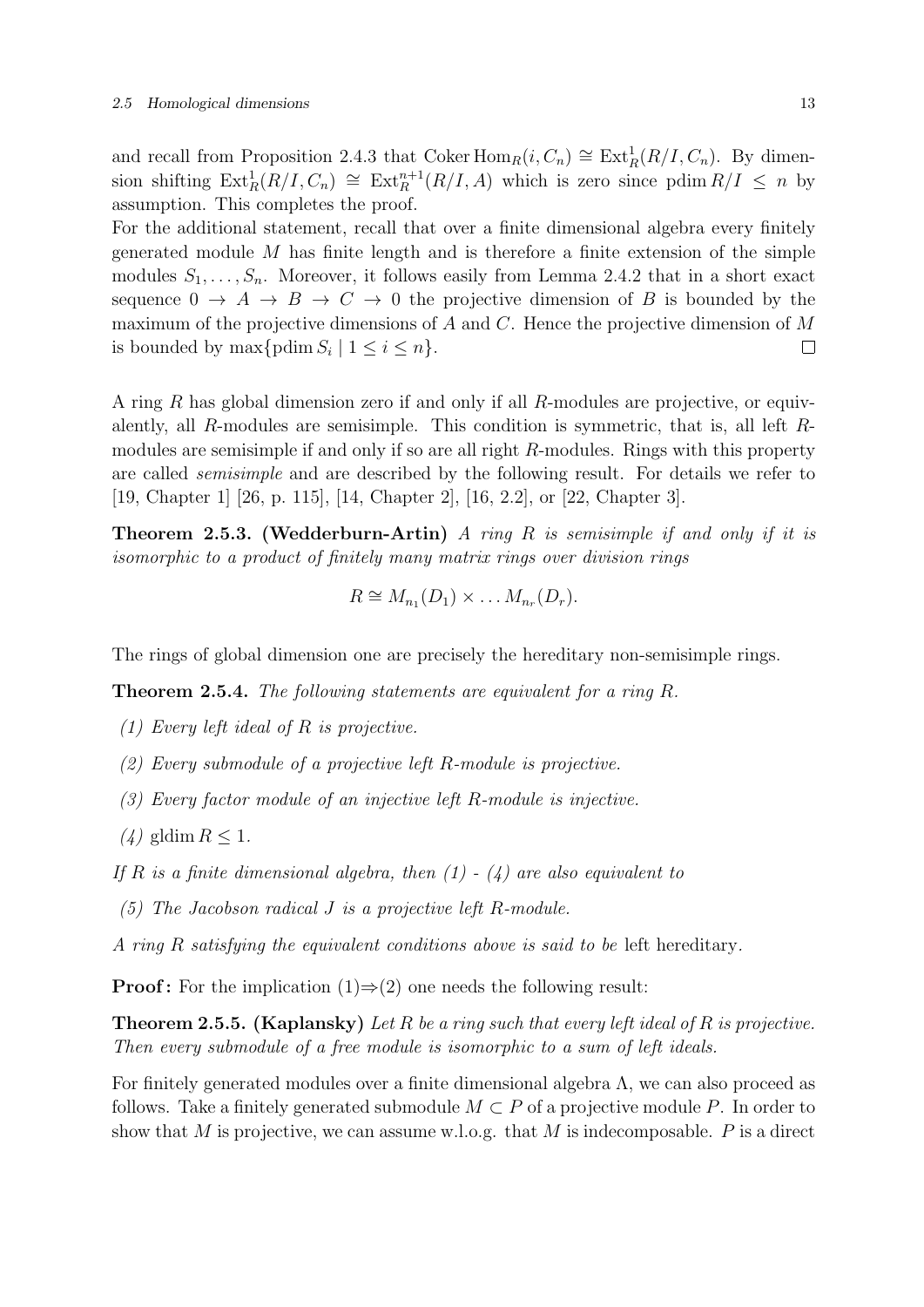and recall from Proposition 2.4.3 that Coker  $\text{Hom}_R(i, C_n) \cong \text{Ext}^1_R(R/I, C_n)$ . By dimension shifting  $\text{Ext}^1_R(R/I, C_n) \cong \text{Ext}^{n+1}_R(R/I, A)$  which is zero since pdim  $R/I \leq n$  by assumption. This completes the proof.

For the additional statement, recall that over a finite dimensional algebra every finitely generated module  $M$  has finite length and is therefore a finite extension of the simple modules  $S_1, \ldots, S_n$ . Moreover, it follows easily from Lemma 2.4.2 that in a short exact sequence  $0 \to A \to B \to C \to 0$  the projective dimension of B is bounded by the maximum of the projective dimensions of  $A$  and  $C$ . Hence the projective dimension of  $M$ is bounded by  $\max\{\text{pdim } S_i \mid 1 \leq i \leq n\}.$  $\Box$ 

A ring R has global dimension zero if and only if all R-modules are projective, or equivalently, all R-modules are semisimple. This condition is symmetric, that is, all left Rmodules are semisimple if and only if so are all right R-modules. Rings with this property are called semisimple and are described by the following result. For details we refer to [19, Chapter 1] [26, p. 115], [14, Chapter 2], [16, 2.2], or [22, Chapter 3].

**Theorem 2.5.3. (Wedderburn-Artin)** A ring R is semisimple if and only if it is isomorphic to a product of finitely many matrix rings over division rings

$$
R \cong M_{n_1}(D_1) \times \ldots M_{n_r}(D_r).
$$

The rings of global dimension one are precisely the hereditary non-semisimple rings.

**Theorem 2.5.4.** The following statements are equivalent for a ring  $R$ .

- (1) Every left ideal of R is projective.
- (2) Every submodule of a projective left R-module is projective.
- (3) Every factor module of an injective left R-module is injective.
- $(4)$  gldim  $R \leq 1$ .
- If R is a finite dimensional algebra, then  $(1)$   $(4)$  are also equivalent to
- (5) The Jacobson radical J is a projective left R-module.
- A ring R satisfying the equivalent conditions above is said to be left hereditary.

**Proof:** For the implication  $(1) \Rightarrow (2)$  one needs the following result:

**Theorem 2.5.5. (Kaplansky)** Let R be a ring such that every left ideal of R is projective. Then every submodule of a free module is isomorphic to a sum of left ideals.

For finitely generated modules over a finite dimensional algebra Λ, we can also proceed as follows. Take a finitely generated submodule  $M \subset P$  of a projective module P. In order to show that M is projective, we can assume w.l.o.g. that M is indecomposable.  $P$  is a direct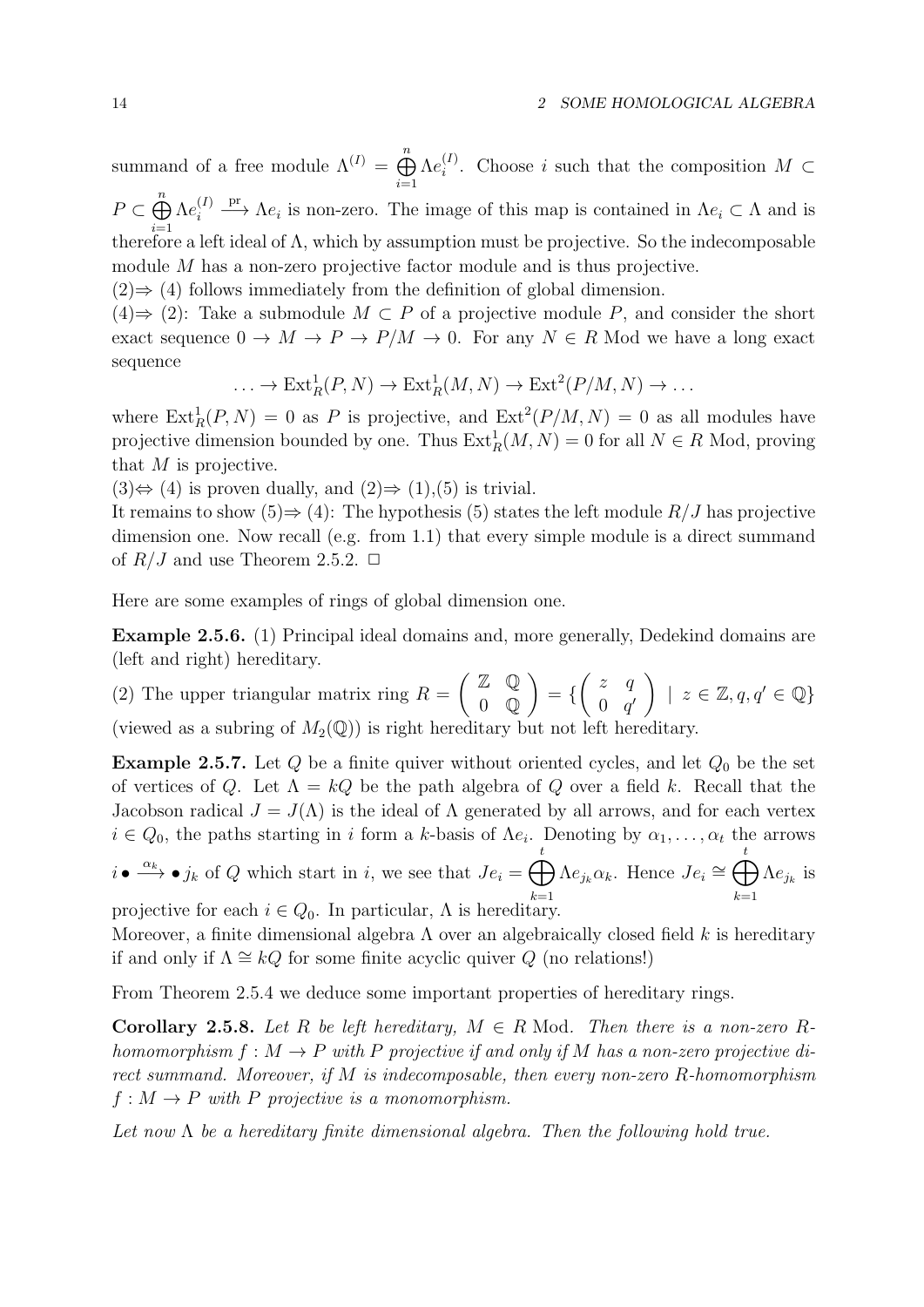summand of a free module  $\Lambda^{(I)} = \bigoplus_{n=1}^{n}$  $i=1$  $\Lambda e^{(I)}_i$  $i^{(1)}$ . Choose i such that the composition  $M \subset$  $P \subset \bigoplus^n$  $\frac{i=1}{i}$  $\Lambda e^{(I)}_i$ i  $\stackrel{\text{pr}}{\longrightarrow}$   $\Lambda e_i$  is non-zero. The image of this map is contained in  $\Lambda e_i \subset \Lambda$  and is therefore a left ideal of  $\Lambda$ , which by assumption must be projective. So the indecomposable module M has a non-zero projective factor module and is thus projective.

 $(2) \Rightarrow (4)$  follows immediately from the definition of global dimension.

 $(4) \Rightarrow (2)$ : Take a submodule  $M \subset P$  of a projective module P, and consider the short exact sequence  $0 \to M \to P \to P/M \to 0$ . For any  $N \in R$  Mod we have a long exact sequence

$$
\ldots \to \mathrm{Ext}^1_R(P, N) \to \mathrm{Ext}^1_R(M, N) \to \mathrm{Ext}^2(P/M, N) \to \ldots
$$

where  $\text{Ext}^1_R(P, N) = 0$  as P is projective, and  $\text{Ext}^2(P/M, N) = 0$  as all modules have projective dimension bounded by one. Thus  $\text{Ext}^1_R(M, N) = 0$  for all  $N \in R$  Mod, proving that  $M$  is projective.

 $(3) \Leftrightarrow (4)$  is proven dually, and  $(2) \Rightarrow (1), (5)$  is trivial.

It remains to show  $(5) \Rightarrow (4)$ : The hypothesis (5) states the left module  $R/J$  has projective dimension one. Now recall (e.g. from 1.1) that every simple module is a direct summand of  $R/J$  and use Theorem 2.5.2.  $\Box$ 

Here are some examples of rings of global dimension one.

Example 2.5.6. (1) Principal ideal domains and, more generally, Dedekind domains are (left and right) hereditary.

(2) The upper triangular matrix ring  $R =$  $(Z Q)$ 0 Q  $\setminus$ = {  $\begin{pmatrix} z & q \end{pmatrix}$  $0 \quad q'$  $\Big\}$  |  $z \in \mathbb{Z}, q, q' \in \mathbb{Q}$ } (viewed as a subring of  $M_2(\mathbb{Q})$ ) is right hereditary but not left hereditary.

**Example 2.5.7.** Let  $Q$  be a finite quiver without oriented cycles, and let  $Q_0$  be the set of vertices of Q. Let  $\Lambda = kQ$  be the path algebra of Q over a field k. Recall that the Jacobson radical  $J = J(\Lambda)$  is the ideal of  $\Lambda$  generated by all arrows, and for each vertex  $i \in Q_0$ , the paths starting in i form a k-basis of  $\Lambda e_i$ . Denoting by  $\alpha_1, \ldots, \alpha_t$  the arrows t t

 $i \bullet \stackrel{\alpha_k}{\longrightarrow} \bullet j_k$  of Q which start in i, we see that  $Je_i = \bigoplus$  $k=1$  $\Lambda e_{j_k} \alpha_k$ . Hence  $Je_i \cong \bigoplus$  $k=1$  $\Lambda e_{j_k}$  is projective for each  $i \in Q_0$ . In particular,  $\Lambda$  is hereditary.

Moreover, a finite dimensional algebra  $\Lambda$  over an algebraically closed field k is hereditary if and only if  $\Lambda \cong kQ$  for some finite acyclic quiver Q (no relations!)

From Theorem 2.5.4 we deduce some important properties of hereditary rings.

**Corollary 2.5.8.** Let R be left hereditary,  $M \in R$  Mod. Then there is a non-zero Rhomomorphism  $f : M \to P$  with P projective if and only if M has a non-zero projective direct summand. Moreover, if M is indecomposable, then every non-zero  $R$ -homomorphism  $f: M \to P$  with P projective is a monomorphism.

Let now  $\Lambda$  be a hereditary finite dimensional algebra. Then the following hold true.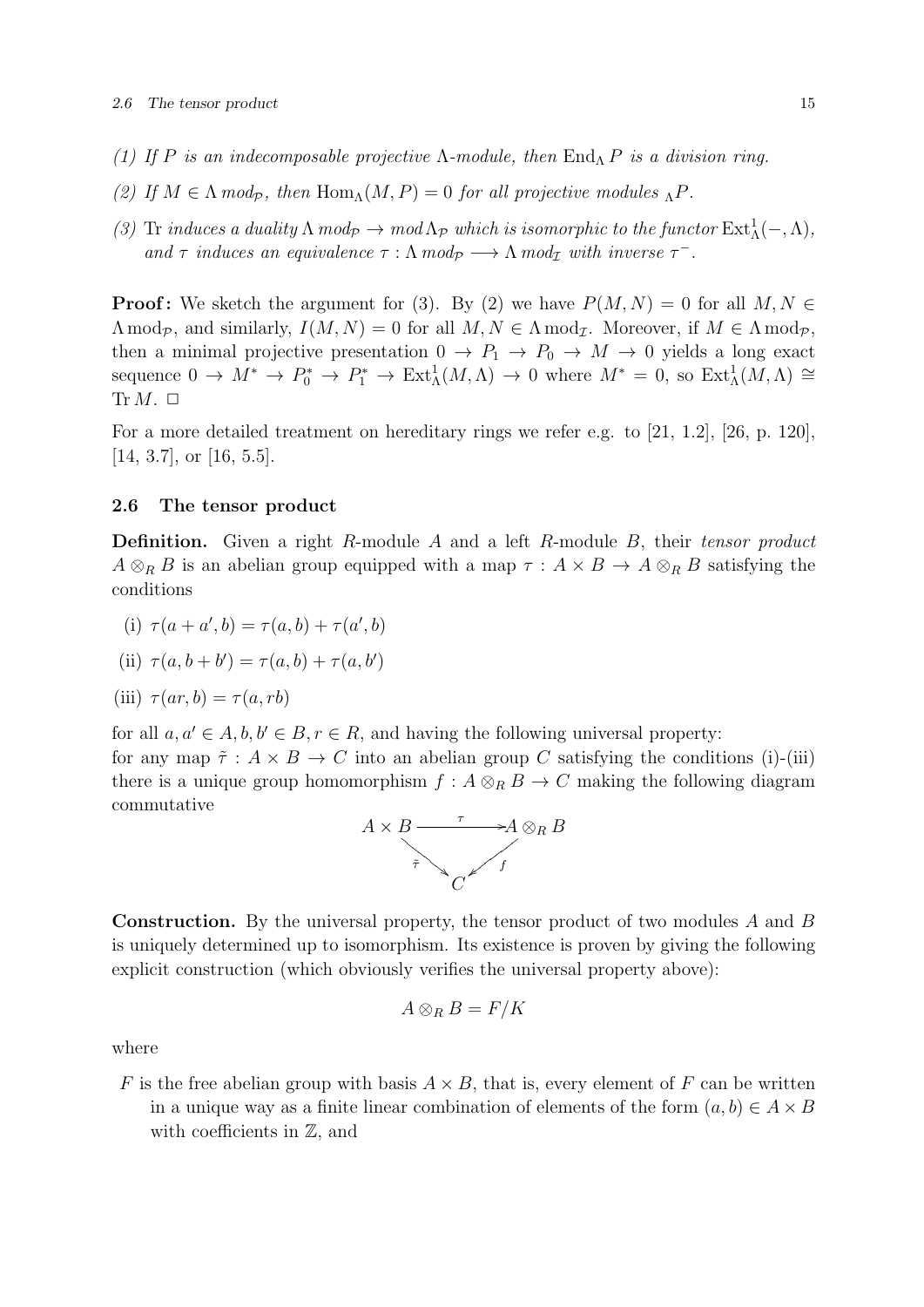- (1) If P is an indecomposable projective  $\Lambda$ -module, then  $\text{End}_{\Lambda}$  P is a division ring.
- (2) If  $M \in \Lambda \mod_p$ , then  $\text{Hom}_{\Lambda}(M, P) = 0$  for all projective modules  $_{\Lambda}P$ .
- (3) Tr induces a duality  $\Lambda \mod_{\mathcal{P}} \to \mod \Lambda_{\mathcal{P}}$  which is isomorphic to the functor  $\text{Ext}^1_{\Lambda}(-, \Lambda)$ , and  $\tau$  induces an equivalence  $\tau : \Lambda \mod_p \longrightarrow \Lambda \mod_p \text{ with inverse } \tau^-$ .

**Proof:** We sketch the argument for (3). By (2) we have  $P(M, N) = 0$  for all  $M, N \in$  $\Lambda \bmod_{\mathcal{P}}$ , and similarly,  $I(M, N) = 0$  for all  $M, N \in \Lambda \bmod_{\mathcal{I}}$ . Moreover, if  $M \in \Lambda \bmod_{\mathcal{P}}$ , then a minimal projective presentation  $0 \to P_1 \to P_0 \to M \to 0$  yields a long exact sequence  $0 \to M^* \to P_0^* \to P_1^* \to \text{Ext}^1_{\Lambda}(M,\Lambda) \to 0$  where  $M^* = 0$ , so  $\text{Ext}^1_{\Lambda}(M,\Lambda) \cong$  $\text{Tr } M. \square$ 

For a more detailed treatment on hereditary rings we refer e.g. to [21, 1.2], [26, p. 120], [14, 3.7], or [16, 5.5].

## 2.6 The tensor product

**Definition.** Given a right R-module A and a left R-module B, their tensor product  $A \otimes_R B$  is an abelian group equipped with a map  $\tau : A \times B \to A \otimes_R B$  satisfying the conditions

- (i)  $\tau(a + a', b) = \tau(a, b) + \tau(a', b)$
- (ii)  $\tau(a, b + b') = \tau(a, b) + \tau(a, b')$

(iii) 
$$
\tau(ar, b) = \tau(a, rb)
$$

for all  $a, a' \in A, b, b' \in B, r \in R$ , and having the following universal property:

for any map  $\tilde{\tau}: A \times B \to C$  into an abelian group C satisfying the conditions (i)-(iii) there is a unique group homomorphism  $f : A \otimes_R B \to C$  making the following diagram commutative



Construction. By the universal property, the tensor product of two modules A and B is uniquely determined up to isomorphism. Its existence is proven by giving the following explicit construction (which obviously verifies the universal property above):

$$
A\otimes_R B = F/K
$$

where

F is the free abelian group with basis  $A \times B$ , that is, every element of F can be written in a unique way as a finite linear combination of elements of the form  $(a, b) \in A \times B$ with coefficients in  $\mathbb{Z}$ , and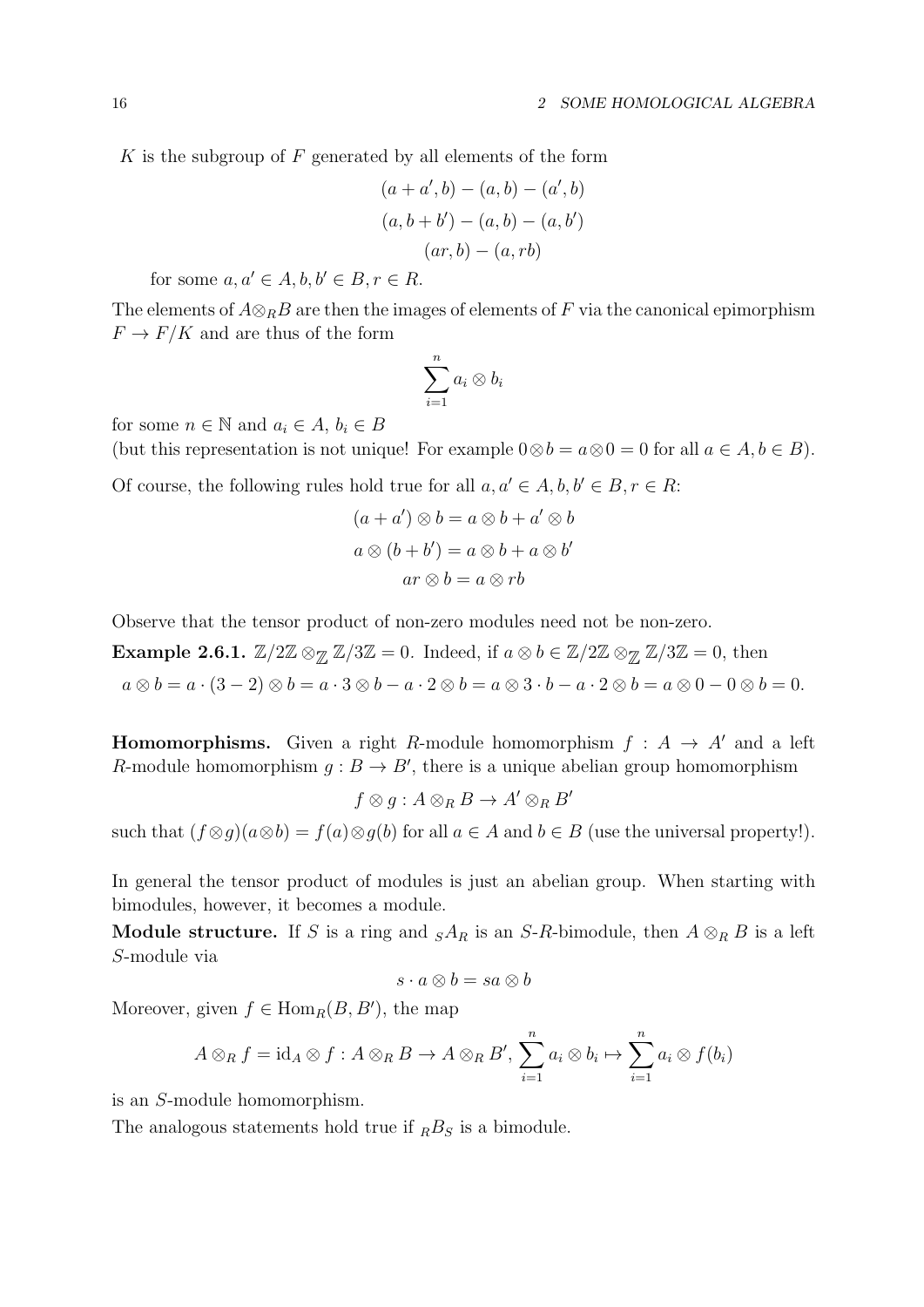$K$  is the subgroup of  $F$  generated by all elements of the form

$$
(a + a', b) - (a, b) - (a', b)
$$

$$
(a, b + b') - (a, b) - (a, b')
$$

$$
(ar, b) - (a, rb)
$$

for some  $a, a' \in A, b, b' \in B, r \in R$ .

The elements of  $A\otimes_R B$  are then the images of elements of F via the canonical epimorphism  $F \to F/K$  and are thus of the form

$$
\sum_{i=1}^n a_i \otimes b_i
$$

for some  $n \in \mathbb{N}$  and  $a_i \in A$ ,  $b_i \in B$ 

(but this representation is not unique! For example  $0 \otimes b = a \otimes 0 = 0$  for all  $a \in A, b \in B$ ).

Of course, the following rules hold true for all  $a, a' \in A, b, b' \in B, r \in R$ :

$$
(a + a') \otimes b = a \otimes b + a' \otimes b
$$

$$
a \otimes (b + b') = a \otimes b + a \otimes b'
$$

$$
ar \otimes b = a \otimes rb
$$

Observe that the tensor product of non-zero modules need not be non-zero.

**Example 2.6.1.**  $\mathbb{Z}/2\mathbb{Z} \otimes_{\mathbb{Z}} \mathbb{Z}/3\mathbb{Z} = 0$ . Indeed, if  $a \otimes b \in \mathbb{Z}/2\mathbb{Z} \otimes_{\mathbb{Z}} \mathbb{Z}/3\mathbb{Z} = 0$ , then  $a \otimes b = a \cdot (3-2) \otimes b = a \cdot 3 \otimes b - a \cdot 2 \otimes b = a \otimes 3 \cdot b - a \cdot 2 \otimes b = a \otimes 0 - 0 \otimes b = 0.$ 

**Homomorphisms.** Given a right R-module homomorphism  $f : A \rightarrow A'$  and a left R-module homomorphism  $g : B \to B'$ , there is a unique abelian group homomorphism

 $f \otimes g : A \otimes_R B \to A' \otimes_R B'$ 

such that  $(f \otimes g)(a \otimes b) = f(a) \otimes g(b)$  for all  $a \in A$  and  $b \in B$  (use the universal property!).

In general the tensor product of modules is just an abelian group. When starting with bimodules, however, it becomes a module.

Module structure. If S is a ring and  $sA_R$  is an S-R-bimodule, then  $A \otimes_R B$  is a left S-module via

$$
s\cdot a\otimes b=sa\otimes b
$$

Moreover, given  $f \in \text{Hom}_R(B, B')$ , the map

$$
A \otimes_R f = \mathrm{id}_A \otimes f : A \otimes_R B \to A \otimes_R B', \sum_{i=1}^n a_i \otimes b_i \mapsto \sum_{i=1}^n a_i \otimes f(b_i)
$$

is an S-module homomorphism.

The analogous statements hold true if  $<sub>R</sub>B<sub>S</sub>$  is a bimodule.</sub>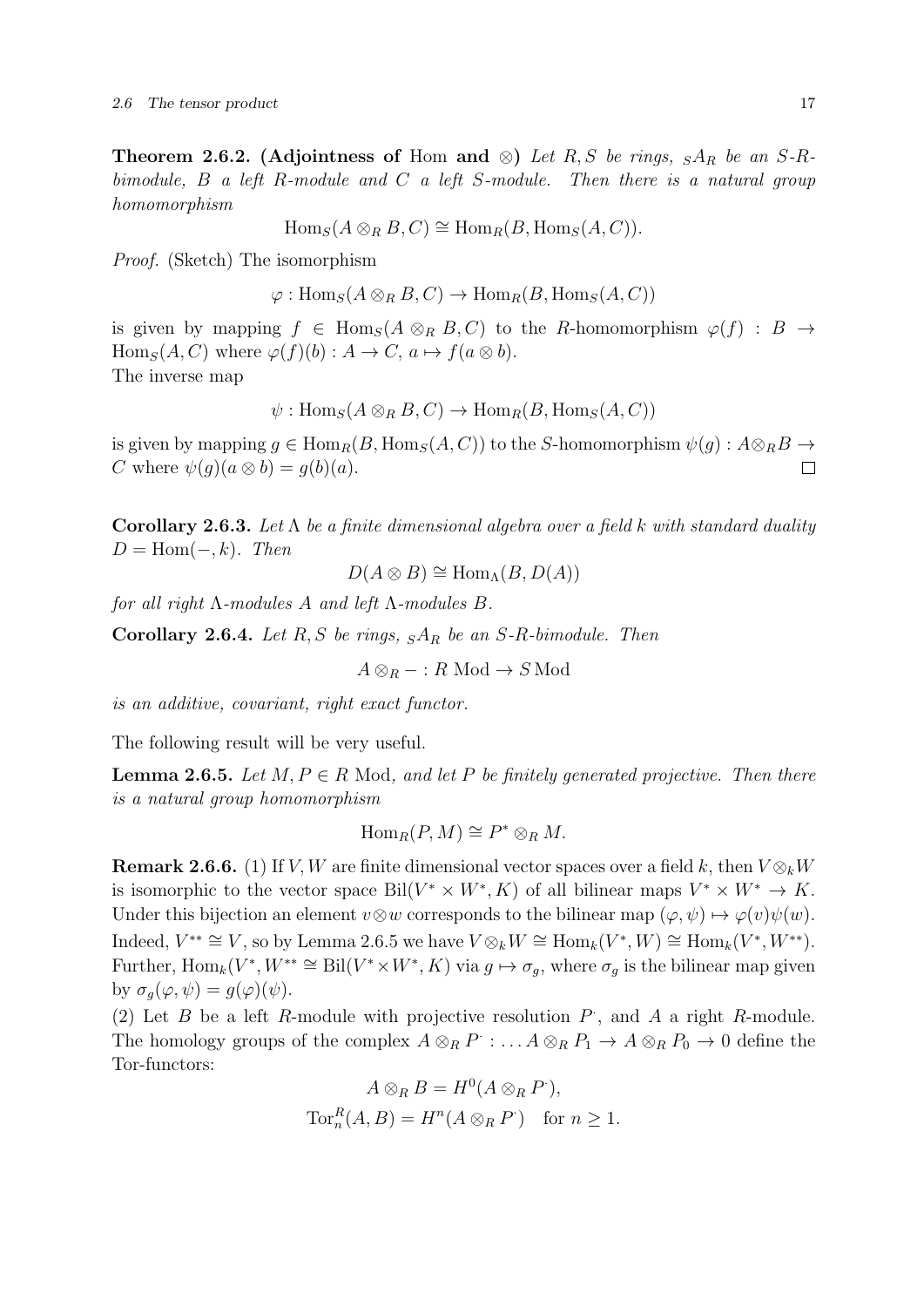Theorem 2.6.2. (Adjointness of Hom and ⊗) Let R, S be rings,  $sA_R$  be an S-Rbimodule,  $B$  a left R-module and  $C$  a left S-module. Then there is a natural group homomorphism

 $\text{Hom}_S(A \otimes_R B, C) \cong \text{Hom}_R(B, \text{Hom}_S(A, C)).$ 

Proof. (Sketch) The isomorphism

 $\varphi: \text{Hom}_S(A \otimes_R B, C) \to \text{Hom}_R(B, \text{Hom}_S(A, C))$ 

is given by mapping  $f \in Hom_S(A \otimes_R B, C)$  to the R-homomorphism  $\varphi(f) : B \to$  $\text{Hom}_S(A, C)$  where  $\varphi(f)(b) : A \to C$ ,  $a \mapsto f(a \otimes b)$ . The inverse map

 $\psi: \text{Hom}_S(A \otimes_R B, C) \to \text{Hom}_R(B, \text{Hom}_S(A, C))$ 

is given by mapping  $g \in \text{Hom}_R(B, \text{Hom}_S(A, C))$  to the S-homomorphism  $\psi(g) : A \otimes_R B \to$ C where  $\psi(q)(a \otimes b) = q(b)(a)$ .  $\Box$ 

Corollary 2.6.3. Let  $\Lambda$  be a finite dimensional algebra over a field k with standard duality  $D = \text{Hom}(-,k)$ . Then

$$
D(A \otimes B) \cong \text{Hom}_{\Lambda}(B, D(A))
$$

for all right  $\Lambda$ -modules  $A$  and left  $\Lambda$ -modules  $B$ .

**Corollary 2.6.4.** Let R, S be rings,  $sA_R$  be an S-R-bimodule. Then

 $A \otimes_R - : R \text{ Mod} \to S \text{ Mod}$ 

is an additive, covariant, right exact functor.

The following result will be very useful.

**Lemma 2.6.5.** Let  $M, P \in R$  Mod, and let P be finitely generated projective. Then there is a natural group homomorphism

$$
\operatorname{Hom}_R(P, M) \cong P^* \otimes_R M.
$$

**Remark 2.6.6.** (1) If V, W are finite dimensional vector spaces over a field k, then  $V \otimes_k W$ is isomorphic to the vector space Bil $(V^* \times W^*, K)$  of all bilinear maps  $V^* \times W^* \to K$ . Under this bijection an element  $v \otimes w$  corresponds to the bilinear map  $(\varphi, \psi) \mapsto \varphi(v)\psi(w)$ . Indeed,  $V^{**} \cong V$ , so by Lemma 2.6.5 we have  $V \otimes_k W \cong \text{Hom}_k(V^*, W) \cong \text{Hom}_k(V^*, W^{**}).$ Further,  $\text{Hom}_k(V^*, W^{**} \cong \text{Bil}(V^* \times W^*, K)$  via  $g \mapsto \sigma_g$ , where  $\sigma_g$  is the bilinear map given by  $\sigma_g(\varphi, \psi) = g(\varphi)(\psi)$ .

(2) Let  $B$  be a left  $R$ -module with projective resolution  $P$ , and  $A$  a right  $R$ -module. The homology groups of the complex  $A \otimes_R P : \ldots A \otimes_R P_1 \to A \otimes_R P_0 \to 0$  define the Tor-functors:

$$
A \otimes_R B = H^0(A \otimes_R P'),
$$
  
Tor<sup>R</sup><sub>n</sub> $(A, B) = H^n(A \otimes_R P')$  for  $n \ge 1$ .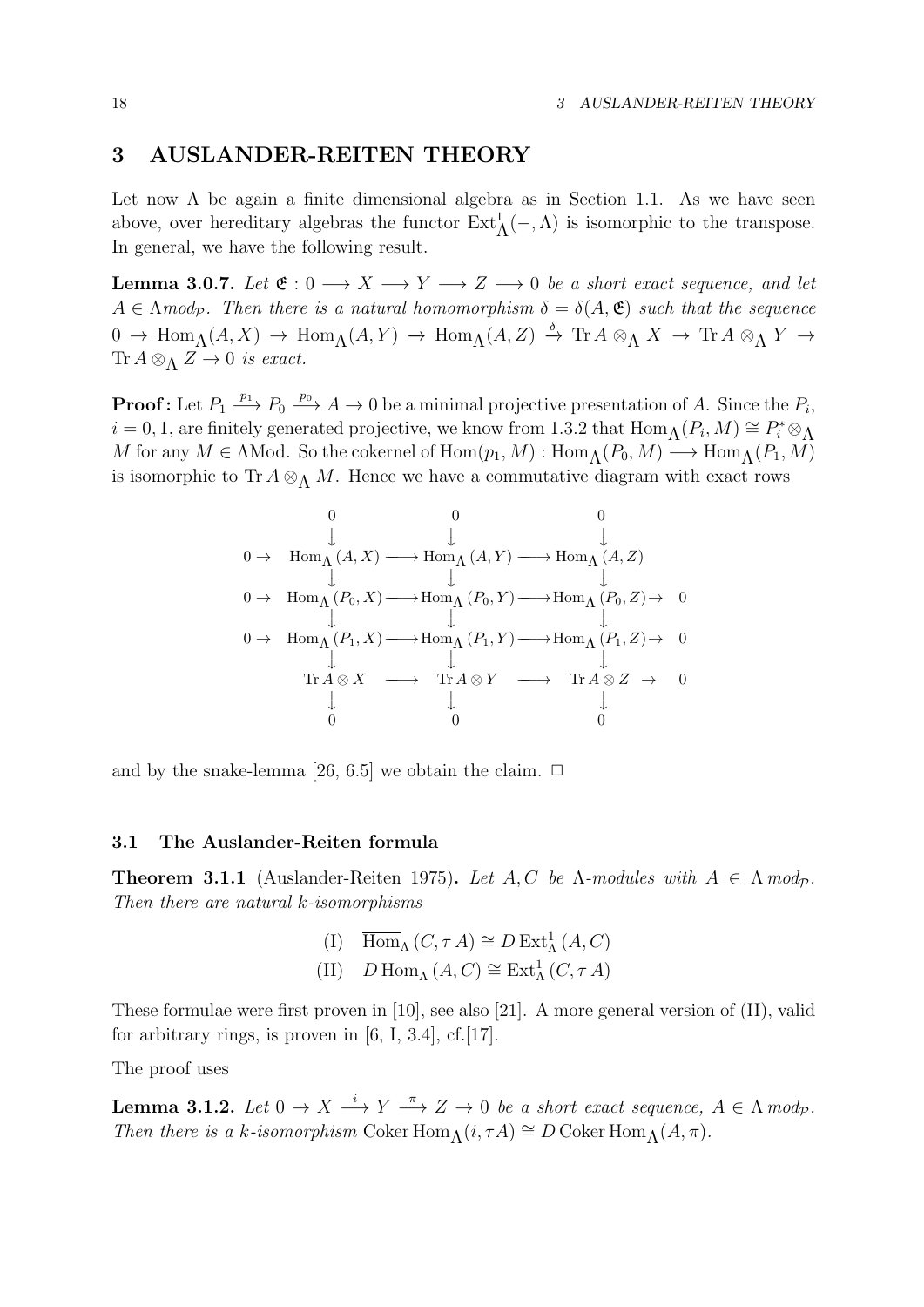## 3 AUSLANDER-REITEN THEORY

Let now  $\Lambda$  be again a finite dimensional algebra as in Section 1.1. As we have seen above, over hereditary algebras the functor  $\text{Ext}_{\Lambda}^1(-, \Lambda)$  is isomorphic to the transpose. In general, we have the following result.

**Lemma 3.0.7.** Let  $\mathfrak{E}: 0 \longrightarrow X \longrightarrow Y \longrightarrow Z \longrightarrow 0$  be a short exact sequence, and let  $A \in \Lambda \text{mod}_{\mathcal{P}}$ . Then there is a natural homomorphism  $\delta = \delta(A, \mathfrak{E})$  such that the sequence  $0 \to \text{Hom}_{\Lambda}(A, X) \to \text{Hom}_{\Lambda}(A, Y) \to \text{Hom}_{\Lambda}(A, Z) \stackrel{\delta}{\to} \text{Tr } A \otimes_{\Lambda} X \to \text{Tr } A \otimes_{\Lambda} Y \to$ Tr  $A \otimes_{\Lambda} Z \rightarrow 0$  is exact.

**Proof:** Let  $P_1 \stackrel{p_1}{\longrightarrow} P_0 \stackrel{p_0}{\longrightarrow} A \to 0$  be a minimal projective presentation of A. Since the  $P_i$ ,  $i = 0, 1$ , are finitely generated projective, we know from 1.3.2 that  $\text{Hom}_{\Lambda}(P_i, M) \cong P_i^* \otimes_{\Lambda}$ M for any  $M \in \Lambda \mathbb{N}$ od. So the cokernel of  $\text{Hom}(p_1, M) : \text{Hom}_{\Lambda}(P_0, M) \longrightarrow \text{Hom}_{\Lambda}(P_1, M)$ is isomorphic to Tr  $A \otimes_{\Lambda} M$ . Hence we have a commutative diagram with exact rows

$$
\begin{array}{ccccccc} & & 0 & & 0 & & 0 & \\ \downarrow & & \downarrow & & \downarrow & & \\ 0 \rightarrow & {\rm Hom}_{\Lambda}(A,X) \longrightarrow {\rm Hom}_{\Lambda}(A,Y) \longrightarrow {\rm Hom}_{\Lambda}(A,Z) & \\ 0 \rightarrow & {\rm Hom}_{\Lambda}(P_{0},X) \longrightarrow {\rm Hom}_{\Lambda}(P_{0},Y) \longrightarrow {\rm Hom}_{\Lambda}(P_{0},Z) \rightarrow & 0 \\ & & \downarrow & & \downarrow & & \\ 0 \rightarrow & {\rm Hom}_{\Lambda}(P_{1},X) \longrightarrow {\rm Hom}_{\Lambda}(P_{1},Y) \longrightarrow {\rm Hom}_{\Lambda}(P_{1},Z) \rightarrow & 0 \\ & & \downarrow & & \downarrow & & \\ {\rm Tr}\, A \otimes X & \longrightarrow & {\rm Tr}\, A \otimes Y & \longrightarrow & {\rm Tr}\, A \otimes Z & \rightarrow & 0 \\ & & \downarrow & & \downarrow & & \\ 0 & & 0 & & 0 & & \\ \end{array}
$$

and by the snake-lemma [26, 6.5] we obtain the claim.  $\Box$ 

## 3.1 The Auslander-Reiten formula

**Theorem 3.1.1** (Auslander-Reiten 1975). Let A, C be  $\Lambda$ -modules with  $A \in \Lambda$  mod<sub>p</sub>. Then there are natural k-isomorphisms

> (I)  $\overline{\text{Hom}}_{\Lambda}(C, \tau A) \cong D \text{Ext}^1_{\Lambda}(A, C)$ (II)  $D \underline{\text{Hom}}_{\Lambda}(A, C) \cong \text{Ext}^1_{\Lambda}(C, \tau A)$

These formulae were first proven in [10], see also [21]. A more general version of (II), valid for arbitrary rings, is proven in  $[6, I, 3.4]$ , cf. $[17]$ .

The proof uses

**Lemma 3.1.2.** Let  $0 \to X \stackrel{i}{\longrightarrow} Y \stackrel{\pi}{\longrightarrow} Z \to 0$  be a short exact sequence,  $A \in \Lambda \text{ mod}_\mathcal{P}$ . Then there is a k-isomorphism Coker Hom $\Lambda(i, \tau A) \cong D$  Coker Hom $\Lambda(A, \pi)$ .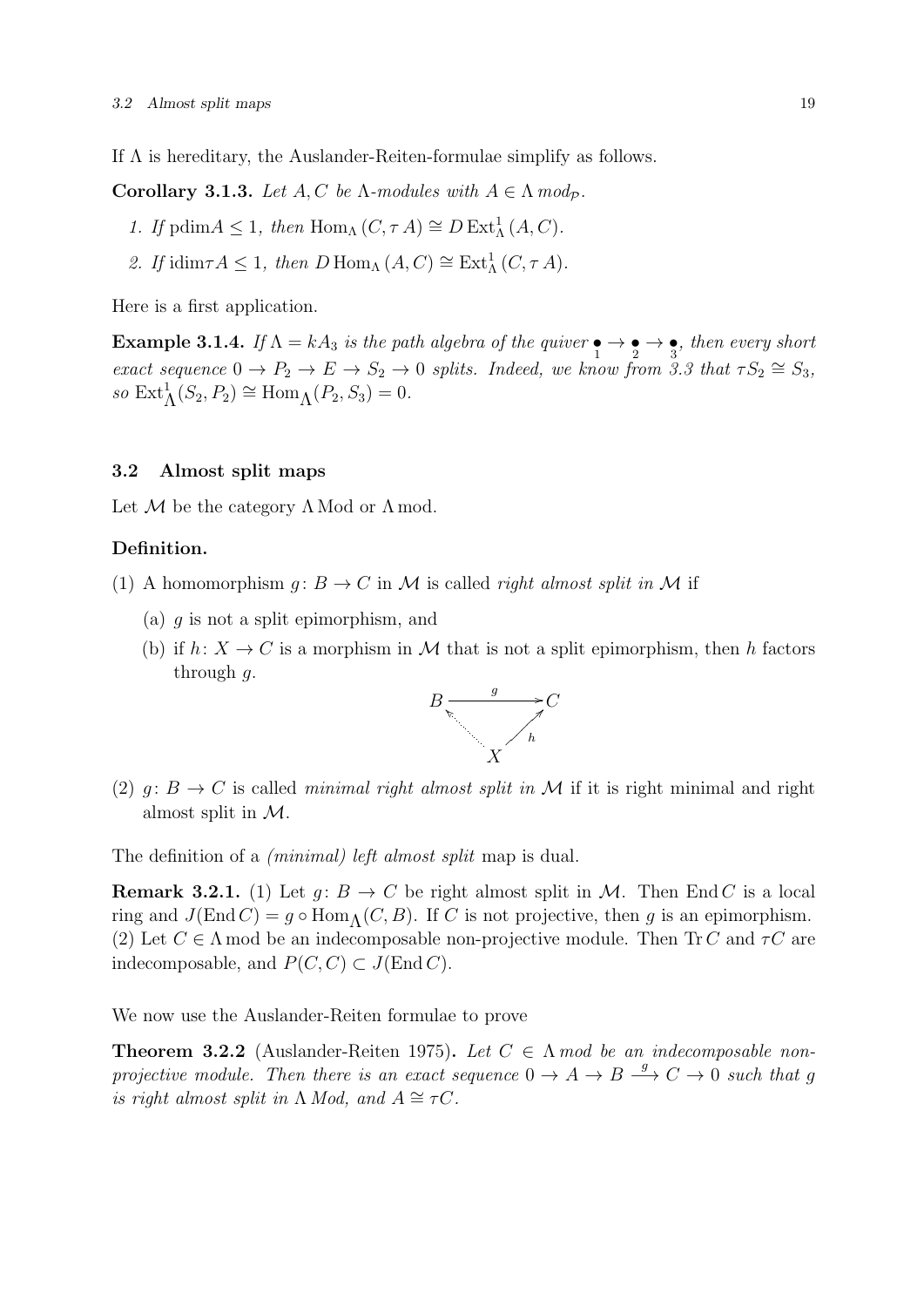If  $\Lambda$  is hereditary, the Auslander-Reiten-formulae simplify as follows.

Corollary 3.1.3. Let  $A, C$  be  $\Lambda$ -modules with  $A \in \Lambda$  mod<sub>p</sub>.

- 1. If  $\text{pdim} A \leq 1$ , then  $\text{Hom}_{\Lambda}(C, \tau A) \cong D \text{Ext}^1_{\Lambda}(A, C)$ .
- 2. If idim $\tau A \leq 1$ , then  $D \text{Hom}_{\Lambda}(A, C) \cong \text{Ext}^1_{\Lambda}(C, \tau A)$ .

Here is a first application.

**Example 3.1.4.** If  $\Lambda = kA_3$  is the path algebra of the quiver  $\bullet \rightarrow \bullet \rightarrow \bullet$ , then every short exact sequence  $0 \to P_2 \to E \to S_2 \to 0$  splits. Indeed, we know from 3.3 that  $\tau S_2 \cong S_3$ , so  $\text{Ext}^1_{\Lambda}(S_2, P_2) \cong \text{Hom}_{\Lambda}(P_2, S_3) = 0.$ 

## 3.2 Almost split maps

Let  $M$  be the category  $\Lambda$  Mod or  $\Lambda$  mod.

## Definition.

- (1) A homomorphism  $g: B \to C$  in M is called *right almost split in* M if
	- (a)  $q$  is not a split epimorphism, and
	- (b) if  $h: X \to C$  is a morphism in M that is not a split epimorphism, then h factors through  $q$ .



(2)  $q: B \to C$  is called minimal right almost split in M if it is right minimal and right almost split in M.

The definition of a *(minimal)* left almost split map is dual.

**Remark 3.2.1.** (1) Let  $g: B \to C$  be right almost split in M. Then End C is a local ring and  $J(End C) = g \circ Hom_A(C, B)$ . If C is not projective, then g is an epimorphism. (2) Let  $C \in \Lambda$  mod be an indecomposable non-projective module. Then Tr C and  $\tau C$  are indecomposable, and  $P(C, C) \subset J(\text{End } C)$ .

We now use the Auslander-Reiten formulae to prove

**Theorem 3.2.2** (Auslander-Reiten 1975). Let  $C \in \Lambda$  mod be an indecomposable nonprojective module. Then there is an exact sequence  $0 \to A \to B \stackrel{g}{\to} C \to 0$  such that g is right almost split in  $\Lambda$  Mod, and  $A \cong \tau C$ .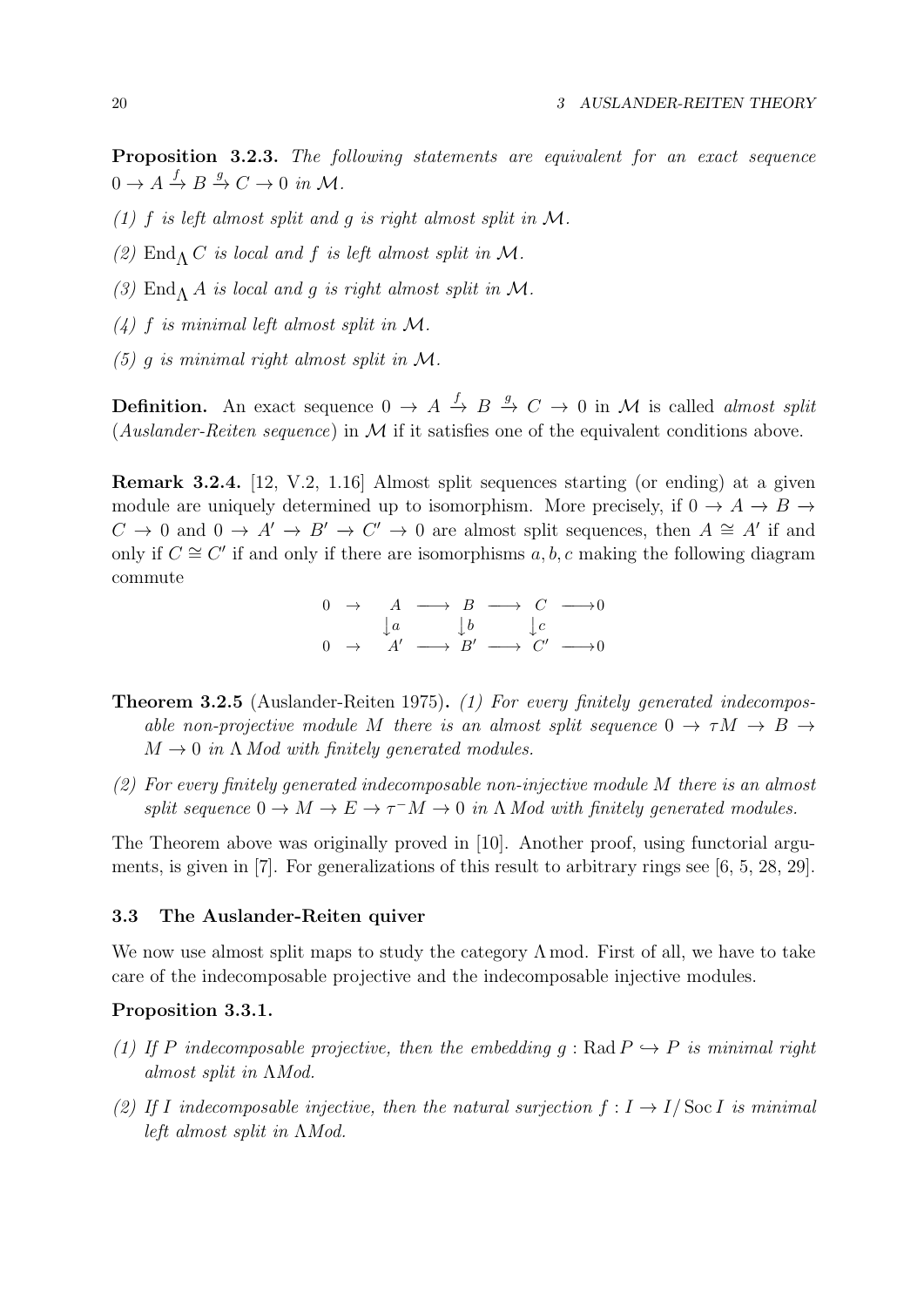Proposition 3.2.3. The following statements are equivalent for an exact sequence  $0 \to A \xrightarrow{f} B \xrightarrow{g} C \to 0 \text{ in } \mathcal{M}.$ 

- (1) f is left almost split and q is right almost split in  $M$ .
- (2) End<sub>Λ</sub> C is local and f is left almost split in M.
- (3) End<sub>Λ</sub> A is local and g is right almost split in M.
- $(4)$  f is minimal left almost split in M.
- (5) q is minimal right almost split in  $\mathcal{M}$ .

**Definition.** An exact sequence  $0 \to A \stackrel{f}{\to} B \stackrel{g}{\to} C \to 0$  in M is called *almost split* (Auslander-Reiten sequence) in  $\mathcal M$  if it satisfies one of the equivalent conditions above.

Remark 3.2.4. [12, V.2, 1.16] Almost split sequences starting (or ending) at a given module are uniquely determined up to isomorphism. More precisely, if  $0 \to A \to B \to$  $C \to 0$  and  $0 \to A' \to B' \to C' \to 0$  are almost split sequences, then  $A \cong A'$  if and only if  $C \cong C'$  if and only if there are isomorphisms  $a, b, c$  making the following diagram commute

 $0 \rightarrow A \longrightarrow B \longrightarrow C \longrightarrow 0$  $\downarrow a$   $\downarrow b$   $\downarrow c$  $0 \rightarrow A' \rightarrow B' \rightarrow C' \rightarrow 0$ 

- **Theorem 3.2.5** (Auslander-Reiten 1975). (1) For every finitely generated indecomposable non-projective module M there is an almost split sequence  $0 \to \tau M \to B \to$  $M \rightarrow 0$  in  $\Lambda$  Mod with finitely generated modules.
- (2) For every finitely generated indecomposable non-injective module M there is an almost split sequence  $0 \to M \to E \to \tau^- M \to 0$  in  $\Lambda$  Mod with finitely generated modules.

The Theorem above was originally proved in [10]. Another proof, using functorial arguments, is given in [7]. For generalizations of this result to arbitrary rings see [6, 5, 28, 29].

## 3.3 The Auslander-Reiten quiver

We now use almost split maps to study the category  $\Lambda$  mod. First of all, we have to take care of the indecomposable projective and the indecomposable injective modules.

## Proposition 3.3.1.

- (1) If P indecomposable projective, then the embedding  $g : \text{Rad } P \hookrightarrow P$  is minimal right almost split in ΛMod.
- (2) If I indecomposable injective, then the natural surjection  $f: I \to I/\operatorname{Soc} I$  is minimal left almost split in ΛMod.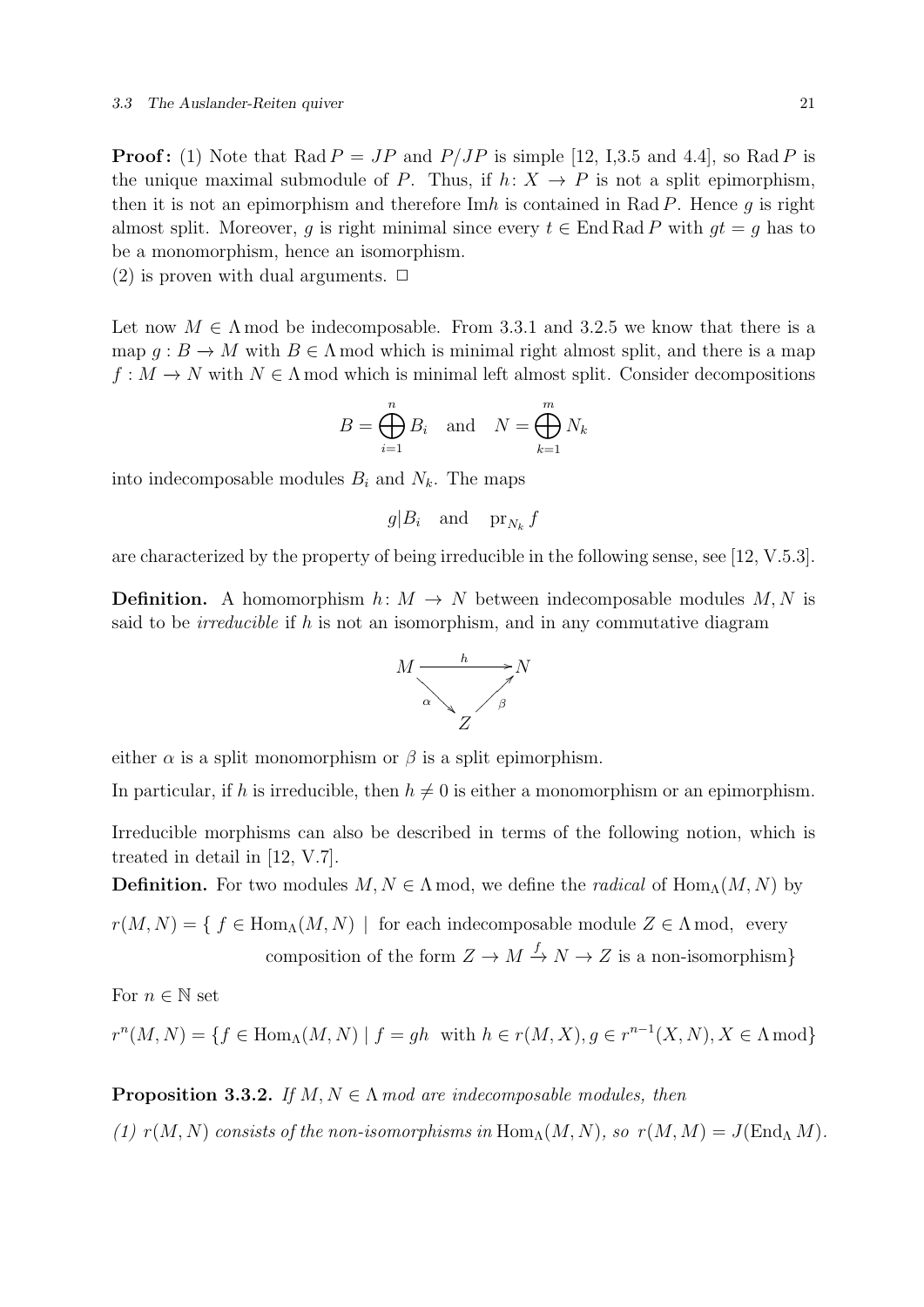**Proof:** (1) Note that Rad  $P = JP$  and  $P/JP$  is simple [12, I,3.5 and 4.4], so Rad P is the unique maximal submodule of P. Thus, if  $h: X \to P$  is not a split epimorphism, then it is not an epimorphism and therefore  $\text{Im}h$  is contained in Rad P. Hence g is right almost split. Moreover, g is right minimal since every  $t \in$  End Rad P with  $gt = g$  has to be a monomorphism, hence an isomorphism.

(2) is proven with dual arguments.  $\Box$ 

Let now  $M \in \Lambda$  mod be indecomposable. From 3.3.1 and 3.2.5 we know that there is a map  $q : B \to M$  with  $B \in \Lambda$  mod which is minimal right almost split, and there is a map  $f: M \to N$  with  $N \in \Lambda$  mod which is minimal left almost split. Consider decompositions

$$
B = \bigoplus_{i=1}^{n} B_i \quad \text{and} \quad N = \bigoplus_{k=1}^{m} N_k
$$

into indecomposable modules  $B_i$  and  $N_k$ . The maps

 $g|B_i$  and  $\operatorname{pr}_{N_k} f$ 

are characterized by the property of being irreducible in the following sense, see [12, V.5.3].

**Definition.** A homomorphism  $h: M \to N$  between indecomposable modules M, N is said to be *irreducible* if h is not an isomorphism, and in any commutative diagram



either  $\alpha$  is a split monomorphism or  $\beta$  is a split epimorphism.

In particular, if h is irreducible, then  $h \neq 0$  is either a monomorphism or an epimorphism.

Irreducible morphisms can also be described in terms of the following notion, which is treated in detail in [12, V.7].

**Definition.** For two modules  $M, N \in \Lambda$  mod, we define the *radical* of  $\text{Hom}_{\Lambda}(M, N)$  by

 $r(M, N) = \{ f \in \text{Hom}_{\Lambda}(M, N) \mid \text{ for each indecomposable module } Z \in \Lambda \text{ mod}, \text{ every }$ composition of the form  $Z \to M \xrightarrow{f} N \to Z$  is a non-isomorphism}

For  $n \in \mathbb{N}$  set

 $r^{n}(M, N) = \{f \in \text{Hom}_{\Lambda}(M, N) \mid f = gh \text{ with } h \in r(M, X), g \in r^{n-1}(X, N), X \in \Lambda \text{ mod}\}\$ 

**Proposition 3.3.2.** If  $M, N \in \Lambda$  mod are indecomposable modules, then

(1)  $r(M, N)$  consists of the non-isomorphisms in Hom<sub>Λ</sub>(M, N), so  $r(M, M) = J(\text{End}_{\Lambda} M)$ .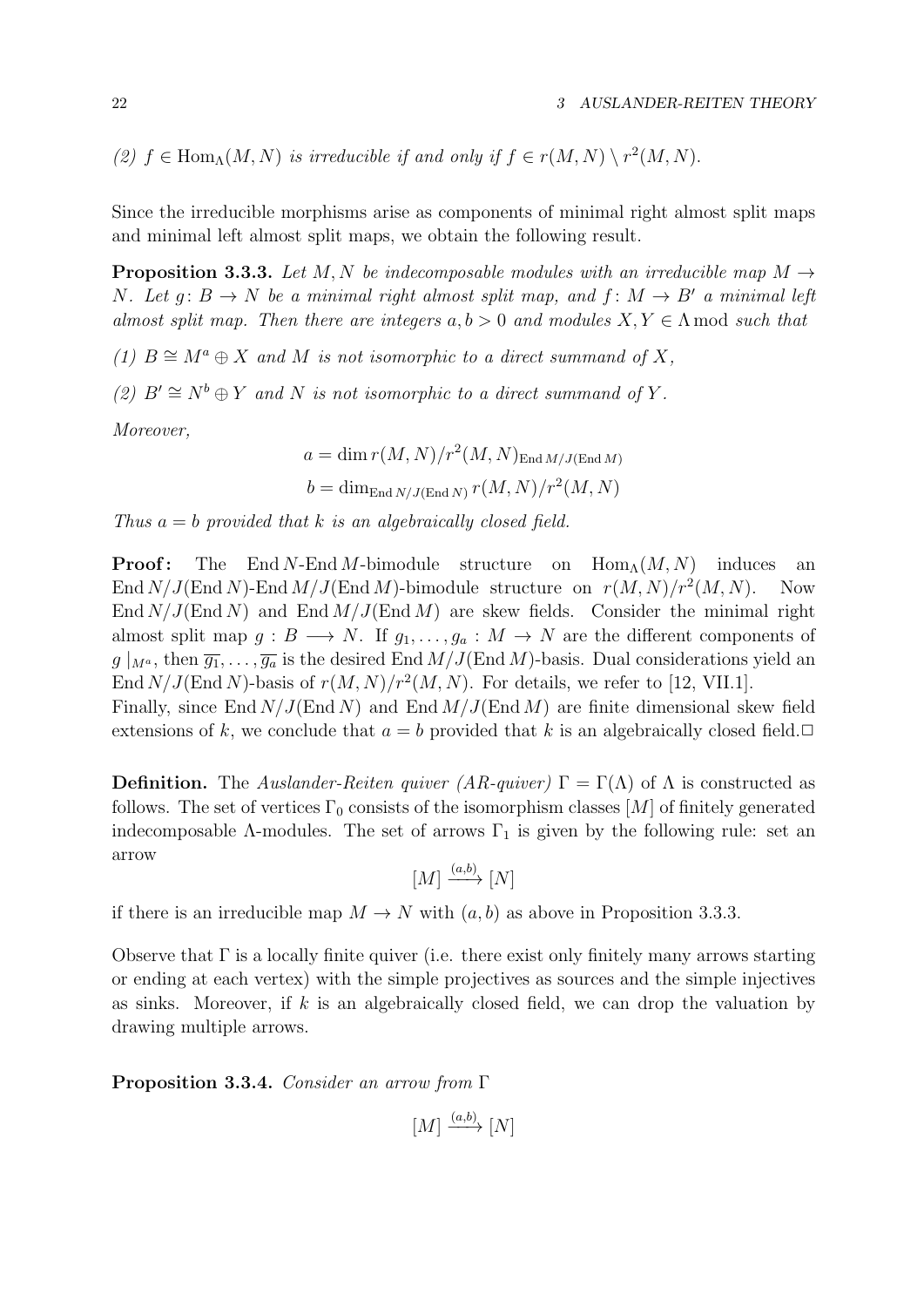(2)  $f \in \text{Hom}_{\Lambda}(M, N)$  is irreducible if and only if  $f \in r(M, N) \setminus r^2(M, N)$ .

Since the irreducible morphisms arise as components of minimal right almost split maps and minimal left almost split maps, we obtain the following result.

**Proposition 3.3.3.** Let M, N be indecomposable modules with an irreducible map  $M \rightarrow$ N. Let  $g: B \to N$  be a minimal right almost split map, and  $f: M \to B'$  a minimal left almost split map. Then there are integers  $a, b > 0$  and modules  $X, Y \in \Lambda$  mod such that

(1)  $B \cong M^a \oplus X$  and M is not isomorphic to a direct summand of X,

(2)  $B' \cong N^b \oplus Y$  and N is not isomorphic to a direct summand of Y.

Moreover,

$$
a = \dim r(M, N)/r^2(M, N)_{\text{End }M/J(\text{End }M)}
$$
  

$$
b = \dim_{\text{End }N/J(\text{End }N)} r(M, N)/r^2(M, N)
$$

Thus  $a = b$  provided that k is an algebraically closed field.

**Proof:** The End N-End M-bimodule structure on  $\text{Hom}_{\Lambda}(M, N)$  induces an End  $N/J$ (End N)-End  $M/J$ (End M)-bimodule structure on  $r(M, N)/r^2(M, N)$ . Now End  $N/J$ (End N) and End  $M/J$ (End M) are skew fields. Consider the minimal right almost split map  $g: B \longrightarrow N$ . If  $g_1, \ldots, g_a: M \longrightarrow N$  are the different components of  $g|_{M^a}$ , then  $\overline{g_1}, \ldots, \overline{g_a}$  is the desired End  $M/J$ (End M)-basis. Dual considerations yield an End  $N/J$ (End N)-basis of  $r(M, N)/r^2(M, N)$ . For details, we refer to [12, VII.1]. Finally, since End  $N/J$ (End N) and End  $M/J$ (End M) are finite dimensional skew field extensions of k, we conclude that  $a = b$  provided that k is an algebraically closed field.  $\Box$ 

**Definition.** The Auslander-Reiten quiver (AR-quiver)  $\Gamma = \Gamma(\Lambda)$  of  $\Lambda$  is constructed as follows. The set of vertices  $\Gamma_0$  consists of the isomorphism classes [M] of finitely generated indecomposable  $\Lambda$ -modules. The set of arrows  $\Gamma_1$  is given by the following rule: set an arrow

 $[M] \xrightarrow{(a,b)} [N]$ 

if there is an irreducible map  $M \to N$  with  $(a, b)$  as above in Proposition 3.3.3.

Observe that  $\Gamma$  is a locally finite quiver (i.e. there exist only finitely many arrows starting or ending at each vertex) with the simple projectives as sources and the simple injectives as sinks. Moreover, if k is an algebraically closed field, we can drop the valuation by drawing multiple arrows.

Proposition 3.3.4. Consider an arrow from Γ

 $[M] \xrightarrow{(a,b)} [N]$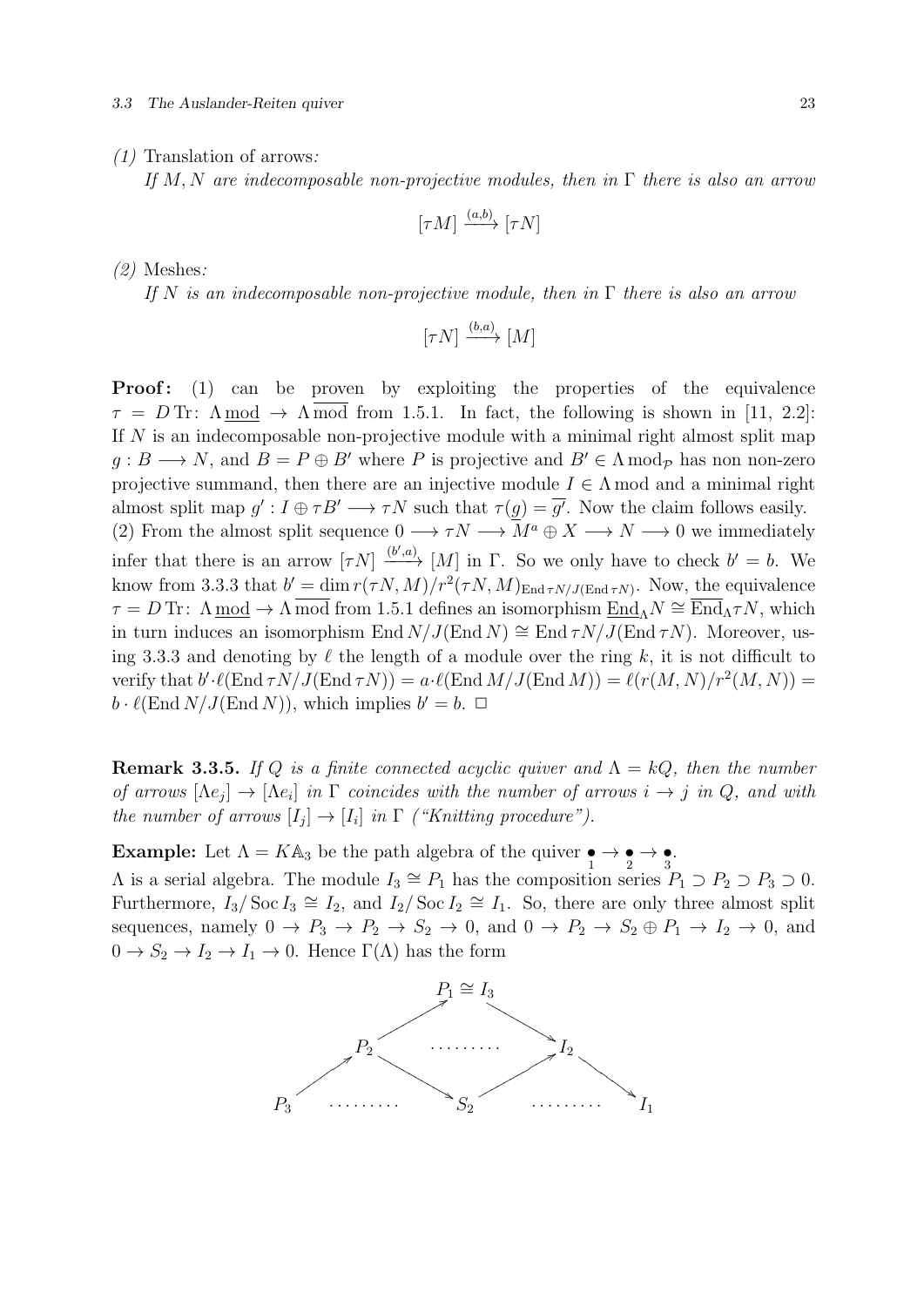#### 3.3 The Auslander-Reiten quiver 23

#### (1) Translation of arrows:

If M, N are indecomposable non-projective modules, then in  $\Gamma$  there is also an arrow

$$
[\tau M] \xrightarrow{(a,b)} [\tau N]
$$

(2) Meshes:

If N is an indecomposable non-projective module, then in  $\Gamma$  there is also an arrow

$$
[\tau N] \xrightarrow{(b,a)} [M]
$$

**Proof:** (1) can be proven by exploiting the properties of the equivalence  $\tau = D$  Tr:  $\Lambda$  mod  $\rightarrow \Lambda$  mod from 1.5.1. In fact, the following is shown in [11, 2.2]: If N is an indecomposable non-projective module with a minimal right almost split map  $g : B \longrightarrow N$ , and  $B = P \oplus B'$  where P is projective and  $B' \in \Lambda \text{ mod } p$  has non non-zero projective summand, then there are an injective module  $I \in \Lambda$  mod and a minimal right almost split map  $g': I \oplus \tau B' \longrightarrow \tau N$  such that  $\tau(g) = \overline{g'}$ . Now the claim follows easily. (2) From the almost split sequence  $0 \longrightarrow \tau N \longrightarrow \mathbb{Z}^d$   $\mathbb{Z} \longrightarrow \mathbb{Z} \longrightarrow \mathbb{Z} \longrightarrow \mathbb{Z}$  we immediately infer that there is an arrow  $[\tau N] \xrightarrow{(b',a)} [M]$  in  $\Gamma$ . So we only have to check  $b' = b$ . We know from 3.3.3 that  $b' = \dim r(\tau N, M)/r^2(\tau N, M)_{\text{End } \tau N/J(\text{End } \tau N)}$ . Now, the equivalence  $\tau = D$  Tr:  $\Lambda$  mod  $\to \Lambda$  mod from 1.5.1 defines an isomorphism  $\text{End}_{\Lambda} N \cong \text{End}_{\Lambda} \tau N$ , which in turn induces an isomorphism End  $N/J(End N) \cong End \tau N/J(End \tau N)$ . Moreover, using 3.3.3 and denoting by  $\ell$  the length of a module over the ring k, it is not difficult to verify that  $b'\cdot\ell(\text{End } \tau N/J(\text{End } \tau N)) = a\cdot\ell(\text{End } M/J(\text{End } M)) = \ell(r(M, N)/r^2(M, N)) =$  $b \cdot \ell(\text{End } N / J(\text{End } N)),$  which implies  $b' = b$ .  $\Box$ 

**Remark 3.3.5.** If Q is a finite connected acyclic quiver and  $\Lambda = kQ$ , then the number of arrows  $[\Lambda e_j] \to [\Lambda e_i]$  in  $\Gamma$  coincides with the number of arrows  $i \to j$  in  $Q$ , and with the number of arrows  $[I_j] \to [I_i]$  in  $\Gamma$  ("Knitting procedure").

**Example:** Let  $\Lambda = K\mathbb{A}_3$  be the path algebra of the quiver  $\underset{1}{\bullet} \to \underset{2}{\bullet} \to \underset{3}{\bullet}$ .

 $\Lambda$  is a serial algebra. The module  $I_3 \cong P_1$  has the composition series  $P_1 \supset P_2 \supset P_3 \supset 0$ . Furthermore,  $I_3/\text{Soc } I_3 \cong I_2$ , and  $I_2/\text{Soc } I_2 \cong I_1$ . So, there are only three almost split sequences, namely  $0 \to P_3 \to P_2 \to S_2 \to 0$ , and  $0 \to P_2 \to S_2 \oplus P_1 \to I_2 \to 0$ , and  $0 \to S_2 \to I_2 \to I_1 \to 0$ . Hence  $\Gamma(\Lambda)$  has the form

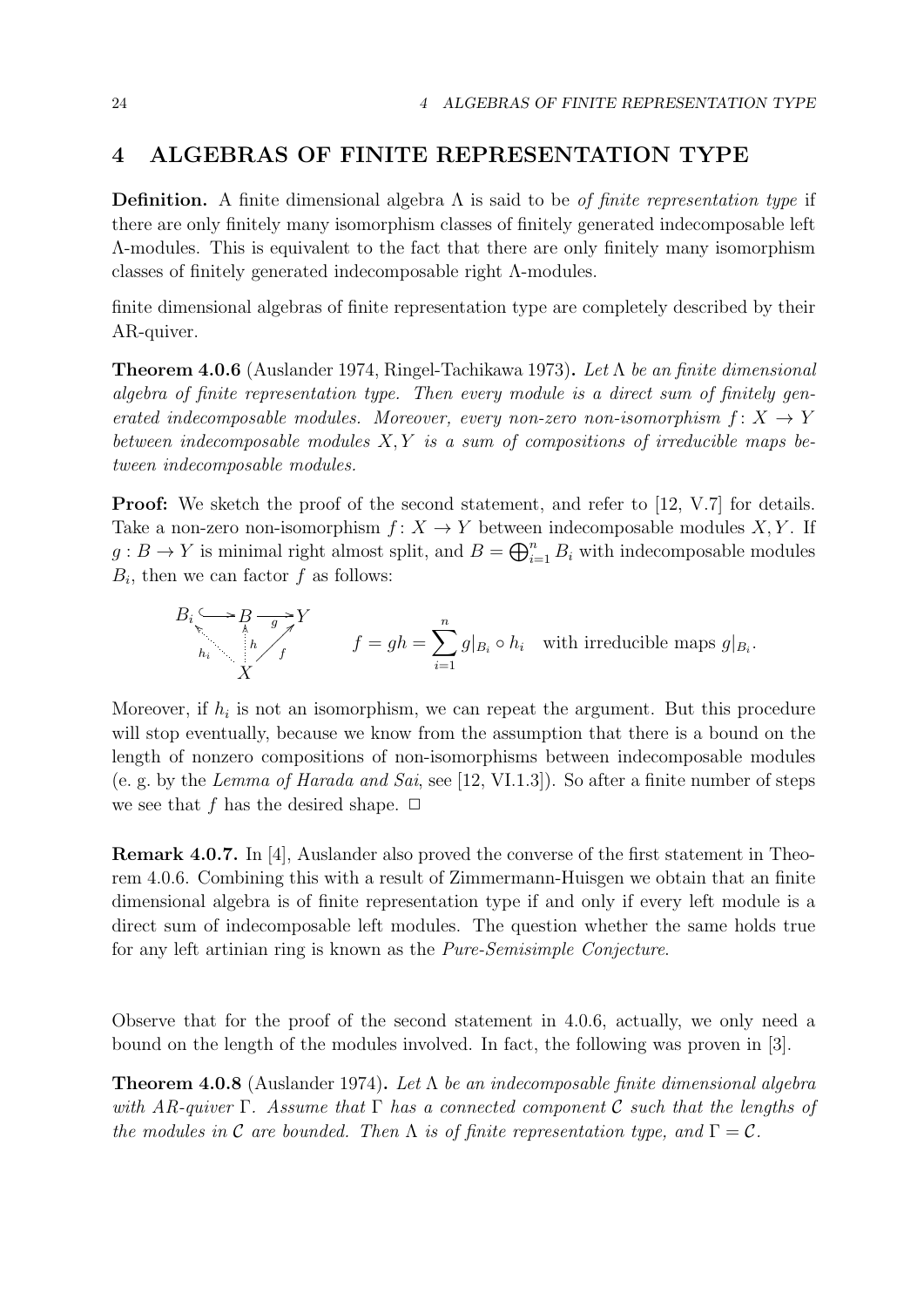## 4 ALGEBRAS OF FINITE REPRESENTATION TYPE

**Definition.** A finite dimensional algebra  $\Lambda$  is said to be *of finite representation type* if there are only finitely many isomorphism classes of finitely generated indecomposable left Λ-modules. This is equivalent to the fact that there are only finitely many isomorphism classes of finitely generated indecomposable right Λ-modules.

finite dimensional algebras of finite representation type are completely described by their AR-quiver.

**Theorem 4.0.6** (Auslander 1974, Ringel-Tachikawa 1973). Let  $\Lambda$  be an finite dimensional algebra of finite representation type. Then every module is a direct sum of finitely generated indecomposable modules. Moreover, every non-zero non-isomorphism  $f: X \rightarrow Y$ between indecomposable modules  $X, Y$  is a sum of compositions of irreducible maps between indecomposable modules.

**Proof:** We sketch the proof of the second statement, and refer to [12, V.7] for details. Take a non-zero non-isomorphism  $f: X \to Y$  between indecomposable modules X, Y. If  $g: B \to Y$  is minimal right almost split, and  $B = \bigoplus_{i=1}^n B_i$  with indecomposable modules  $B_i$ , then we can factor f as follows:

$$
B_i \xrightarrow[\hbar]{B} \overline{g} \xrightarrow[\hbar]{g} Y
$$
  
\n
$$
f = gh = \sum_{i=1}^n g|_{B_i} \circ h_i \quad \text{with irreducible maps } g|_{B_i}.
$$

Moreover, if  $h_i$  is not an isomorphism, we can repeat the argument. But this procedure will stop eventually, because we know from the assumption that there is a bound on the length of nonzero compositions of non-isomorphisms between indecomposable modules (e. g. by the Lemma of Harada and Sai, see [12, VI.1.3]). So after a finite number of steps we see that f has the desired shape.  $\Box$ 

Remark 4.0.7. In [4], Auslander also proved the converse of the first statement in Theorem 4.0.6. Combining this with a result of Zimmermann-Huisgen we obtain that an finite dimensional algebra is of finite representation type if and only if every left module is a direct sum of indecomposable left modules. The question whether the same holds true for any left artinian ring is known as the Pure-Semisimple Conjecture.

Observe that for the proof of the second statement in 4.0.6, actually, we only need a bound on the length of the modules involved. In fact, the following was proven in [3].

**Theorem 4.0.8** (Auslander 1974). Let  $\Lambda$  be an indecomposable finite dimensional algebra with AR-quiver  $\Gamma$ . Assume that  $\Gamma$  has a connected component C such that the lengths of the modules in C are bounded. Then  $\Lambda$  is of finite representation type, and  $\Gamma = \mathcal{C}$ .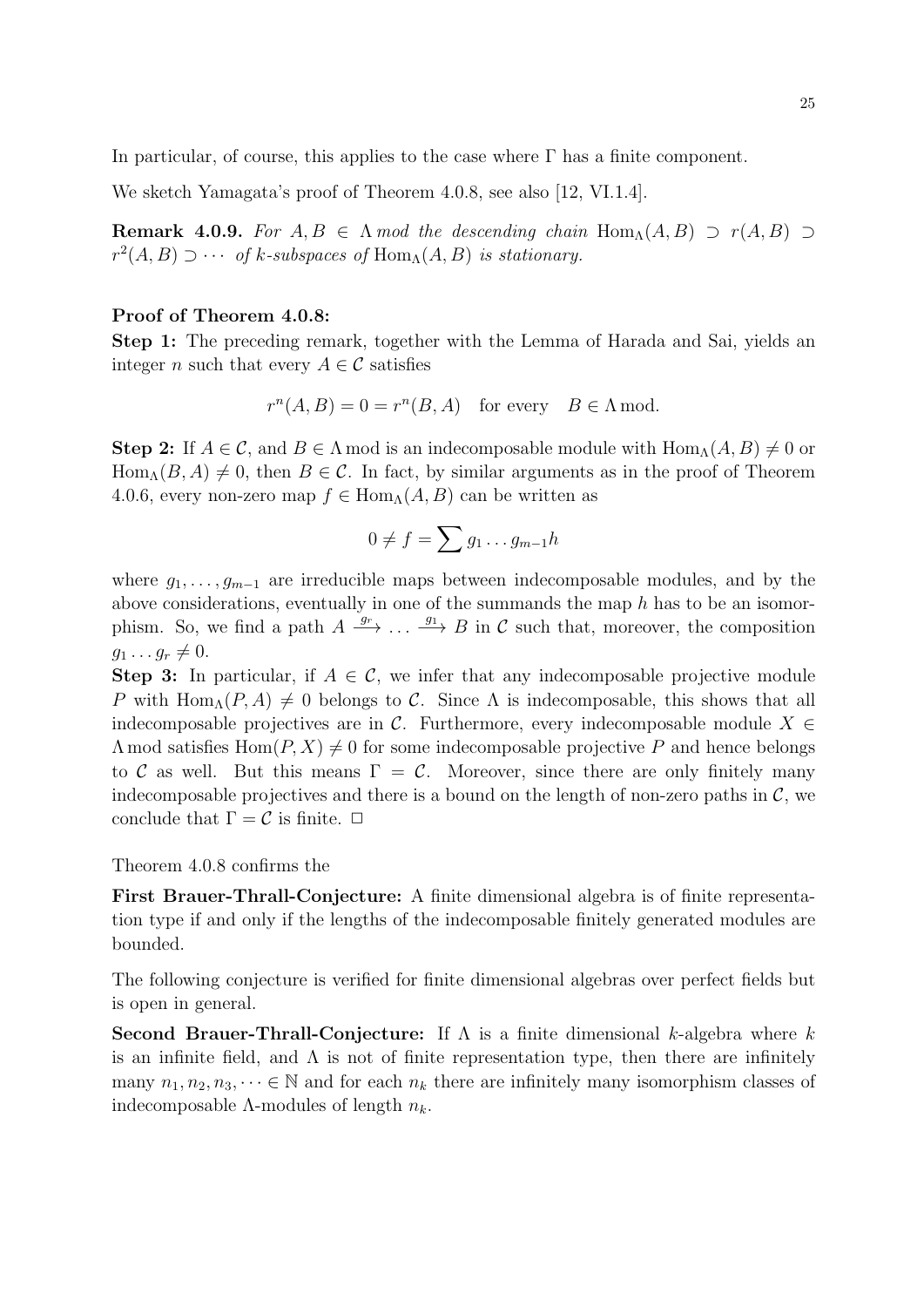In particular, of course, this applies to the case where  $\Gamma$  has a finite component.

We sketch Yamagata's proof of Theorem 4.0.8, see also [12, VI.1.4].

**Remark 4.0.9.** For  $A, B \in \Lambda$  mod the descending chain Hom<sub> $\Lambda$ </sub> $(A, B) \supset r(A, B) \supset$  $r^2(A, B) \supset \cdots$  of k-subspaces of  $\text{Hom}_{\Lambda}(A, B)$  is stationary.

## Proof of Theorem 4.0.8:

Step 1: The preceding remark, together with the Lemma of Harada and Sai, yields an integer n such that every  $A \in \mathcal{C}$  satisfies

$$
r^n(A, B) = 0 = r^n(B, A)
$$
 for every  $B \in \Lambda$  mod.

**Step 2:** If  $A \in \mathcal{C}$ , and  $B \in \Lambda$  mod is an indecomposable module with  $\text{Hom}_{\Lambda}(A, B) \neq 0$  or  $Hom_{\Lambda}(B, A) \neq 0$ , then  $B \in \mathcal{C}$ . In fact, by similar arguments as in the proof of Theorem 4.0.6, every non-zero map  $f \in \text{Hom}_{\Lambda}(A, B)$  can be written as

$$
0 \neq f = \sum g_1 \dots g_{m-1} h
$$

where  $g_1, \ldots, g_{m-1}$  are irreducible maps between indecomposable modules, and by the above considerations, eventually in one of the summands the map  $h$  has to be an isomorphism. So, we find a path  $A \xrightarrow{g_r} \dots \xrightarrow{g_1} B$  in C such that, moreover, the composition  $g_1 \ldots g_r \neq 0.$ 

**Step 3:** In particular, if  $A \in \mathcal{C}$ , we infer that any indecomposable projective module P with Hom<sub>Λ</sub>(P, A)  $\neq$  0 belongs to C. Since  $\Lambda$  is indecomposable, this shows that all indecomposable projectives are in  $\mathcal{C}$ . Furthermore, every indecomposable module  $X \in$  $\Lambda$  mod satisfies  $\text{Hom}(P, X) \neq 0$  for some indecomposable projective P and hence belongs to C as well. But this means  $\Gamma = C$ . Moreover, since there are only finitely many indecomposable projectives and there is a bound on the length of non-zero paths in  $\mathcal{C}$ , we conclude that  $\Gamma = \mathcal{C}$  is finite.  $\Box$ 

Theorem 4.0.8 confirms the

First Brauer-Thrall-Conjecture: A finite dimensional algebra is of finite representation type if and only if the lengths of the indecomposable finitely generated modules are bounded.

The following conjecture is verified for finite dimensional algebras over perfect fields but is open in general.

**Second Brauer-Thrall-Conjecture:** If  $\Lambda$  is a finite dimensional k-algebra where k is an infinite field, and  $\Lambda$  is not of finite representation type, then there are infinitely many  $n_1, n_2, n_3, \dots \in \mathbb{N}$  and for each  $n_k$  there are infinitely many isomorphism classes of indecomposable  $\Lambda$ -modules of length  $n_k$ .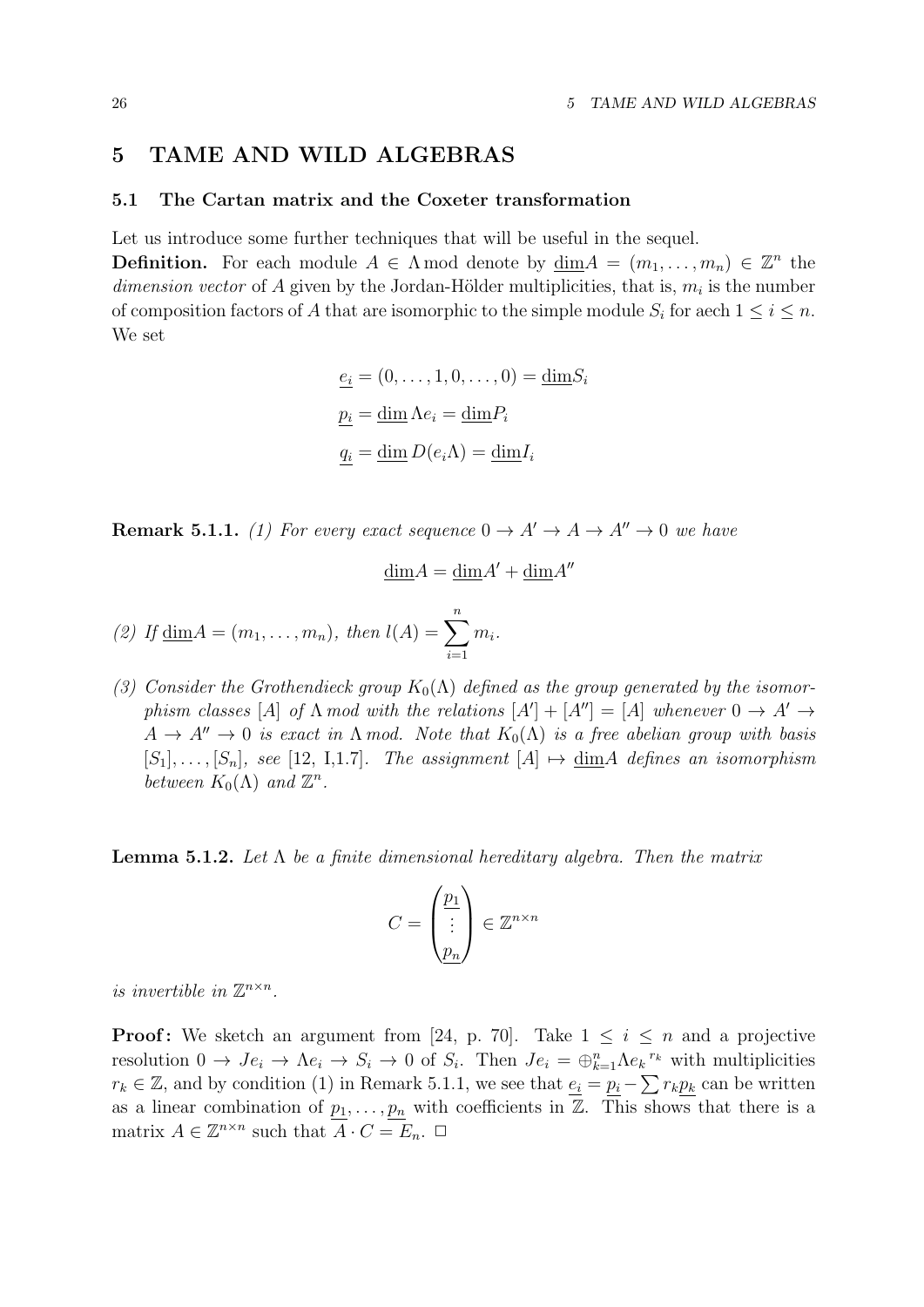## 5 TAME AND WILD ALGEBRAS

## 5.1 The Cartan matrix and the Coxeter transformation

Let us introduce some further techniques that will be useful in the sequel.

**Definition.** For each module  $A \in \Lambda$  mod denote by  $\underline{\dim}A = (m_1, \ldots, m_n) \in \mathbb{Z}^n$  the dimension vector of A given by the Jordan-Hölder multiplicities, that is,  $m_i$  is the number of composition factors of A that are isomorphic to the simple module  $S_i$  for aech  $1 \leq i \leq n$ . We set

$$
\underline{e_i} = (0, \dots, 1, 0, \dots, 0) = \underline{\dim} S_i
$$

$$
\underline{p_i} = \underline{\dim} \Lambda e_i = \underline{\dim} P_i
$$

$$
\underline{q_i} = \underline{\dim} D(e_i \Lambda) = \underline{\dim} I_i
$$

**Remark 5.1.1.** (1) For every exact sequence  $0 \rightarrow A' \rightarrow A \rightarrow A'' \rightarrow 0$  we have

$$
\underline{\dim} A = \underline{\dim} A' + \underline{\dim} A''
$$

(2) If 
$$
\underline{\dim} A = (m_1, ..., m_n)
$$
, then  $l(A) = \sum_{i=1}^{n} m_i$ .

(3) Consider the Grothendieck group  $K_0(\Lambda)$  defined as the group generated by the isomorphism classes [A] of  $\Lambda$  mod with the relations  $[A'] + [A''] = [A]$  whenever  $0 \to A' \to$  $A \to A'' \to 0$  is exact in  $\Lambda$  mod. Note that  $K_0(\Lambda)$  is a free abelian group with basis  $[S_1], \ldots, [S_n],$  see [12, I,1.7]. The assignment  $[A] \mapsto \dim A$  defines an isomorphism between  $K_0(\Lambda)$  and  $\mathbb{Z}^n$ .

**Lemma 5.1.2.** Let  $\Lambda$  be a finite dimensional hereditary algebra. Then the matrix

$$
C = \begin{pmatrix} \underline{p_1} \\ \vdots \\ \underline{p_n} \end{pmatrix} \in \mathbb{Z}^{n \times n}
$$

is invertible in  $\mathbb{Z}^{n \times n}$ .

**Proof:** We sketch an argument from [24, p. 70]. Take  $1 \leq i \leq n$  and a projective resolution  $0 \to Je_i \to \Lambda e_i \to S_i \to 0$  of  $S_i$ . Then  $Je_i = \bigoplus_{k=1}^n \Lambda e_k^r$  with multiplicities  $r_k \in \mathbb{Z}$ , and by condition (1) in Remark 5.1.1, we see that  $e_i = p_i - \sum r_k p_k$  can be written as a linear combination of  $p_1, \ldots, p_n$  with coefficients in  $\mathbb{Z}$ . This shows that there is a matrix  $A \in \mathbb{Z}^{n \times n}$  such that  $\overline{A} \cdot C = E_n$ .  $\Box$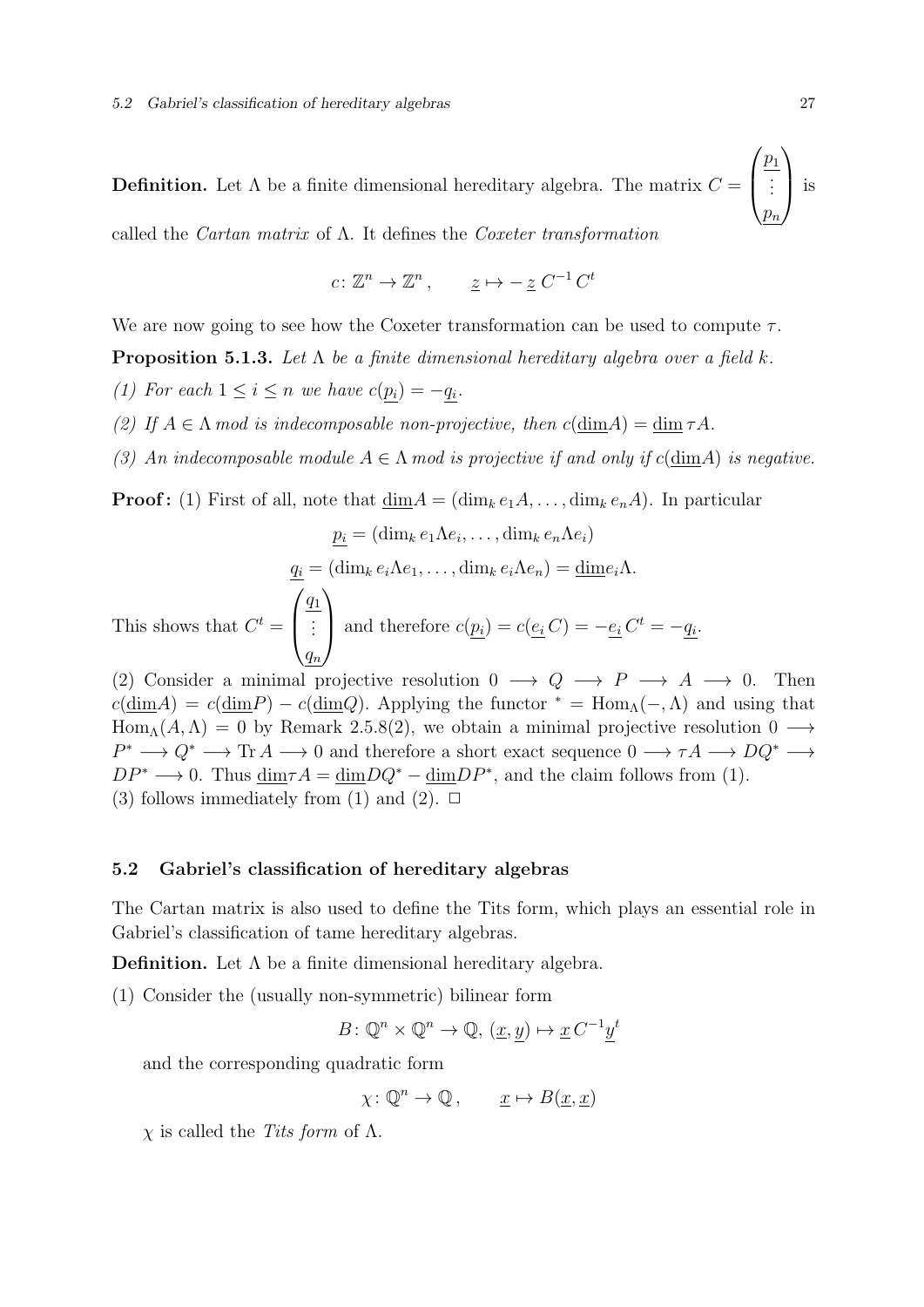${\bf Definition.}$  Let  $\Lambda$  be a finite dimensional hereditary algebra. The matrix  $C=$  $\sqrt{ }$  $\overline{\mathcal{L}}$  $\overline{p}_1$ . . .  $p_n$  $\setminus$  $\bigg\}$ is called the *Cartan matrix* of  $\Lambda$ . It defines the *Coxeter transformation* 

$$
c \colon \mathbb{Z}^n \to \mathbb{Z}^n \,, \qquad \underline{z} \mapsto -\,\underline{z} \, C^{-1} \, C^t
$$

We are now going to see how the Coxeter transformation can be used to compute  $\tau$ .

**Proposition 5.1.3.** Let  $\Lambda$  be a finite dimensional hereditary algebra over a field k.

- (1) For each  $1 \leq i \leq n$  we have  $c(p_i) = -q_i$ .
- (2) If  $A \in \Lambda$  mod is indecomposable non-projective, then  $c(\text{dim} A) = \text{dim} \tau A$ .
- (3) An indecomposable module  $A \in \Lambda$  mod is projective if and only if  $c(\text{dim}A)$  is negative.

**Proof:** (1) First of all, note that  $\dim A = (\dim_k e_1 A, \dots, \dim_k e_n A)$ . In particular

$$
\underline{p_i} = (\dim_k e_1 \Lambda e_i, \dots, \dim_k e_n \Lambda e_i)
$$

$$
\underline{q_i} = (\dim_k e_i \Lambda e_1, \dots, \dim_k e_i \Lambda e_n) = \underline{\dim} e_i \Lambda.
$$
This shows that  $C^t = \begin{pmatrix} \underline{q_1} \\ \vdots \\ \underline{q_n} \end{pmatrix}$  and therefore  $c(\underline{p_i}) = c(\underline{e_i} C) = -\underline{e_i} C^t = -\underline{q_i}.$ 

(2) Consider a minimal projective resolution  $0 \longrightarrow Q \longrightarrow P \longrightarrow A \longrightarrow 0$ . Then  $c(\text{dim}A) = c(\text{dim}P) - c(\text{dim}Q)$ . Applying the functor  $* = \text{Hom}_{\Lambda}(-, \Lambda)$  and using that  $Hom_A(A, \Lambda) = 0$  by Remark 2.5.8(2), we obtain a minimal projective resolution  $0 \longrightarrow$  $P^* \longrightarrow Q^* \longrightarrow \text{Tr } A \longrightarrow 0$  and therefore a short exact sequence  $0 \longrightarrow \tau A \longrightarrow DQ^* \longrightarrow$  $DP^* \longrightarrow 0$ . Thus  $\dim \tau A = \dim DQ^* - \dim DP^*$ , and the claim follows from (1). (3) follows immediately from (1) and (2).  $\Box$ 

#### 5.2 Gabriel's classification of hereditary algebras

The Cartan matrix is also used to define the Tits form, which plays an essential role in Gabriel's classification of tame hereditary algebras.

**Definition.** Let  $\Lambda$  be a finite dimensional hereditary algebra.

(1) Consider the (usually non-symmetric) bilinear form

$$
B \colon \mathbb{Q}^n \times \mathbb{Q}^n \to \mathbb{Q}, \ (\underline{x}, \underline{y}) \mapsto \underline{x} C^{-1} \underline{y}^t
$$

and the corresponding quadratic form

$$
\chi \colon \mathbb{Q}^n \to \mathbb{Q}, \qquad \underline{x} \mapsto B(\underline{x}, \underline{x})
$$

 $χ$  is called the *Tits form* of  $Λ$ .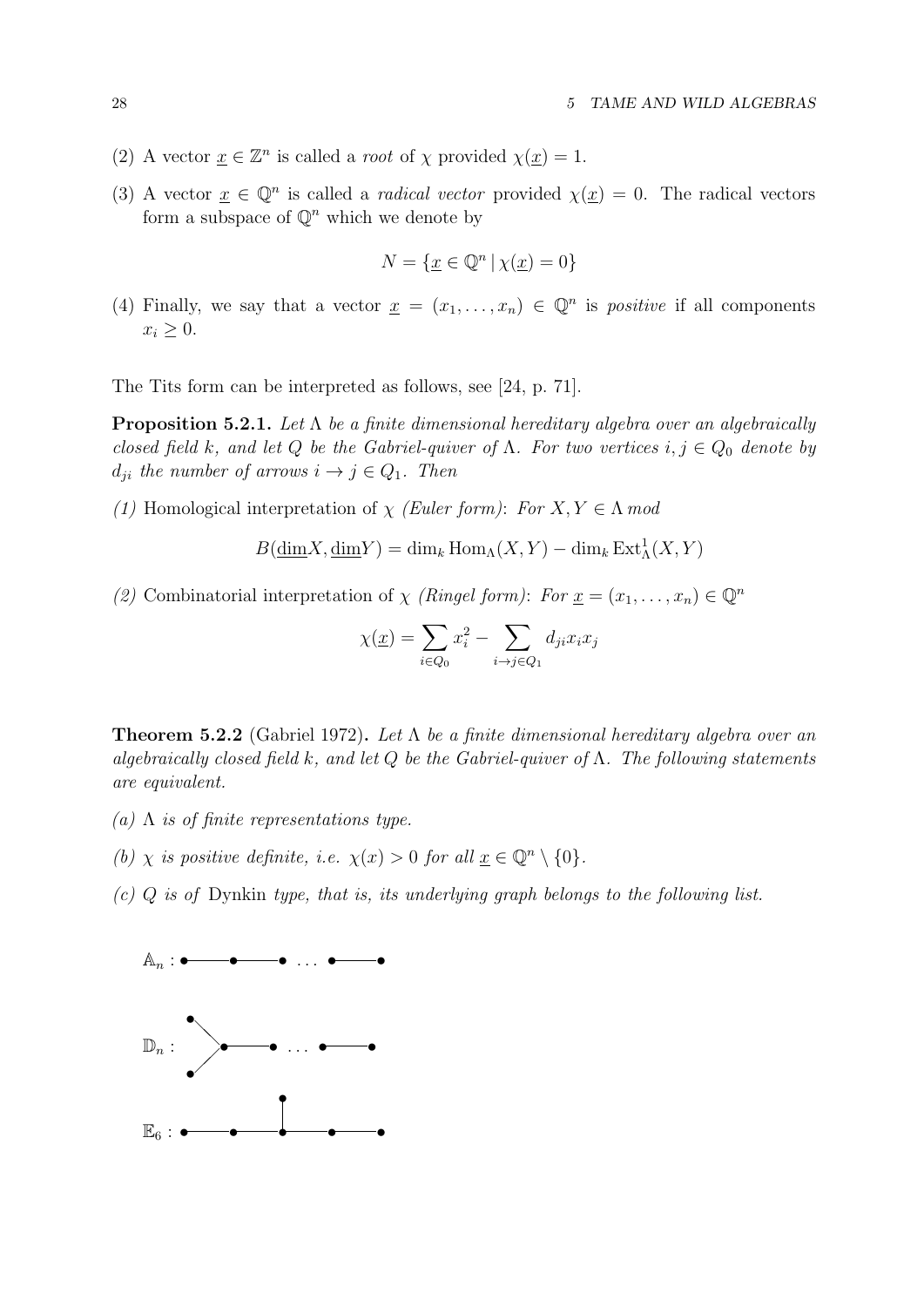- (2) A vector  $\underline{x} \in \mathbb{Z}^n$  is called a *root* of  $\chi$  provided  $\chi(\underline{x}) = 1$ .
- (3) A vector  $\underline{x} \in \mathbb{Q}^n$  is called a *radical vector* provided  $\chi(\underline{x}) = 0$ . The radical vectors form a subspace of  $\mathbb{Q}^n$  which we denote by

$$
N = \{ \underline{x} \in \mathbb{Q}^n \, | \, \chi(\underline{x}) = 0 \}
$$

(4) Finally, we say that a vector  $\underline{x} = (x_1, \ldots, x_n) \in \mathbb{Q}^n$  is *positive* if all components  $x_i \geq 0$ .

The Tits form can be interpreted as follows, see [24, p. 71].

**Proposition 5.2.1.** Let  $\Lambda$  be a finite dimensional hereditary algebra over an algebraically closed field k, and let Q be the Gabriel-quiver of  $\Lambda$ . For two vertices  $i, j \in Q_0$  denote by  $d_{ji}$  the number of arrows  $i \rightarrow j \in Q_1$ . Then

(1) Homological interpretation of  $\chi$  (Euler form): For  $X, Y \in \Lambda$  mod

$$
B(\underline{\dim} X, \underline{\dim} Y) = \dim_k \operatorname{Hom}_\Lambda(X, Y) - \dim_k \operatorname{Ext}^1_\Lambda(X, Y)
$$

(2) Combinatorial interpretation of  $\chi$  (Ringel form): For  $\underline{x} = (x_1, \ldots, x_n) \in \mathbb{Q}^n$ 

$$
\chi(\underline{x}) = \sum_{i \in Q_0} x_i^2 - \sum_{i \to j \in Q_1} d_{ji} x_i x_j
$$

**Theorem 5.2.2** (Gabriel 1972). Let  $\Lambda$  be a finite dimensional hereditary algebra over an algebraically closed field k, and let Q be the Gabriel-quiver of  $\Lambda$ . The following statements are equivalent.

- (a)  $\Lambda$  is of finite representations type.
- (b) x is positive definite, i.e.  $\chi(x) > 0$  for all  $x \in \mathbb{Q}^n \setminus \{0\}.$
- $(c)$  Q is of Dynkin type, that is, its underlying graph belongs to the following list.

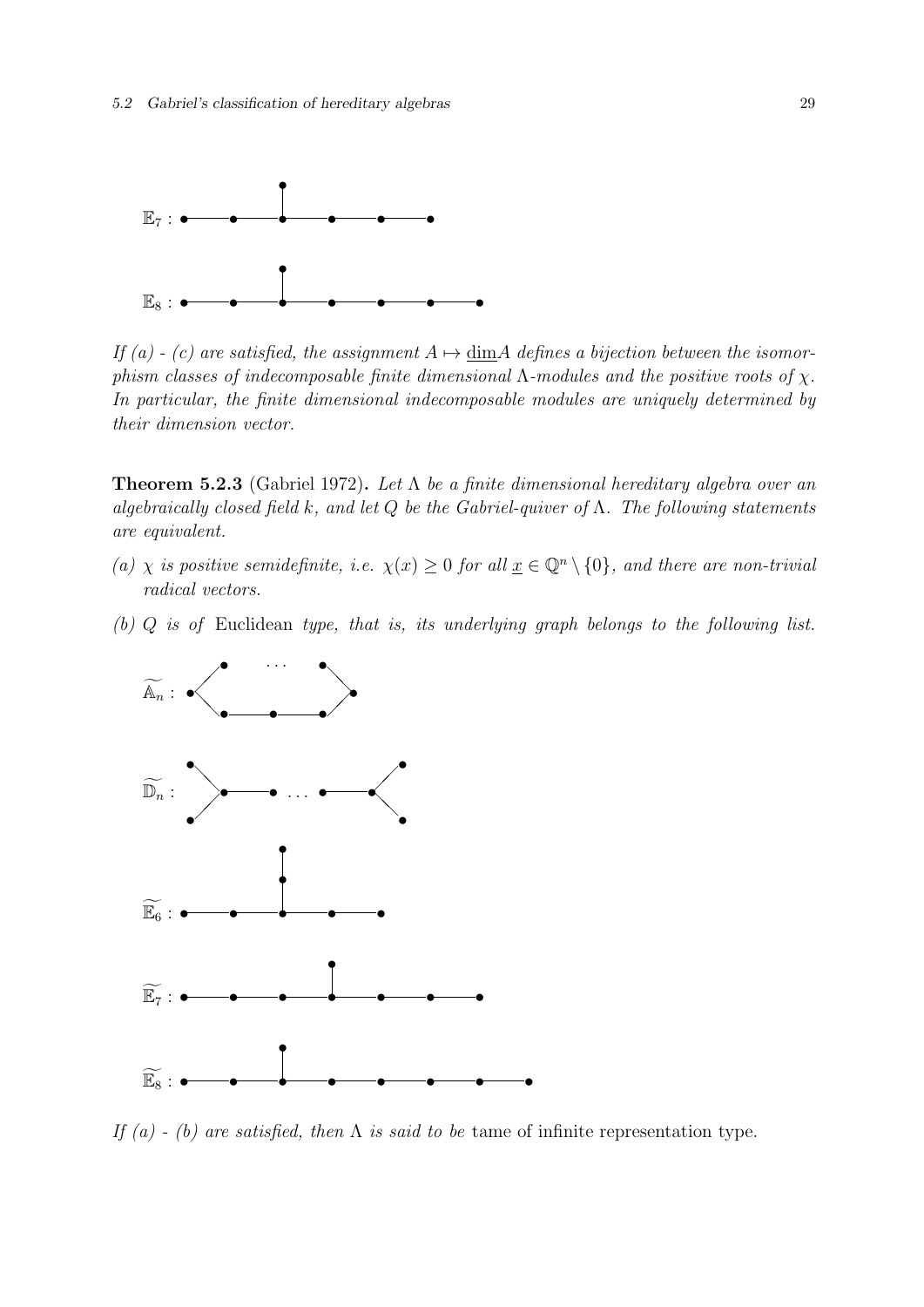

If (a) - (c) are satisfied, the assignment  $A \mapsto \dim A$  defines a bijection between the isomorphism classes of indecomposable finite dimensional  $\Lambda$ -modules and the positive roots of  $\chi$ . In particular, the finite dimensional indecomposable modules are uniquely determined by their dimension vector.

**Theorem 5.2.3** (Gabriel 1972). Let  $\Lambda$  be a finite dimensional hereditary algebra over an algebraically closed field k, and let Q be the Gabriel-quiver of  $\Lambda$ . The following statements are equivalent.

- (a)  $\chi$  is positive semidefinite, i.e.  $\chi(x) \geq 0$  for all  $\underline{x} \in \mathbb{Q}^n \setminus \{0\}$ , and there are non-trivial radical vectors.
- (b) Q is of Euclidean type, that is, its underlying graph belongs to the following list.



If (a) - (b) are satisfied, then  $\Lambda$  is said to be tame of infinite representation type.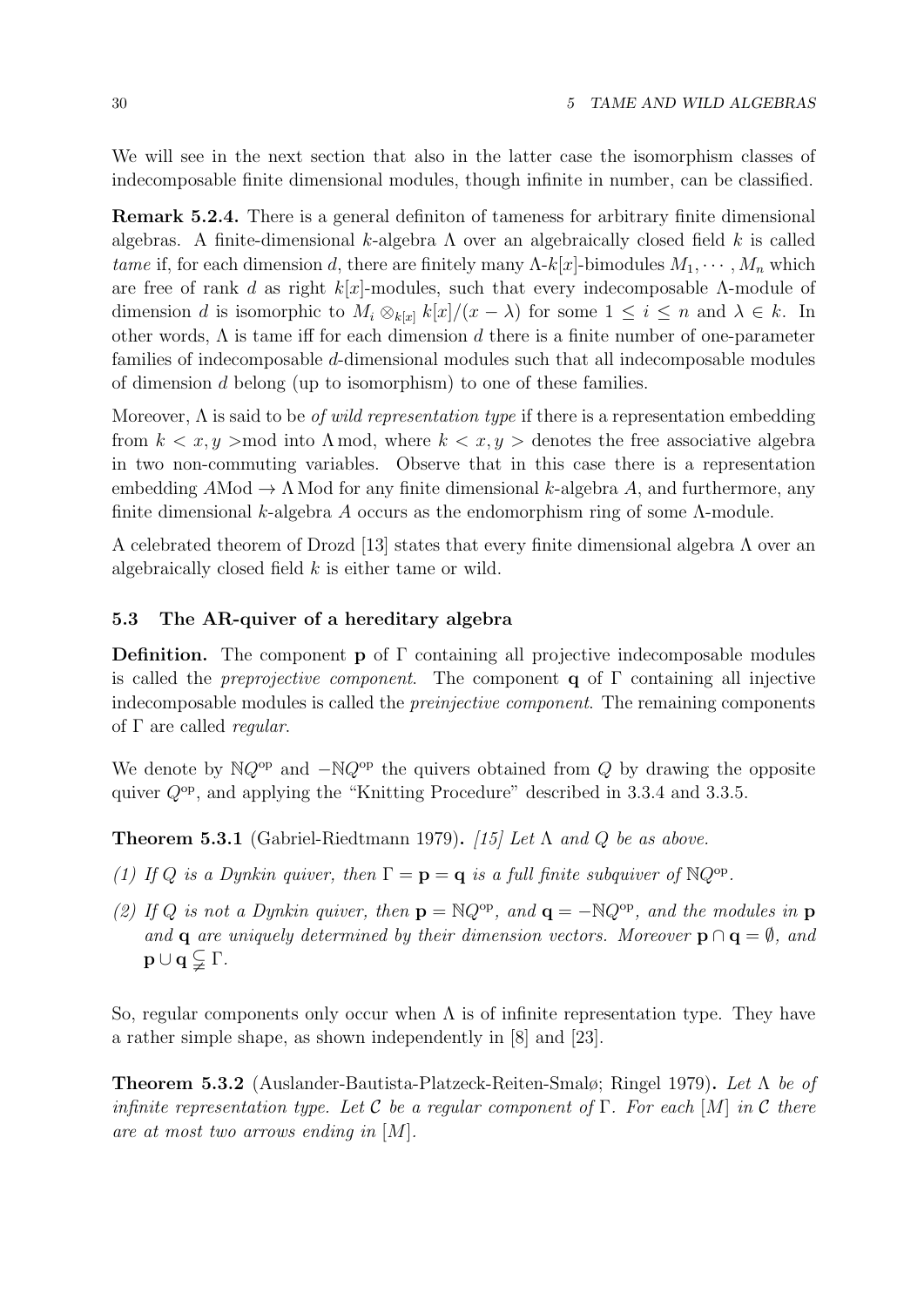We will see in the next section that also in the latter case the isomorphism classes of indecomposable finite dimensional modules, though infinite in number, can be classified.

Remark 5.2.4. There is a general definiton of tameness for arbitrary finite dimensional algebras. A finite-dimensional k-algebra  $\Lambda$  over an algebraically closed field k is called tame if, for each dimension d, there are finitely many  $\Lambda$ -k[x]-bimodules  $M_1, \cdots, M_n$  which are free of rank d as right  $k[x]$ -modules, such that every indecomposable  $\Lambda$ -module of dimension d is isomorphic to  $M_i \otimes_{k[x]} k[x]/(x - \lambda)$  for some  $1 \leq i \leq n$  and  $\lambda \in k$ . In other words,  $\Lambda$  is tame iff for each dimension d there is a finite number of one-parameter families of indecomposable d-dimensional modules such that all indecomposable modules of dimension d belong (up to isomorphism) to one of these families.

Moreover,  $\Lambda$  is said to be *of wild representation type* if there is a representation embedding from  $k < x, y > \text{mod}$  into  $\Lambda \text{ mod}$ , where  $k < x, y > \text{denotes}$  the free associative algebra in two non-commuting variables. Observe that in this case there is a representation embedding  $A\text{Mod} \rightarrow \Lambda$  Mod for any finite dimensional k-algebra A, and furthermore, any finite dimensional k-algebra A occurs as the endomorphism ring of some  $\Lambda$ -module.

A celebrated theorem of Drozd [13] states that every finite dimensional algebra  $\Lambda$  over an algebraically closed field k is either tame or wild.

## 5.3 The AR-quiver of a hereditary algebra

**Definition.** The component **p** of  $\Gamma$  containing all projective indecomposable modules is called the *preprojective component*. The component **q** of  $\Gamma$  containing all injective indecomposable modules is called the preinjective component. The remaining components of  $\Gamma$  are called *regular*.

We denote by  $NQ^{op}$  and  $-NQ^{op}$  the quivers obtained from Q by drawing the opposite quiver  $Q^{op}$ , and applying the "Knitting Procedure" described in 3.3.4 and 3.3.5.

**Theorem 5.3.1** (Gabriel-Riedtmann 1979). [15] Let  $\Lambda$  and  $Q$  be as above.

- (1) If Q is a Dynkin quiver, then  $\Gamma = \mathbf{p} = \mathbf{q}$  is a full finite subquiver of NQ<sup>op</sup>.
- (2) If Q is not a Dynkin quiver, then  $\mathbf{p} = \mathbb{N}Q^{\rm op}$ , and  $\mathbf{q} = -\mathbb{N}Q^{\rm op}$ , and the modules in  $\mathbf{p}$ and **q** are uniquely determined by their dimension vectors. Moreover  $\mathbf{p} \cap \mathbf{q} = \emptyset$ , and  $\mathbf{p} \cup \mathbf{q} \subsetneq \Gamma$ .

So, regular components only occur when  $\Lambda$  is of infinite representation type. They have a rather simple shape, as shown independently in [8] and [23].

**Theorem 5.3.2** (Auslander-Bautista-Platzeck-Reiten-Smalø; Ringel 1979). Let  $\Lambda$  be of infinite representation type. Let C be a regular component of  $\Gamma$ . For each  $[M]$  in C there are at most two arrows ending in [M].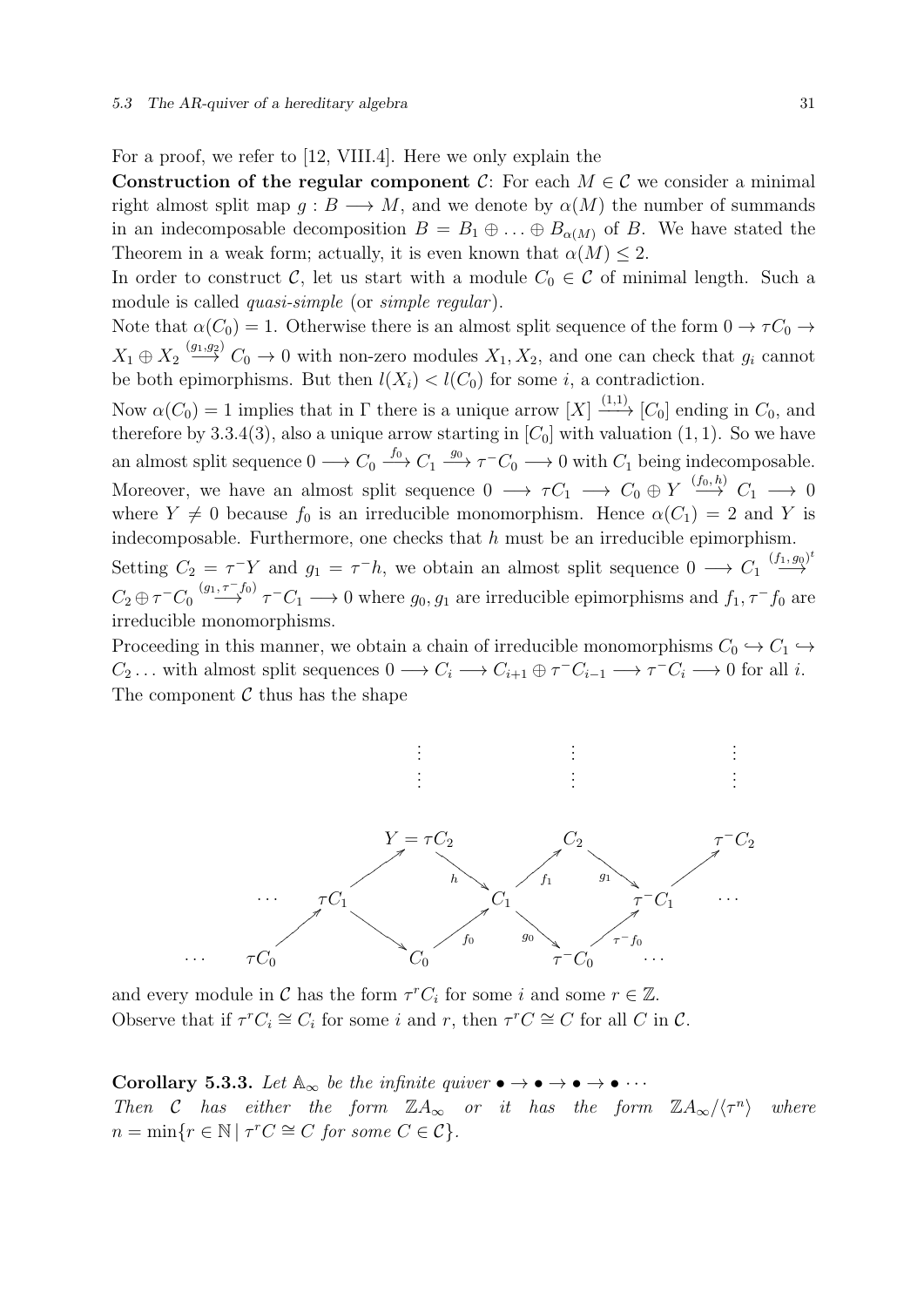For a proof, we refer to [12, VIII.4]. Here we only explain the

Construction of the regular component C: For each  $M \in \mathcal{C}$  we consider a minimal right almost split map  $g : B \longrightarrow M$ , and we denote by  $\alpha(M)$  the number of summands in an indecomposable decomposition  $B = B_1 \oplus \ldots \oplus B_{\alpha(M)}$  of B. We have stated the Theorem in a weak form; actually, it is even known that  $\alpha(M) \leq 2$ .

In order to construct C, let us start with a module  $C_0 \in \mathcal{C}$  of minimal length. Such a module is called *quasi-simple* (or *simple regular*).

Note that  $\alpha(C_0) = 1$ . Otherwise there is an almost split sequence of the form  $0 \to \tau C_0 \to$  $X_1 \oplus X_2 \stackrel{(g_1,g_2)}{\longrightarrow} C_0 \longrightarrow 0$  with non-zero modules  $X_1, X_2$ , and one can check that  $g_i$  cannot be both epimorphisms. But then  $l(X_i) < l(C_0)$  for some i, a contradiction.

Now  $\alpha(C_0) = 1$  implies that in  $\Gamma$  there is a unique arrow  $[X] \xrightarrow{(1,1)} [C_0]$  ending in  $C_0$ , and therefore by 3.3.4(3), also a unique arrow starting in  $[C_0]$  with valuation (1, 1). So we have an almost split sequence  $0 \longrightarrow C_0 \stackrel{f_0}{\longrightarrow} C_1 \stackrel{g_0}{\longrightarrow} \tau^- C_0 \longrightarrow 0$  with  $C_1$  being indecomposable. Moreover, we have an almost split sequence  $0 \longrightarrow \tau C_1 \longrightarrow C_0 \oplus Y \stackrel{(f_0, h)}{\longrightarrow} C_1 \longrightarrow 0$ where  $Y \neq 0$  because  $f_0$  is an irreducible monomorphism. Hence  $\alpha(C_1) = 2$  and Y is indecomposable. Furthermore, one checks that  $h$  must be an irreducible epimorphism. Setting  $C_2 = \tau^{-} Y$  and  $g_1 = \tau^{-} h$ , we obtain an almost split sequence  $0 \longrightarrow C_1 \stackrel{(f_1, g_0)^t}{\longrightarrow}$ 

 $C_2 \oplus \tau^- C_0 \stackrel{(g_1, \tau^- f_0)}{\longrightarrow} \tau^- C_1 \longrightarrow 0$  where  $g_0, g_1$  are irreducible epimorphisms and  $f_1, \tau^- f_0$  are irreducible monomorphisms.

Proceeding in this manner, we obtain a chain of irreducible monomorphisms  $C_0 \hookrightarrow C_1 \hookrightarrow$  $C_2 \dots$  with almost split sequences  $0 \longrightarrow C_i \longrightarrow C_{i+1} \oplus \tau^{-}C_{i-1} \longrightarrow \tau^{-}C_i \longrightarrow 0$  for all *i*. The component  $\mathcal C$  thus has the shape



and every module in C has the form  $\tau^r C_i$  for some i and some  $r \in \mathbb{Z}$ . Observe that if  $\tau^r C_i \cong C_i$  for some i and r, then  $\tau^r C \cong C$  for all C in C.

Corollary 5.3.3. Let  $\mathbb{A}_{\infty}$  be the infinite quiver  $\bullet \to \bullet \to \bullet \to \bullet \cdots$ Then C has either the form  $\mathbb{Z}A_{\infty}$  or it has the form  $\mathbb{Z}A_{\infty}/\langle \tau^n \rangle$ where  $n = \min\{r \in \mathbb{N} \mid \tau^r C \cong C \text{ for some } C \in \mathcal{C}\}.$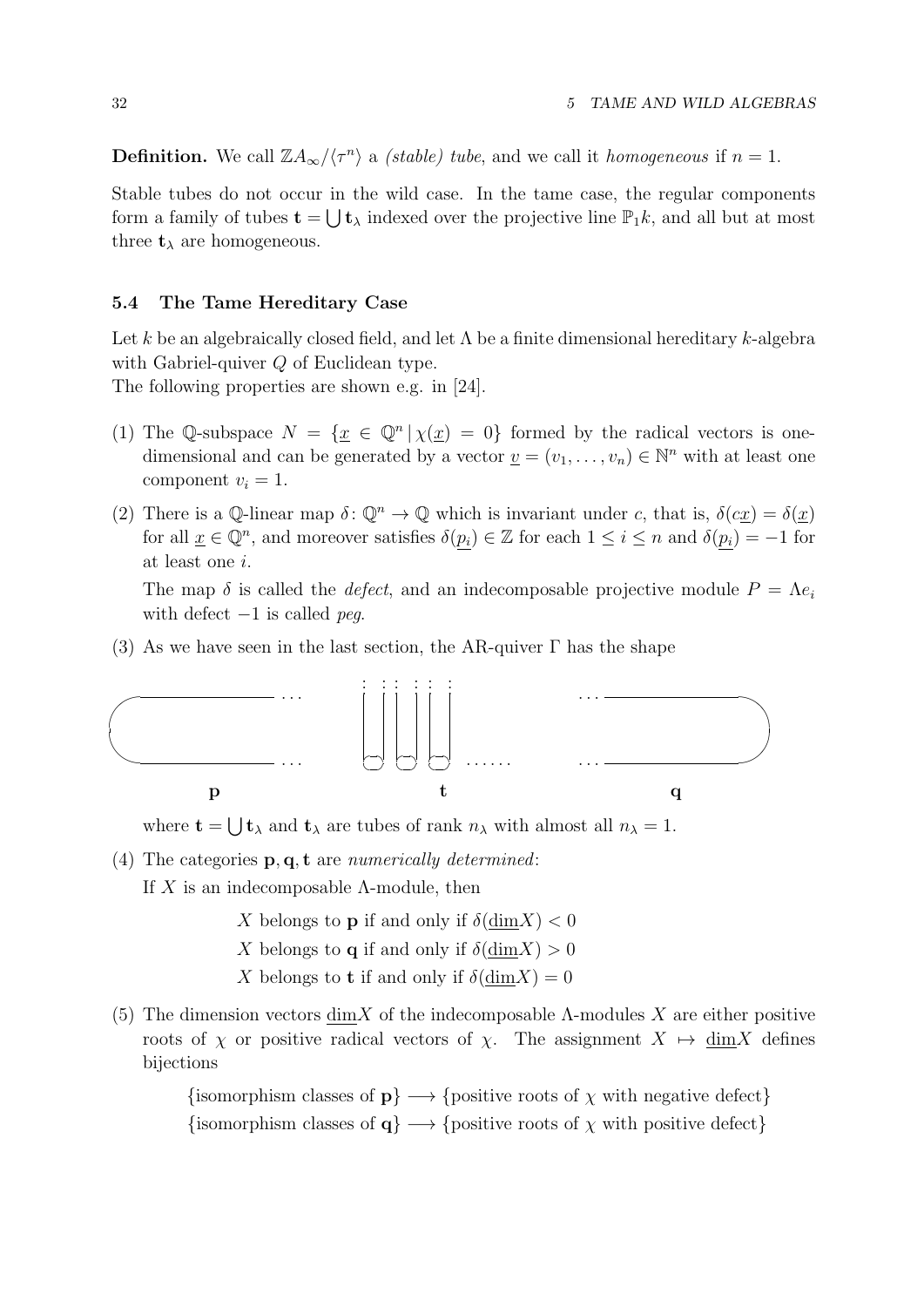**Definition.** We call  $\mathbb{Z}A_{\infty}/\langle \tau^n \rangle$  a *(stable) tube*, and we call it *homogeneous* if  $n = 1$ .

Stable tubes do not occur in the wild case. In the tame case, the regular components form a family of tubes  $\mathbf{t} = \bigcup \mathbf{t}_{\lambda}$  indexed over the projective line  $\mathbb{P}_1 k$ , and all but at most three  $t_{\lambda}$  are homogeneous.

#### 5.4 The Tame Hereditary Case

Let k be an algebraically closed field, and let  $\Lambda$  be a finite dimensional hereditary k-algebra with Gabriel-quiver Q of Euclidean type.

The following properties are shown e.g. in [24].

- (1) The Q-subspace  $N = {\underline{x} \in \mathbb{Q}^n | \chi(\underline{x}) = 0}$  formed by the radical vectors is onedimensional and can be generated by a vector  $\underline{v} = (v_1, \ldots, v_n) \in \mathbb{N}^n$  with at least one component  $v_i = 1$ .
- (2) There is a Q-linear map  $\delta: \mathbb{Q}^n \to \mathbb{Q}$  which is invariant under c, that is,  $\delta(cx) = \delta(x)$ for all  $\underline{x} \in \mathbb{Q}^n$ , and moreover satisfies  $\delta(p_i) \in \mathbb{Z}$  for each  $1 \leq i \leq n$  and  $\delta(p_i) = -1$  for at least one i.

The map  $\delta$  is called the *defect*, and an indecomposable projective module  $P = \Lambda e_i$ with defect  $-1$  is called *peg*.

(3) As we have seen in the last section, the AR-quiver  $\Gamma$  has the shape



where  $\mathbf{t} = \bigcup \mathbf{t}_{\lambda}$  and  $\mathbf{t}_{\lambda}$  are tubes of rank  $n_{\lambda}$  with almost all  $n_{\lambda} = 1$ .

(4) The categories  $\mathbf{p}, \mathbf{q}, \mathbf{t}$  are numerically determined:

If X is an indecomposable  $\Lambda$ -module, then

X belongs to **p** if and only if  $\delta(\text{dim}X) < 0$ 

- X belongs to **q** if and only if  $\delta(\text{dim}X) > 0$
- X belongs to **t** if and only if  $\delta(\text{dim}X) = 0$
- (5) The dimension vectors dim X of the indecomposable  $\Lambda$ -modules X are either positive roots of  $\chi$  or positive radical vectors of  $\chi$ . The assignment  $X \mapsto \underline{\dim} X$  defines bijections

{isomorphism classes of  $\mathbf{p}$ }  $\longrightarrow$  {positive roots of  $\chi$  with negative defect} {isomorphism classes of  $q$ }  $\longrightarrow$  {positive roots of  $\chi$  with positive defect}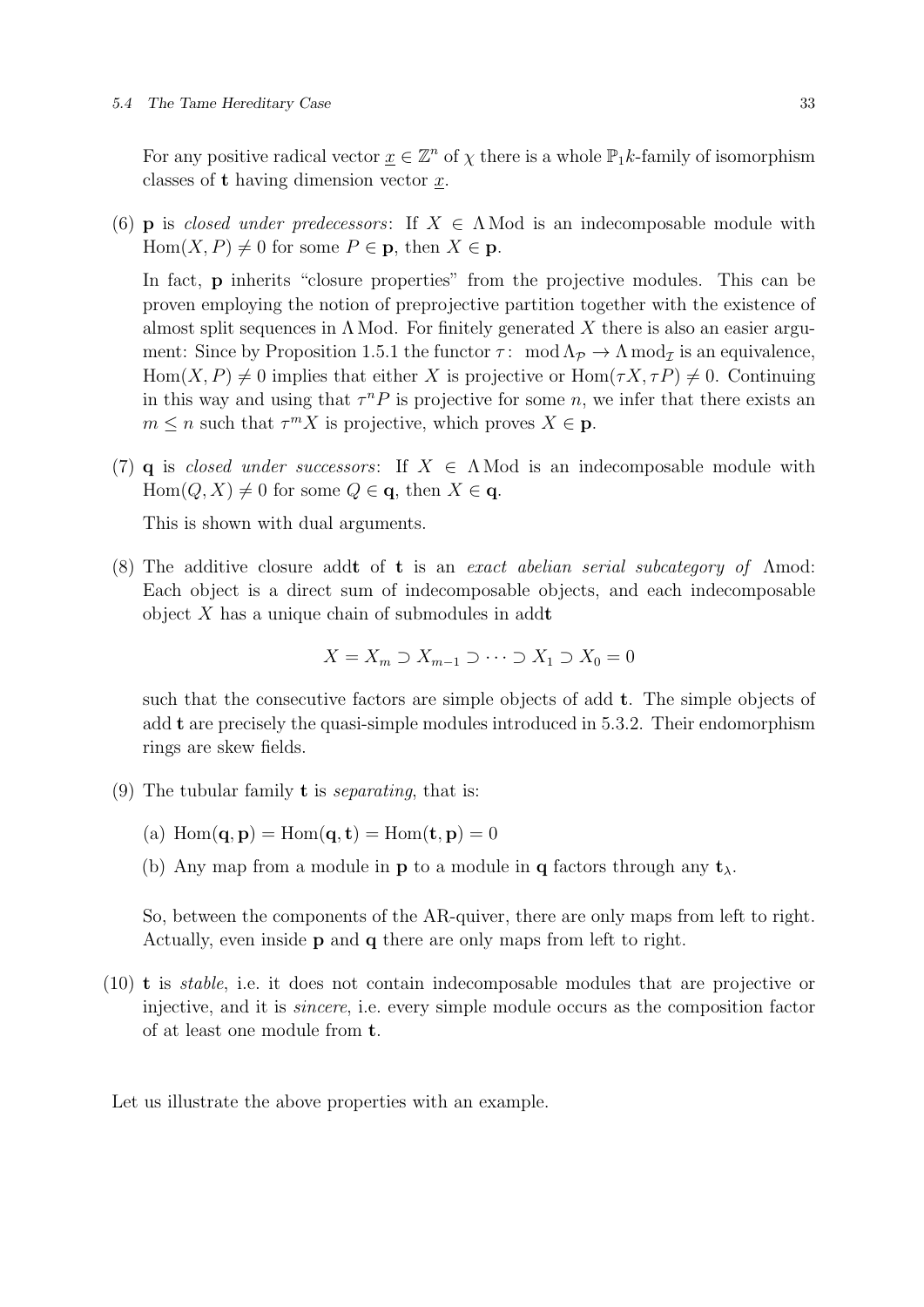#### 5.4 The Tame Hereditary Case 33

For any positive radical vector  $\underline{x} \in \mathbb{Z}^n$  of  $\chi$  there is a whole  $\mathbb{P}_1k$ -family of isomorphism classes of  $t$  having dimension vector  $x$ .

(6) **p** is closed under predecessors: If  $X \in \Lambda$  Mod is an indecomposable module with  $Hom(X, P) \neq 0$  for some  $P \in \mathbf{p}$ , then  $X \in \mathbf{p}$ .

In fact, **p** inherits "closure properties" from the projective modules. This can be proven employing the notion of preprojective partition together with the existence of almost split sequences in  $\Lambda$  Mod. For finitely generated X there is also an easier argument: Since by Proposition 1.5.1 the functor  $\tau$ : mod  $\Lambda_{\mathcal{P}} \to \Lambda$  mod<sub>*I*</sub> is an equivalence,  $Hom(X, P) \neq 0$  implies that either X is projective or  $Hom(\tau X, \tau P) \neq 0$ . Continuing in this way and using that  $\tau^n P$  is projective for some n, we infer that there exists an  $m \leq n$  such that  $\tau^m X$  is projective, which proves  $X \in \mathbf{p}$ .

(7) q is closed under successors: If  $X \in \Lambda$  Mod is an indecomposable module with  $Hom(Q, X) \neq 0$  for some  $Q \in \mathbf{q}$ , then  $X \in \mathbf{q}$ .

This is shown with dual arguments.

(8) The additive closure addt of t is an exact abelian serial subcategory of Λmod: Each object is a direct sum of indecomposable objects, and each indecomposable object  $X$  has a unique chain of submodules in addt

$$
X = X_m \supset X_{m-1} \supset \cdots \supset X_1 \supset X_0 = 0
$$

such that the consecutive factors are simple objects of add t. The simple objects of add t are precisely the quasi-simple modules introduced in 5.3.2. Their endomorphism rings are skew fields.

- (9) The tubular family **t** is *separating*, that is:
	- (a)  $\text{Hom}(\mathbf{q}, \mathbf{p}) = \text{Hom}(\mathbf{q}, \mathbf{t}) = \text{Hom}(\mathbf{t}, \mathbf{p}) = 0$
	- (b) Any map from a module in **p** to a module in **q** factors through any  $t_{\lambda}$ .

So, between the components of the AR-quiver, there are only maps from left to right. Actually, even inside p and q there are only maps from left to right.

(10) t is stable, i.e. it does not contain indecomposable modules that are projective or injective, and it is sincere, i.e. every simple module occurs as the composition factor of at least one module from t.

Let us illustrate the above properties with an example.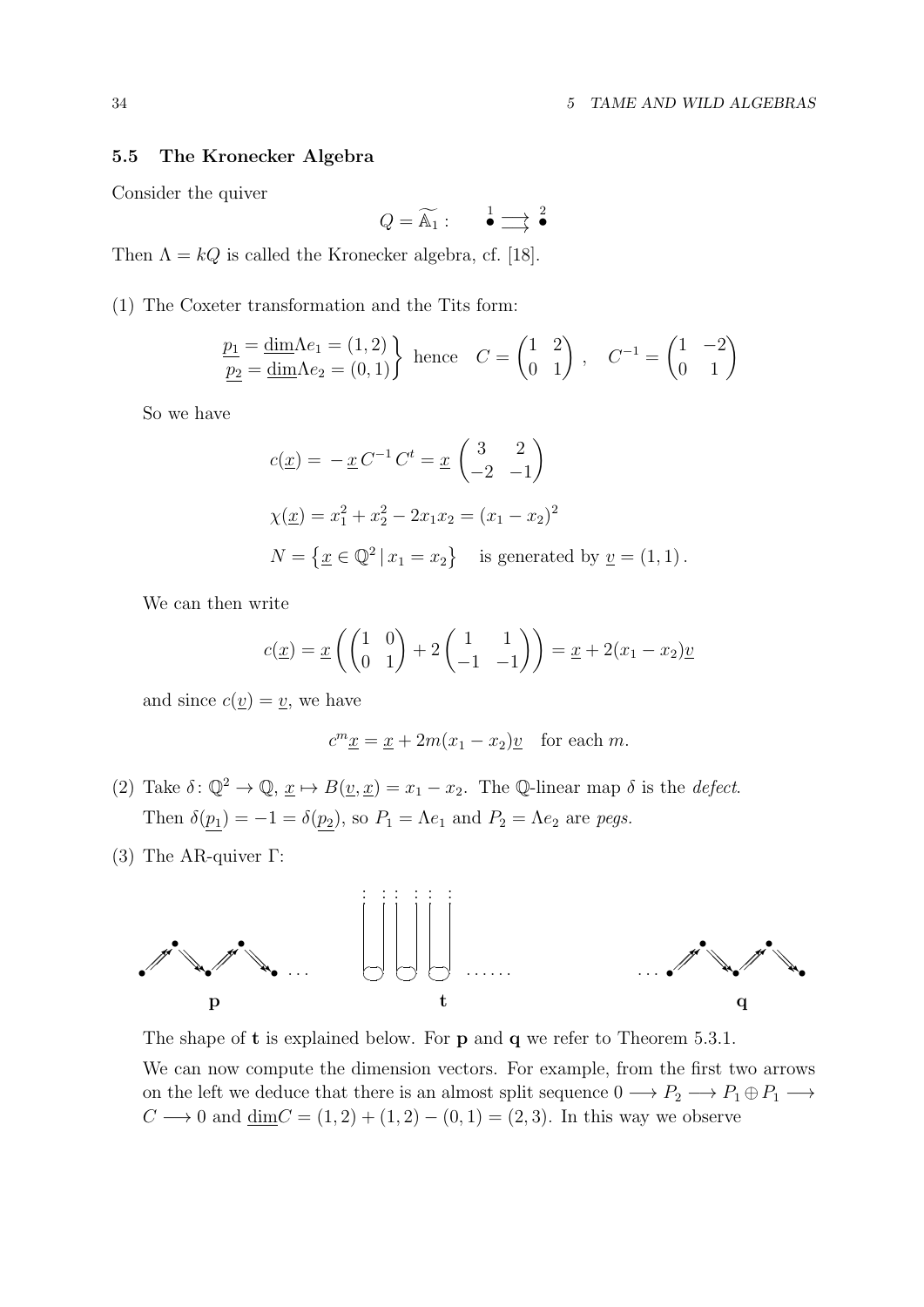## 5.5 The Kronecker Algebra

Consider the quiver

$$
Q = \widetilde{\mathbb{A}_1} : \qquad \overset{1}{\bullet} \Longrightarrow ^2 \overset{2}{\bullet}
$$

Then  $\Lambda = kQ$  is called the Kronecker algebra, cf. [18].

(1) The Coxeter transformation and the Tits form:

$$
\underline{\underline{p_1}} = \underline{\dim} \Lambda e_1 = (1, 2) \}
$$
\nhence\n
$$
C = \begin{pmatrix} 1 & 2 \\ 0 & 1 \end{pmatrix}, \quad C^{-1} = \begin{pmatrix} 1 & -2 \\ 0 & 1 \end{pmatrix}
$$

So we have

$$
c(\underline{x}) = -\underline{x} C^{-1} C^t = \underline{x} \begin{pmatrix} 3 & 2 \\ -2 & -1 \end{pmatrix}
$$
  
\n
$$
\chi(\underline{x}) = x_1^2 + x_2^2 - 2x_1x_2 = (x_1 - x_2)^2
$$
  
\n
$$
N = \{ \underline{x} \in \mathbb{Q}^2 \mid x_1 = x_2 \} \text{ is generated by } \underline{v} = (1, 1).
$$

We can then write

$$
c(\underline{x}) = \underline{x} \left( \begin{pmatrix} 1 & 0 \\ 0 & 1 \end{pmatrix} + 2 \begin{pmatrix} 1 & 1 \\ -1 & -1 \end{pmatrix} \right) = \underline{x} + 2(x_1 - x_2) \underline{v}
$$

and since  $c(\underline{v}) = \underline{v}$ , we have

$$
c^m \underline{x} = \underline{x} + 2m(x_1 - x_2)\underline{v} \quad \text{for each } m.
$$

- (2) Take  $\delta: \mathbb{Q}^2 \to \mathbb{Q}, \underline{x} \mapsto B(\underline{v}, \underline{x}) = x_1 x_2$ . The Q-linear map  $\delta$  is the *defect*. Then  $\delta(p_1) = -1 = \delta(p_2)$ , so  $P_1 = \Lambda e_1$  and  $P_2 = \Lambda e_2$  are pegs.
- (3) The AR-quiver Γ:



The shape of **t** is explained below. For **p** and **q** we refer to Theorem 5.3.1.

We can now compute the dimension vectors. For example, from the first two arrows on the left we deduce that there is an almost split sequence  $0 \longrightarrow P_2 \longrightarrow P_1 \oplus P_1 \longrightarrow$  $C \longrightarrow 0$  and  $\underline{\dim}C = (1, 2) + (1, 2) - (0, 1) = (2, 3)$ . In this way we observe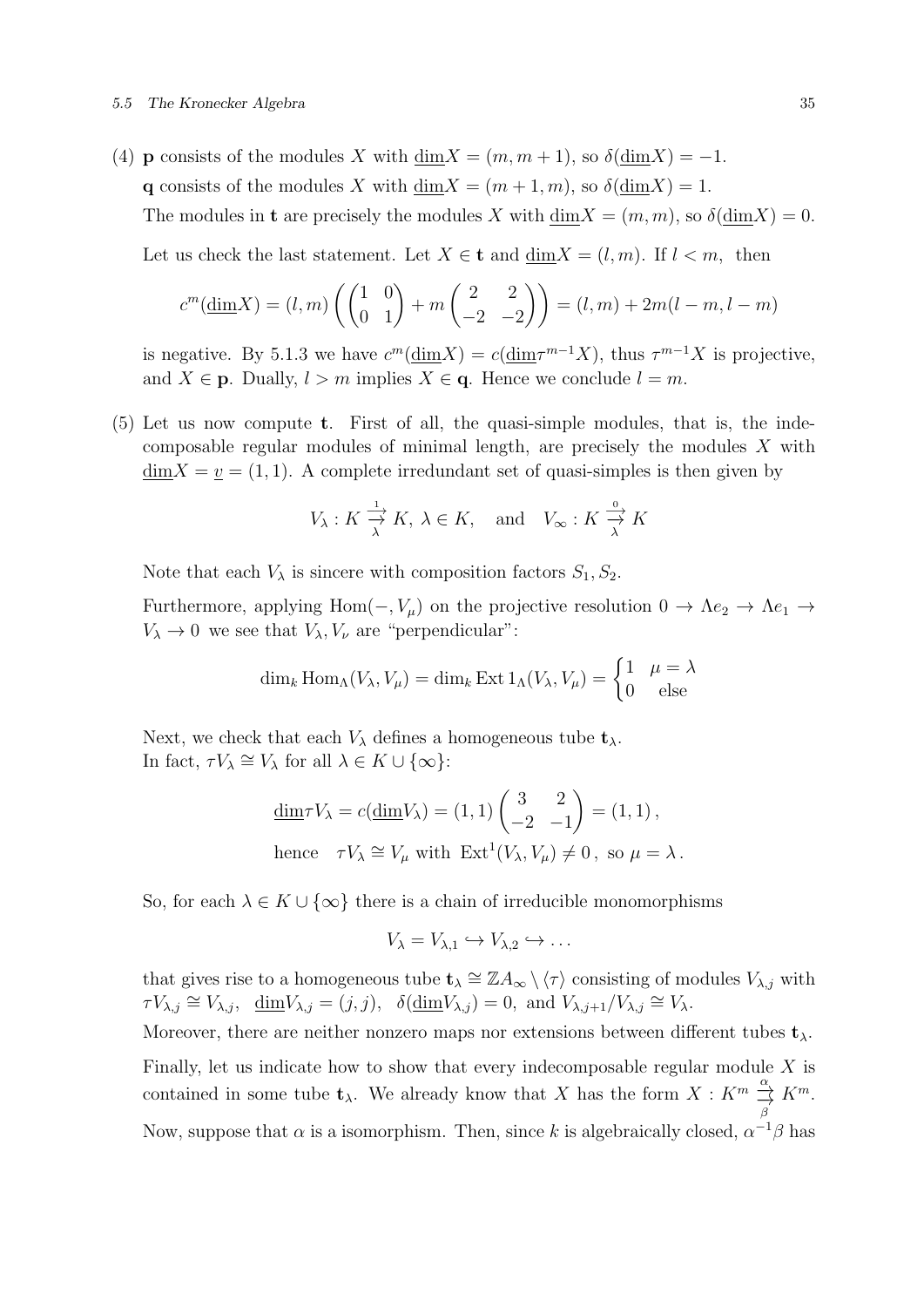#### 5.5 The Kronecker Algebra 35

(4) **p** consists of the modules X with  $\dim X = (m, m + 1)$ , so  $\delta(\dim X) = -1$ . q consists of the modules X with dim $X = (m + 1, m)$ , so  $\delta(\text{dim} X) = 1$ . The modules in **t** are precisely the modules X with  $\dim X = (m, m)$ , so  $\delta(\dim X) = 0$ . Let us check the last statement. Let  $X \in \mathbf{t}$  and  $\dim X = (l, m)$ . If  $l < m$ , then

$$
c^{m}(\underline{\dim} X) = (l, m) \left( \begin{pmatrix} 1 & 0 \\ 0 & 1 \end{pmatrix} + m \begin{pmatrix} 2 & 2 \\ -2 & -2 \end{pmatrix} \right) = (l, m) + 2m(l - m, l - m)
$$

is negative. By 5.1.3 we have  $c^m(\underline{\dim}X) = c(\underline{\dim} \tau^{m-1}X)$ , thus  $\tau^{m-1}X$  is projective, and  $X \in \mathbf{p}$ . Dually,  $l > m$  implies  $X \in \mathbf{q}$ . Hence we conclude  $l = m$ .

(5) Let us now compute t. First of all, the quasi-simple modules, that is, the indecomposable regular modules of minimal length, are precisely the modules X with  $\dim X = v = (1, 1)$ . A complete irredundant set of quasi-simples is then given by

$$
V_{\lambda}: K \xrightarrow{\frac{1}{\lambda}} K, \ \lambda \in K, \quad \text{and} \quad V_{\infty}: K \xrightarrow{\frac{0}{\lambda}} K
$$

Note that each  $V_{\lambda}$  is sincere with composition factors  $S_1, S_2$ .

Furthermore, applying Hom( $-, V_\mu$ ) on the projective resolution  $0 \to \Lambda e_2 \to \Lambda e_1 \to$  $V_{\lambda} \to 0$  we see that  $V_{\lambda}$ ,  $V_{\nu}$  are "perpendicular":

$$
\dim_k \operatorname{Hom}_\Lambda(V_\lambda, V_\mu) = \dim_k \operatorname{Ext} 1_\Lambda(V_\lambda, V_\mu) = \begin{cases} 1 & \mu = \lambda \\ 0 & \text{else} \end{cases}
$$

Next, we check that each  $V_{\lambda}$  defines a homogeneous tube  $t_{\lambda}$ . In fact,  $\tau V_{\lambda} \cong V_{\lambda}$  for all  $\lambda \in K \cup \{\infty\}$ :

$$
\underline{\dim} \tau V_{\lambda} = c(\underline{\dim} V_{\lambda}) = (1, 1) \begin{pmatrix} 3 & 2 \\ -2 & -1 \end{pmatrix} = (1, 1),
$$
  
hence  $\tau V_{\lambda} \cong V_{\mu}$  with  $\text{Ext}^1(V_{\lambda}, V_{\mu}) \neq 0$ , so  $\mu = \lambda$ .

So, for each  $\lambda \in K \cup \{\infty\}$  there is a chain of irreducible monomorphisms

$$
V_{\lambda} = V_{\lambda,1} \hookrightarrow V_{\lambda,2} \hookrightarrow \dots
$$

that gives rise to a homogeneous tube  $\mathbf{t}_{\lambda} \cong \mathbb{Z} A_{\infty} \setminus \langle \tau \rangle$  consisting of modules  $V_{\lambda,j}$  with  $\tau V_{\lambda,j} \cong V_{\lambda,j}, \quad \underline{\dim} V_{\lambda,j} = (j,j), \quad \delta(\underline{\dim} V_{\lambda,j}) = 0, \text{ and } V_{\lambda,j+1}/V_{\lambda,j} \cong V_{\lambda}.$ 

Moreover, there are neither nonzero maps nor extensions between different tubes  $t_{\lambda}$ . Finally, let us indicate how to show that every indecomposable regular module  $X$  is contained in some tube  $\mathbf{t}_{\lambda}$ . We already know that X has the form  $X : K^m \stackrel{\alpha}{\underset{\beta}{\rightarrow}}$  ${\cal K}^m.$ Now, suppose that  $\alpha$  is a isomorphism. Then, since k is algebraically closed,  $\alpha^{-1}\beta$  has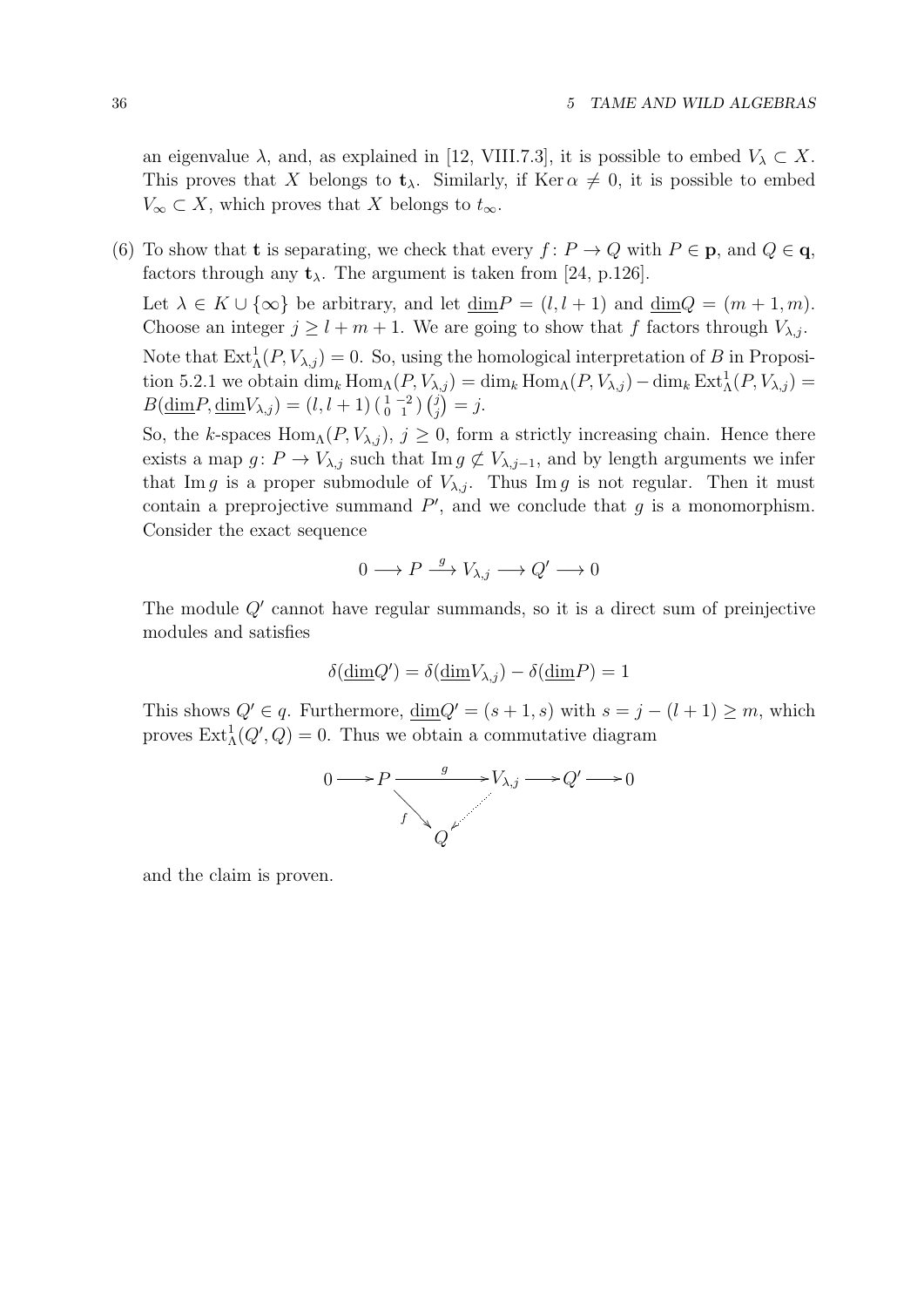an eigenvalue  $\lambda$ , and, as explained in [12, VIII.7.3], it is possible to embed  $V_{\lambda} \subset X$ . This proves that X belongs to  $t_{\lambda}$ . Similarly, if Ker  $\alpha \neq 0$ , it is possible to embed  $V_{\infty} \subset X$ , which proves that X belongs to  $t_{\infty}$ .

(6) To show that **t** is separating, we check that every  $f: P \to Q$  with  $P \in \mathbf{p}$ , and  $Q \in \mathbf{q}$ , factors through any  $t_{\lambda}$ . The argument is taken from [24, p.126].

Let  $\lambda \in K \cup \{\infty\}$  be arbitrary, and let  $\dim P = (l, l + 1)$  and  $\dim Q = (m + 1, m)$ . Choose an integer  $j \geq l + m + 1$ . We are going to show that f factors through  $V_{\lambda,j}$ . Note that  $\text{Ext}^1_{\Lambda}(P, V_{\lambda,j}) = 0$ . So, using the homological interpretation of B in Proposition 5.2.1 we obtain  $\dim_k \text{Hom}_{\Lambda}(P, V_{\lambda,j}) = \dim_k \text{Hom}_{\Lambda}(P, V_{\lambda,j}) - \dim_k \text{Ext}^1_{\Lambda}(P, V_{\lambda,j}) =$  $B(\underline{\dim}P, \underline{\dim}V_{\lambda,j}) = (l, l + 1) \left(\begin{smallmatrix} 1 & -2 \\ 0 & 1 \end{smallmatrix}\right) \left(\begin{smallmatrix} j \\ j \end{smallmatrix}\right)$  $j \choose j = j.$ 

So, the k-spaces Hom<sub>Λ</sub>( $P$ ,  $V_{\lambda,j}$ ),  $j \geq 0$ , form a strictly increasing chain. Hence there exists a map  $g: P \to V_{\lambda,j}$  such that Im  $g \not\subset V_{\lambda,j-1}$ , and by length arguments we infer that Im g is a proper submodule of  $V_{\lambda,i}$ . Thus Im g is not regular. Then it must contain a preprojective summand  $P'$ , and we conclude that  $g$  is a monomorphism. Consider the exact sequence

$$
0 \longrightarrow P \stackrel{g}{\longrightarrow} V_{\lambda,j} \longrightarrow Q' \longrightarrow 0
$$

The module  $Q'$  cannot have regular summands, so it is a direct sum of preinjective modules and satisfies

$$
\delta(\underline{\dim}Q') = \delta(\underline{\dim}V_{\lambda,j}) - \delta(\underline{\dim}P) = 1
$$

This shows  $Q' \in q$ . Furthermore,  $\dim Q' = (s+1, s)$  with  $s = j - (l+1) \geq m$ , which proves  $\text{Ext}_{\Lambda}^1(Q', Q) = 0$ . Thus we obtain a commutative diagram



and the claim is proven.